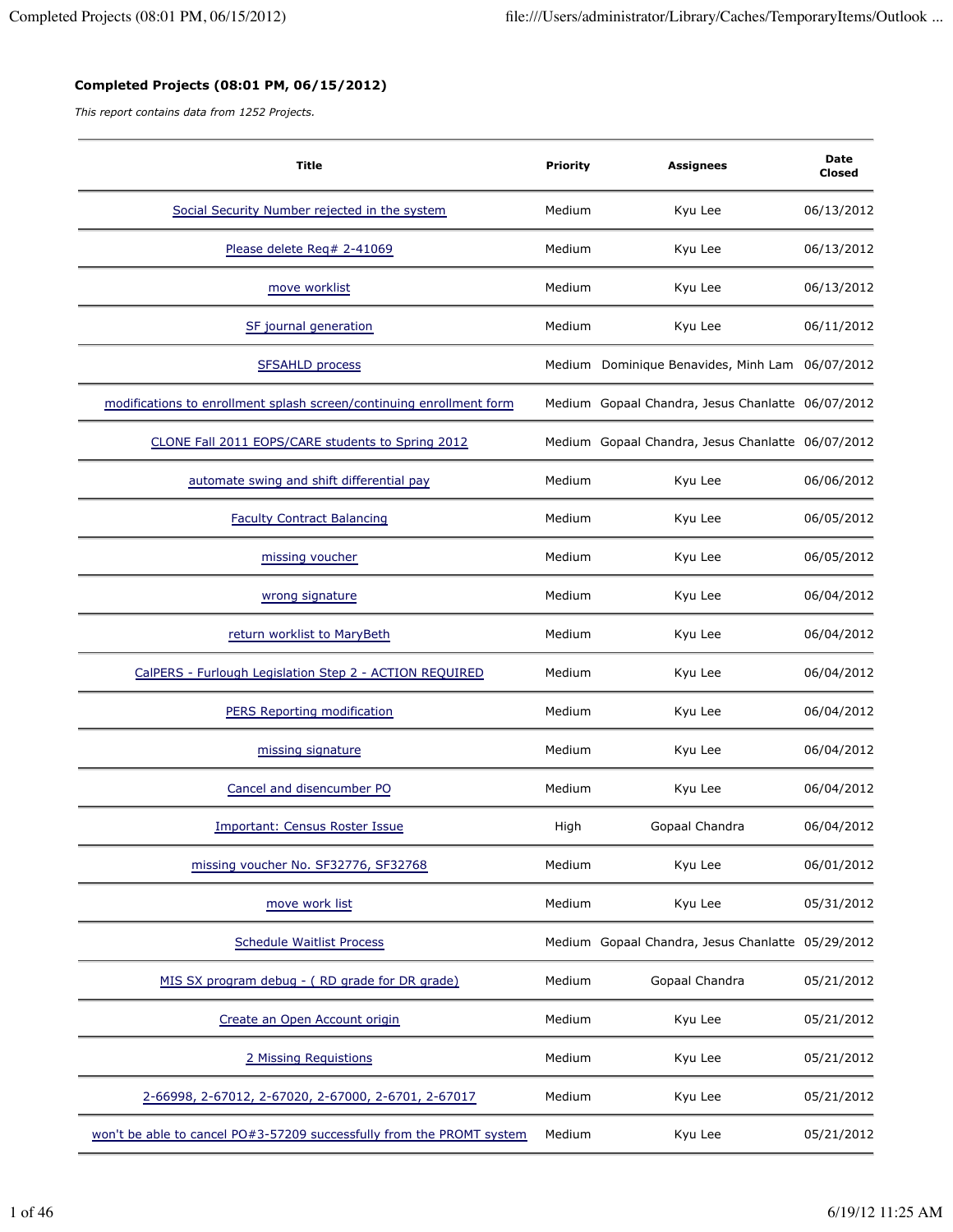## **Completed Projects (08:01 PM, 06/15/2012)**

*This report contains data from 1252 Projects.*

| <b>Title</b>                                                          | <b>Priority</b> | <b>Assignees</b>                                  | Date<br>Closed |
|-----------------------------------------------------------------------|-----------------|---------------------------------------------------|----------------|
| Social Security Number rejected in the system                         | Medium          | Kyu Lee                                           | 06/13/2012     |
| Please delete Req# 2-41069                                            | Medium          | Kyu Lee                                           | 06/13/2012     |
| move worklist                                                         | Medium          | Kyu Lee                                           | 06/13/2012     |
| SF journal generation                                                 | Medium          | Kyu Lee                                           | 06/11/2012     |
| <b>SFSAHLD process</b>                                                |                 | Medium Dominique Benavides, Minh Lam 06/07/2012   |                |
| modifications to enrollment splash screen/continuing enrollment form  |                 | Medium Gopaal Chandra, Jesus Chanlatte 06/07/2012 |                |
| CLONE Fall 2011 EOPS/CARE students to Spring 2012                     |                 | Medium Gopaal Chandra, Jesus Chanlatte 06/07/2012 |                |
| automate swing and shift differential pay                             | Medium          | Kyu Lee                                           | 06/06/2012     |
| <b>Faculty Contract Balancing</b>                                     | Medium          | Kyu Lee                                           | 06/05/2012     |
| missing voucher                                                       | Medium          | Kyu Lee                                           | 06/05/2012     |
| wrong signature                                                       | Medium          | Kyu Lee                                           | 06/04/2012     |
| return worklist to MaryBeth                                           | Medium          | Kyu Lee                                           | 06/04/2012     |
| CalPERS - Furlough Legislation Step 2 - ACTION REQUIRED               | Medium          | Kyu Lee                                           | 06/04/2012     |
| <b>PERS Reporting modification</b>                                    | Medium          | Kyu Lee                                           | 06/04/2012     |
| missing signature                                                     | Medium          | Kyu Lee                                           | 06/04/2012     |
| Cancel and disencumber PO                                             | Medium          | Kyu Lee                                           | 06/04/2012     |
| <b>Important: Census Roster Issue</b>                                 | High            | Gopaal Chandra                                    | 06/04/2012     |
| missing voucher No. SF32776, SF32768                                  | Medium          | Kyu Lee                                           | 06/01/2012     |
| move work list                                                        | Medium          | Kyu Lee                                           | 05/31/2012     |
| <b>Schedule Waitlist Process</b>                                      |                 | Medium Gopaal Chandra, Jesus Chanlatte 05/29/2012 |                |
| MIS SX program debug - (RD grade for DR grade)                        | Medium          | Gopaal Chandra                                    | 05/21/2012     |
| Create an Open Account origin                                         | Medium          | Kyu Lee                                           | 05/21/2012     |
| 2 Missing Requistions                                                 | Medium          | Kyu Lee                                           | 05/21/2012     |
| 2-66998, 2-67012, 2-67020, 2-67000, 2-6701, 2-67017                   | Medium          | Kyu Lee                                           | 05/21/2012     |
| won't be able to cancel PO#3-57209 successfully from the PROMT system | Medium          | Kyu Lee                                           | 05/21/2012     |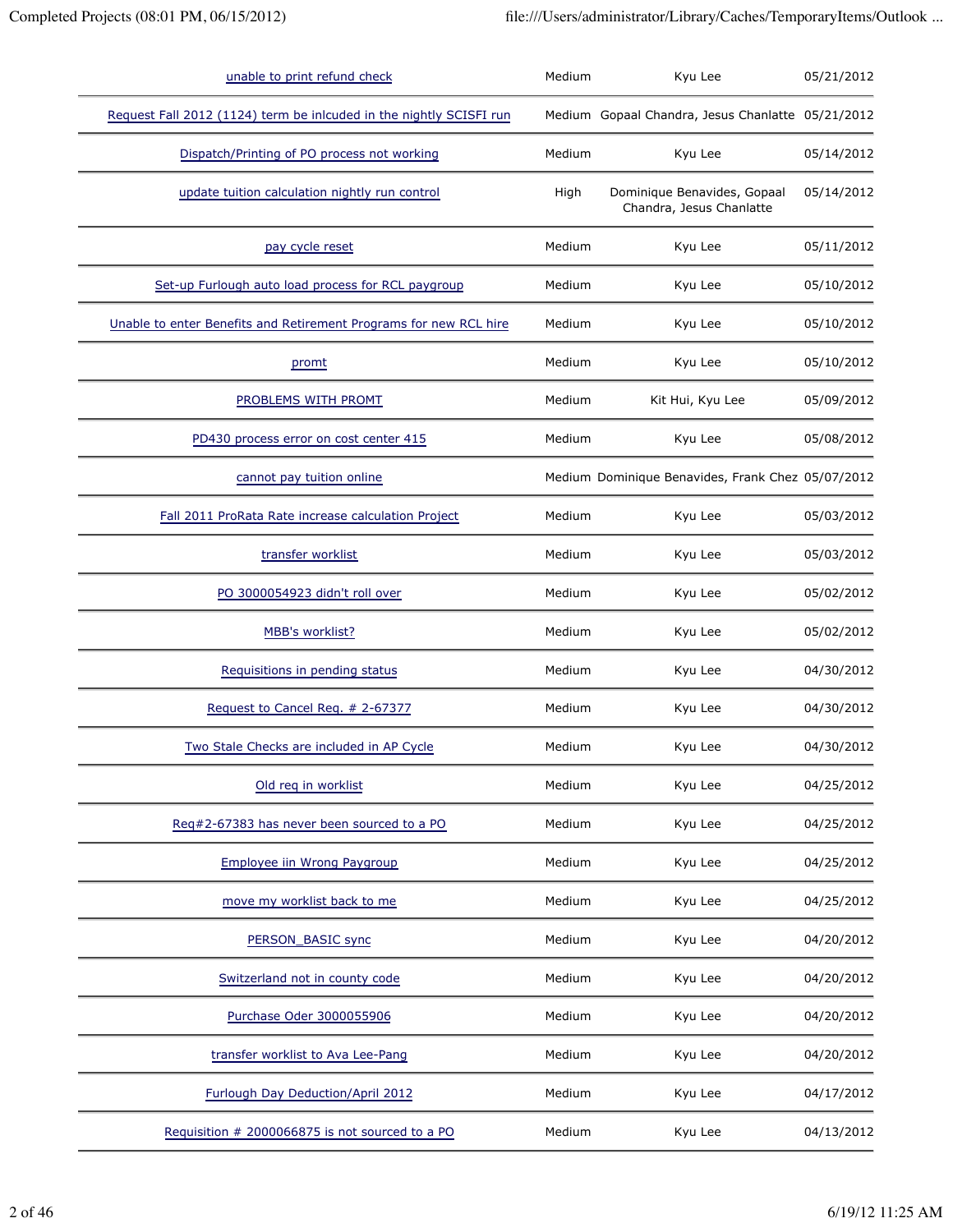| unable to print refund check                                        | Medium | Kyu Lee                                                 | 05/21/2012 |
|---------------------------------------------------------------------|--------|---------------------------------------------------------|------------|
| Request Fall 2012 (1124) term be inlcuded in the nightly SCISFI run |        | Medium Gopaal Chandra, Jesus Chanlatte 05/21/2012       |            |
| Dispatch/Printing of PO process not working                         | Medium | Kyu Lee                                                 | 05/14/2012 |
| update tuition calculation nightly run control                      | High   | Dominique Benavides, Gopaal<br>Chandra, Jesus Chanlatte | 05/14/2012 |
| pay cycle reset                                                     | Medium | Kyu Lee                                                 | 05/11/2012 |
| Set-up Furlough auto load process for RCL paygroup                  | Medium | Kyu Lee                                                 | 05/10/2012 |
| Unable to enter Benefits and Retirement Programs for new RCL hire   | Medium | Kyu Lee                                                 | 05/10/2012 |
| promt                                                               | Medium | Kyu Lee                                                 | 05/10/2012 |
| PROBLEMS WITH PROMT                                                 | Medium | Kit Hui, Kyu Lee                                        | 05/09/2012 |
| PD430 process error on cost center 415                              | Medium | Kyu Lee                                                 | 05/08/2012 |
| cannot pay tuition online                                           |        | Medium Dominique Benavides, Frank Chez 05/07/2012       |            |
| Fall 2011 ProRata Rate increase calculation Project                 | Medium | Kyu Lee                                                 | 05/03/2012 |
| transfer worklist                                                   | Medium | Kyu Lee                                                 | 05/03/2012 |
| PO 3000054923 didn't roll over                                      | Medium | Kyu Lee                                                 | 05/02/2012 |
| MBB's worklist?                                                     | Medium | Kyu Lee                                                 | 05/02/2012 |
| Requisitions in pending status                                      | Medium | Kyu Lee                                                 | 04/30/2012 |
| Request to Cancel Req. # 2-67377                                    | Medium | Kyu Lee                                                 | 04/30/2012 |
| Two Stale Checks are included in AP Cycle                           | Medium | Kyu Lee                                                 | 04/30/2012 |
| Old req in worklist                                                 | Medium | Kyu Lee                                                 | 04/25/2012 |
| Req#2-67383 has never been sourced to a PO                          | Medium | Kyu Lee                                                 | 04/25/2012 |
| Employee iin Wrong Paygroup                                         | Medium | Kyu Lee                                                 | 04/25/2012 |
| move my worklist back to me                                         | Medium | Kyu Lee                                                 | 04/25/2012 |
| PERSON_BASIC sync                                                   | Medium | Kyu Lee                                                 | 04/20/2012 |
| Switzerland not in county code                                      | Medium | Kyu Lee                                                 | 04/20/2012 |
| Purchase Oder 3000055906                                            | Medium | Kyu Lee                                                 | 04/20/2012 |
| transfer worklist to Ava Lee-Pang                                   | Medium | Kyu Lee                                                 | 04/20/2012 |
| Furlough Day Deduction/April 2012                                   | Medium | Kyu Lee                                                 | 04/17/2012 |
| Requisition # 2000066875 is not sourced to a PO                     | Medium | Kyu Lee                                                 | 04/13/2012 |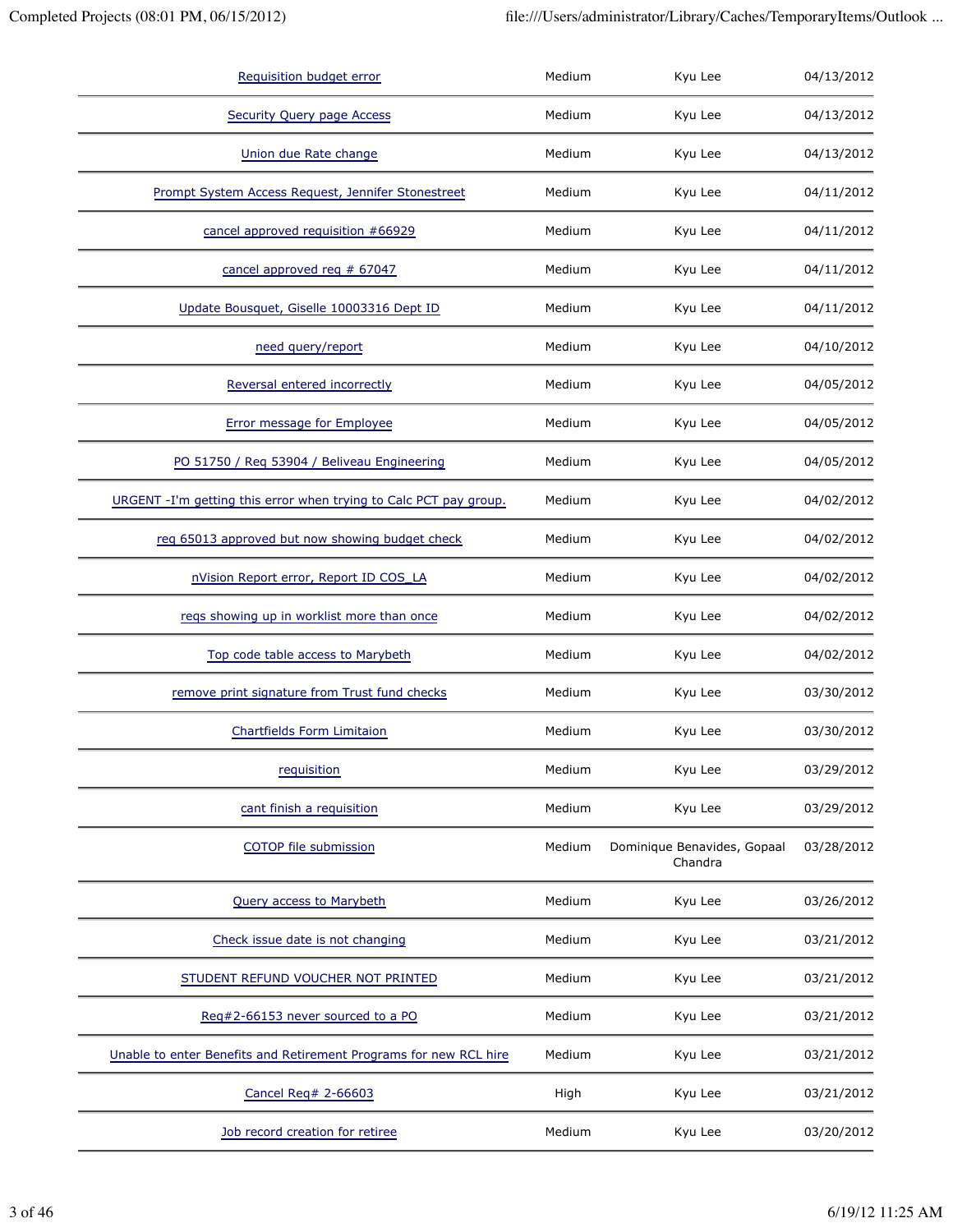| Requisition budget error                                          | Medium | Kyu Lee                                | 04/13/2012 |
|-------------------------------------------------------------------|--------|----------------------------------------|------------|
| <b>Security Query page Access</b>                                 | Medium | Kyu Lee                                | 04/13/2012 |
| Union due Rate change                                             | Medium | Kyu Lee                                | 04/13/2012 |
| Prompt System Access Request, Jennifer Stonestreet                | Medium | Kyu Lee                                | 04/11/2012 |
| cancel approved requisition #66929                                | Medium | Kyu Lee                                | 04/11/2012 |
| cancel approved req # 67047                                       | Medium | Kyu Lee                                | 04/11/2012 |
| Update Bousquet, Giselle 10003316 Dept ID                         | Medium | Kyu Lee                                | 04/11/2012 |
| need query/report                                                 | Medium | Kyu Lee                                | 04/10/2012 |
| Reversal entered incorrectly                                      | Medium | Kyu Lee                                | 04/05/2012 |
| <b>Error message for Employee</b>                                 | Medium | Kyu Lee                                | 04/05/2012 |
| PO 51750 / Req 53904 / Beliveau Engineering                       | Medium | Kyu Lee                                | 04/05/2012 |
| URGENT -I'm getting this error when trying to Calc PCT pay group. | Medium | Kyu Lee                                | 04/02/2012 |
| reg 65013 approved but now showing budget check                   | Medium | Kyu Lee                                | 04/02/2012 |
| nVision Report error, Report ID COS_LA                            | Medium | Kyu Lee                                | 04/02/2012 |
| reqs showing up in worklist more than once                        | Medium | Kyu Lee                                | 04/02/2012 |
| Top code table access to Marybeth                                 | Medium | Kyu Lee                                | 04/02/2012 |
| remove print signature from Trust fund checks                     | Medium | Kyu Lee                                | 03/30/2012 |
| <b>Chartfields Form Limitaion</b>                                 | Medium | Kyu Lee                                | 03/30/2012 |
| requisition                                                       | Medium | Kyu Lee                                | 03/29/2012 |
| cant finish a requisition                                         | Medium | Kyu Lee                                | 03/29/2012 |
| COTOP file submission                                             | Medium | Dominique Benavides, Gopaal<br>Chandra | 03/28/2012 |
| Query access to Marybeth                                          | Medium | Kyu Lee                                | 03/26/2012 |
| Check issue date is not changing                                  | Medium | Kyu Lee                                | 03/21/2012 |
| STUDENT REFUND VOUCHER NOT PRINTED                                | Medium | Kyu Lee                                | 03/21/2012 |
| Reg#2-66153 never sourced to a PO                                 | Medium | Kyu Lee                                | 03/21/2012 |
| Unable to enter Benefits and Retirement Programs for new RCL hire | Medium | Kyu Lee                                | 03/21/2012 |
| Cancel Req# 2-66603                                               | High   | Kyu Lee                                | 03/21/2012 |
| Job record creation for retiree                                   | Medium | Kyu Lee                                | 03/20/2012 |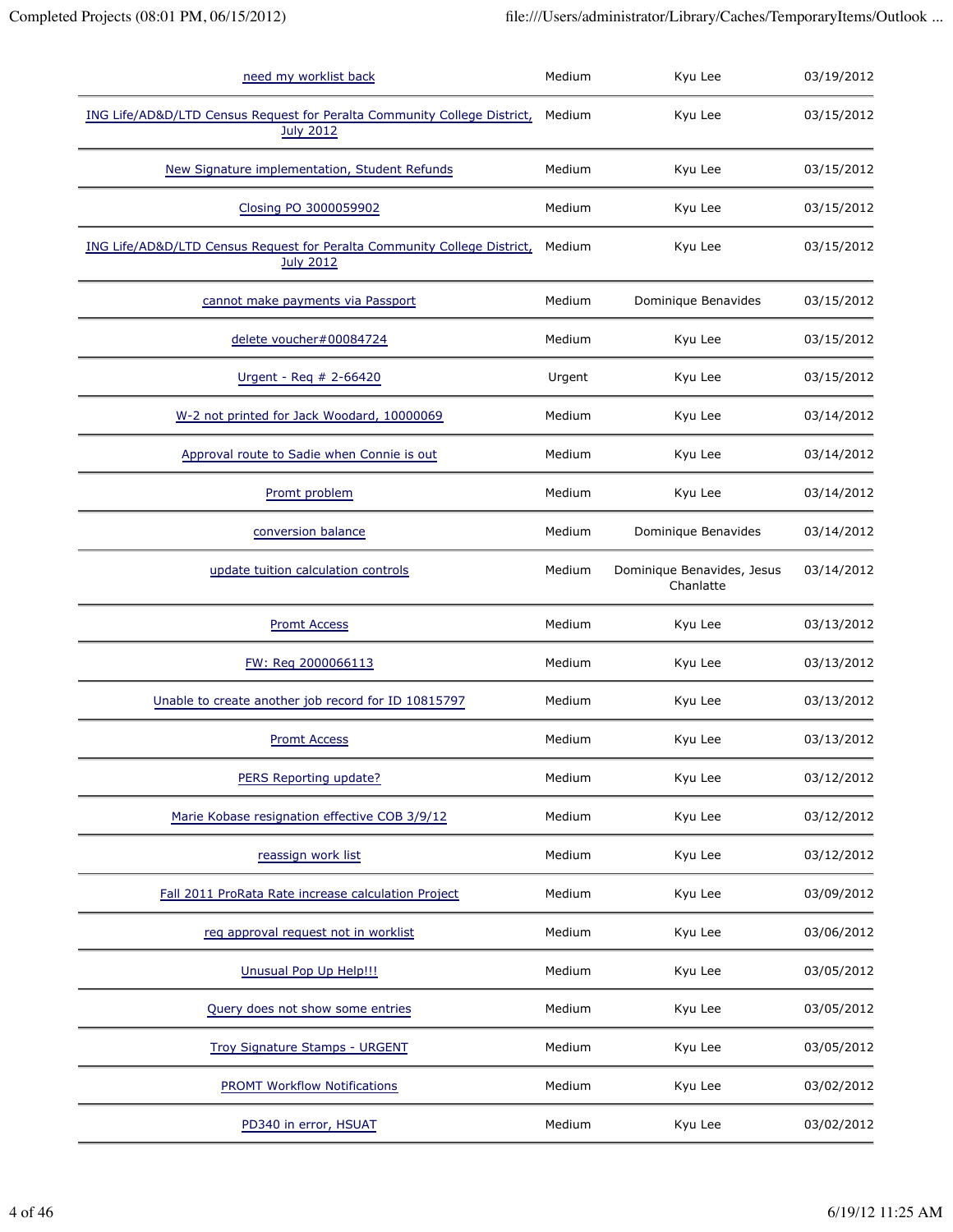| need my worklist back                                                                        | Medium | Kyu Lee                                 | 03/19/2012 |
|----------------------------------------------------------------------------------------------|--------|-----------------------------------------|------------|
| ING Life/AD&D/LTD Census Request for Peralta Community College District,<br><b>July 2012</b> | Medium | Kyu Lee                                 | 03/15/2012 |
| New Signature implementation, Student Refunds                                                | Medium | Kyu Lee                                 | 03/15/2012 |
| Closing PO 3000059902                                                                        | Medium | Kyu Lee                                 | 03/15/2012 |
| ING Life/AD&D/LTD Census Request for Peralta Community College District,<br><b>July 2012</b> | Medium | Kyu Lee                                 | 03/15/2012 |
| cannot make payments via Passport                                                            | Medium | Dominique Benavides                     | 03/15/2012 |
| delete voucher#00084724                                                                      | Medium | Kyu Lee                                 | 03/15/2012 |
| Urgent - Req # 2-66420                                                                       | Urgent | Kyu Lee                                 | 03/15/2012 |
| W-2 not printed for Jack Woodard, 10000069                                                   | Medium | Kyu Lee                                 | 03/14/2012 |
| Approval route to Sadie when Connie is out                                                   | Medium | Kyu Lee                                 | 03/14/2012 |
| Promt problem                                                                                | Medium | Kyu Lee                                 | 03/14/2012 |
| conversion balance                                                                           | Medium | Dominique Benavides                     | 03/14/2012 |
| update tuition calculation controls                                                          | Medium | Dominique Benavides, Jesus<br>Chanlatte | 03/14/2012 |
| <b>Promt Access</b>                                                                          | Medium | Kyu Lee                                 | 03/13/2012 |
| FW: Req 2000066113                                                                           | Medium | Kyu Lee                                 | 03/13/2012 |
| Unable to create another job record for ID 10815797                                          | Medium | Kyu Lee                                 | 03/13/2012 |
| <b>Promt Access</b>                                                                          | Medium | Kyu Lee                                 | 03/13/2012 |
| PERS Reporting update?                                                                       | Medium | Kyu Lee                                 | 03/12/2012 |
| Marie Kobase resignation effective COB 3/9/12                                                | Medium | Kyu Lee                                 | 03/12/2012 |
| reassign work list                                                                           | Medium | Kyu Lee                                 | 03/12/2012 |
| Fall 2011 ProRata Rate increase calculation Project                                          | Medium | Kyu Lee                                 | 03/09/2012 |
| req approval request not in worklist                                                         | Medium | Kyu Lee                                 | 03/06/2012 |
| Unusual Pop Up Help!!!                                                                       | Medium | Kyu Lee                                 | 03/05/2012 |
| Query does not show some entries                                                             | Medium | Kyu Lee                                 | 03/05/2012 |
| <b>Troy Signature Stamps - URGENT</b>                                                        | Medium | Kyu Lee                                 | 03/05/2012 |
| <b>PROMT Workflow Notifications</b>                                                          | Medium | Kyu Lee                                 | 03/02/2012 |
| PD340 in error, HSUAT                                                                        | Medium | Kyu Lee                                 | 03/02/2012 |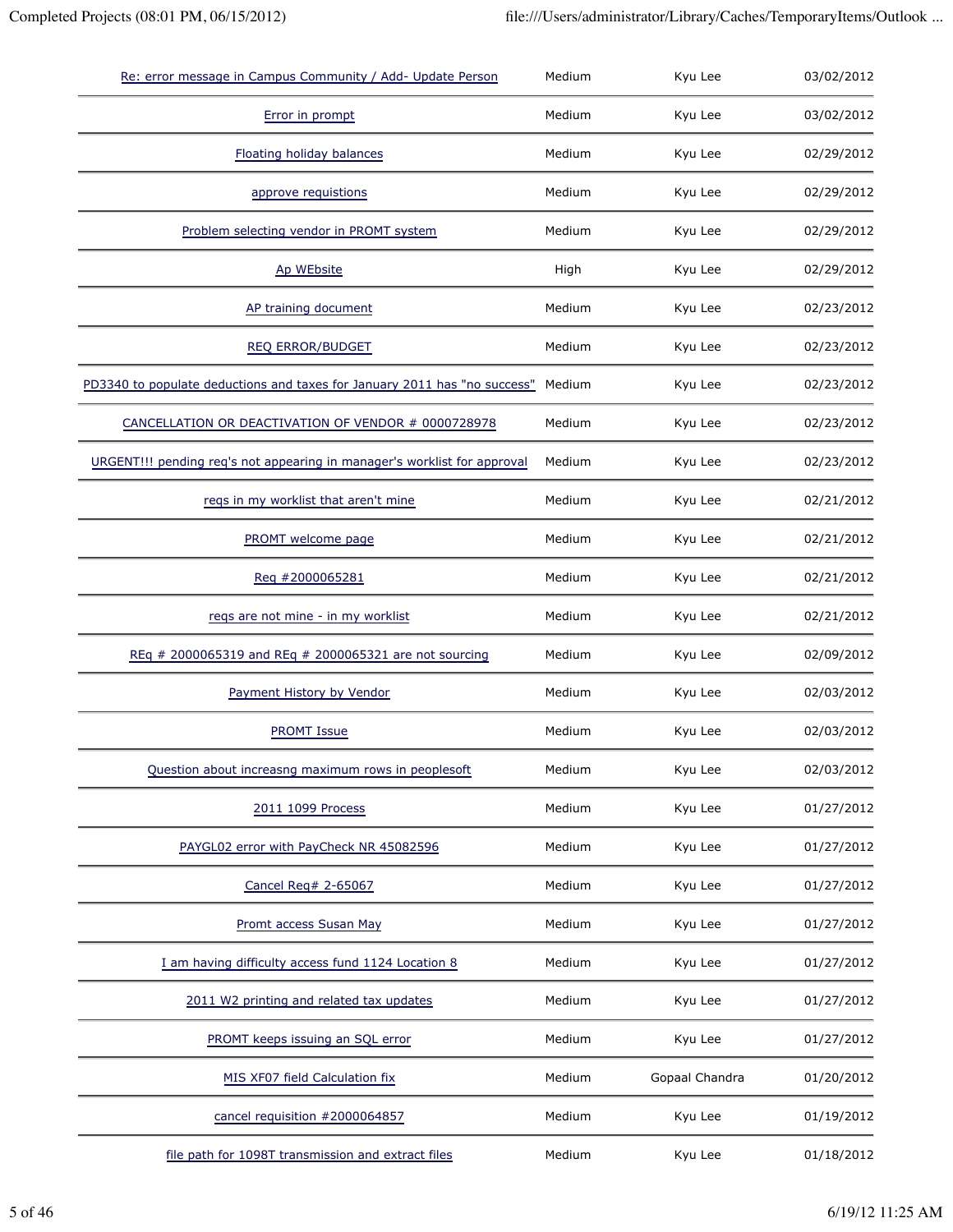| Re: error message in Campus Community / Add- Update Person                | Medium | Kyu Lee        | 03/02/2012 |
|---------------------------------------------------------------------------|--------|----------------|------------|
| Error in prompt                                                           | Medium | Kyu Lee        | 03/02/2012 |
| Floating holiday balances                                                 | Medium | Kyu Lee        | 02/29/2012 |
| approve requistions                                                       | Medium | Kyu Lee        | 02/29/2012 |
| Problem selecting vendor in PROMT system                                  | Medium | Kyu Lee        | 02/29/2012 |
| Ap WEbsite                                                                | High   | Kyu Lee        | 02/29/2012 |
| AP training document                                                      | Medium | Kyu Lee        | 02/23/2012 |
| <b>REQ ERROR/BUDGET</b>                                                   | Medium | Kyu Lee        | 02/23/2012 |
| PD3340 to populate deductions and taxes for January 2011 has "no success" | Medium | Kyu Lee        | 02/23/2012 |
| CANCELLATION OR DEACTIVATION OF VENDOR # 0000728978                       | Medium | Kyu Lee        | 02/23/2012 |
| URGENT!!! pending req's not appearing in manager's worklist for approval  | Medium | Kyu Lee        | 02/23/2012 |
| reqs in my worklist that aren't mine                                      | Medium | Kyu Lee        | 02/21/2012 |
| PROMT welcome page                                                        | Medium | Kyu Lee        | 02/21/2012 |
| Req #2000065281                                                           | Medium | Kyu Lee        | 02/21/2012 |
| reqs are not mine - in my worklist                                        | Medium | Kyu Lee        | 02/21/2012 |
| REq # 2000065319 and REq # 2000065321 are not sourcing                    | Medium | Kyu Lee        | 02/09/2012 |
| Payment History by Vendor                                                 | Medium | Kyu Lee        | 02/03/2012 |
| <b>PROMT Issue</b>                                                        | Medium | Kyu Lee        | 02/03/2012 |
| Question about increasng maximum rows in peoplesoft                       | Medium | Kyu Lee        | 02/03/2012 |
| 2011 1099 Process                                                         | Medium | Kyu Lee        | 01/27/2012 |
| PAYGL02 error with PayCheck NR 45082596                                   | Medium | Kyu Lee        | 01/27/2012 |
| Cancel Req# 2-65067                                                       | Medium | Kyu Lee        | 01/27/2012 |
| Promt access Susan May                                                    | Medium | Kyu Lee        | 01/27/2012 |
| I am having difficulty access fund 1124 Location 8                        | Medium | Kyu Lee        | 01/27/2012 |
| 2011 W2 printing and related tax updates                                  | Medium | Kyu Lee        | 01/27/2012 |
| PROMT keeps issuing an SQL error                                          | Medium | Kyu Lee        | 01/27/2012 |
| MIS XF07 field Calculation fix                                            | Medium | Gopaal Chandra | 01/20/2012 |
| cancel requisition #2000064857                                            | Medium | Kyu Lee        | 01/19/2012 |
| file path for 1098T transmission and extract files                        | Medium | Kyu Lee        | 01/18/2012 |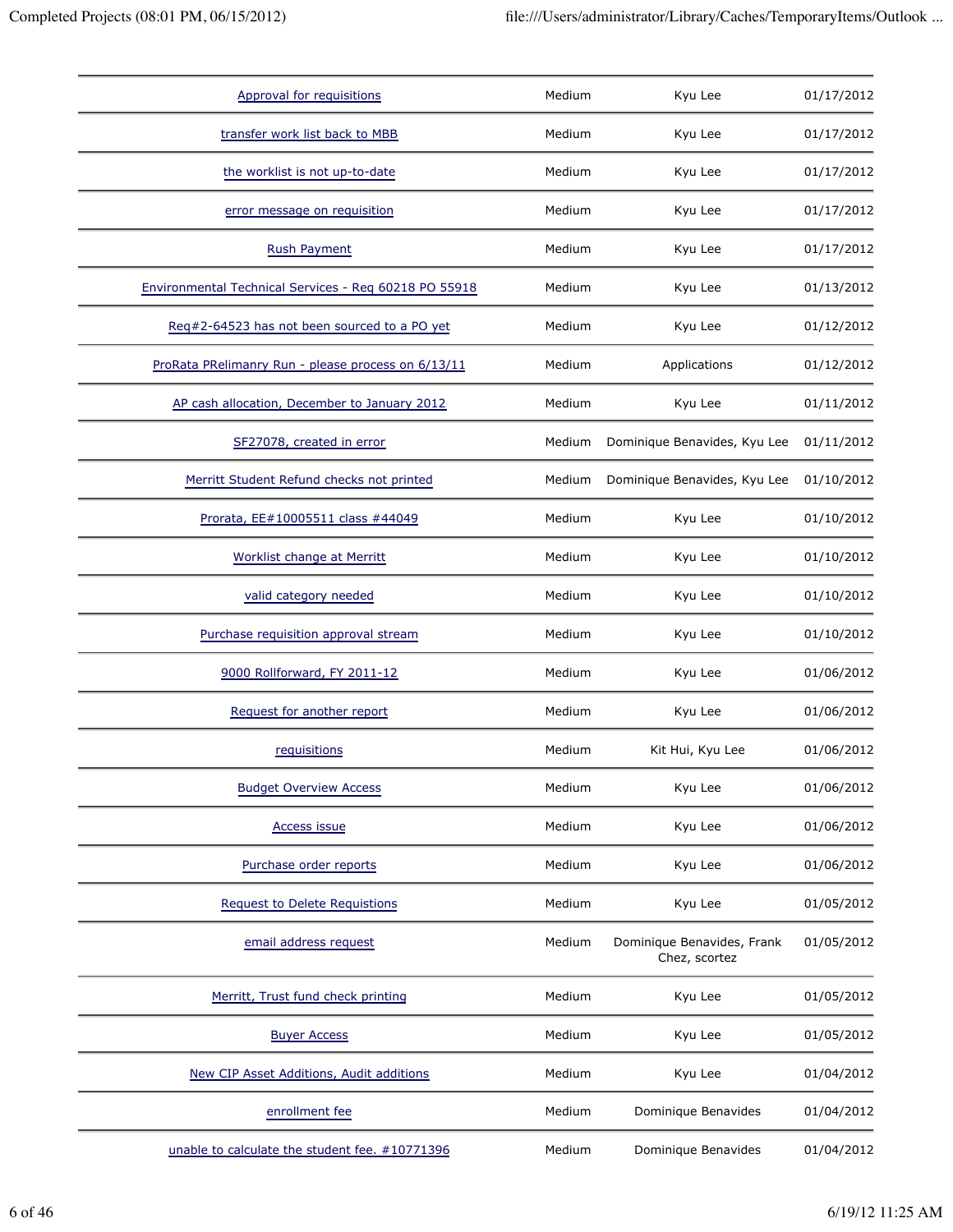| Approval for requisitions                             | Medium | Kyu Lee                                     | 01/17/2012 |
|-------------------------------------------------------|--------|---------------------------------------------|------------|
| transfer work list back to MBB                        | Medium | Kyu Lee                                     | 01/17/2012 |
| the worklist is not up-to-date                        | Medium | Kyu Lee                                     | 01/17/2012 |
| error message on requisition                          | Medium | Kyu Lee                                     | 01/17/2012 |
| <b>Rush Payment</b>                                   | Medium | Kyu Lee                                     | 01/17/2012 |
| Environmental Technical Services - Reg 60218 PO 55918 | Medium | Kyu Lee                                     | 01/13/2012 |
| Req#2-64523 has not been sourced to a PO yet          | Medium | Kyu Lee                                     | 01/12/2012 |
| ProRata PRelimanry Run - please process on 6/13/11    | Medium | Applications                                | 01/12/2012 |
| AP cash allocation, December to January 2012          | Medium | Kyu Lee                                     | 01/11/2012 |
| SF27078, created in error                             | Medium | Dominique Benavides, Kyu Lee                | 01/11/2012 |
| Merritt Student Refund checks not printed             | Medium | Dominique Benavides, Kyu Lee                | 01/10/2012 |
| Prorata, EE#10005511 class #44049                     | Medium | Kyu Lee                                     | 01/10/2012 |
| Worklist change at Merritt                            | Medium | Kyu Lee                                     | 01/10/2012 |
| valid category needed                                 | Medium | Kyu Lee                                     | 01/10/2012 |
| Purchase requisition approval stream                  | Medium | Kyu Lee                                     | 01/10/2012 |
| 9000 Rollforward, FY 2011-12                          | Medium | Kyu Lee                                     | 01/06/2012 |
| Request for another report                            | Medium | Kyu Lee                                     | 01/06/2012 |
| requisitions                                          | Medium | Kit Hui, Kyu Lee                            | 01/06/2012 |
| <b>Budget Overview Access</b>                         | Medium | Kyu Lee                                     | 01/06/2012 |
| <b>Access issue</b>                                   | Medium | Kyu Lee                                     | 01/06/2012 |
| Purchase order reports                                | Medium | Kyu Lee                                     | 01/06/2012 |
| <b>Request to Delete Requistions</b>                  | Medium | Kyu Lee                                     | 01/05/2012 |
| email address request                                 | Medium | Dominique Benavides, Frank<br>Chez, scortez | 01/05/2012 |
| Merritt, Trust fund check printing                    | Medium | Kyu Lee                                     | 01/05/2012 |
| <b>Buyer Access</b>                                   | Medium | Kyu Lee                                     | 01/05/2012 |
| New CIP Asset Additions, Audit additions              | Medium | Kyu Lee                                     | 01/04/2012 |
| enrollment fee                                        | Medium | Dominique Benavides                         | 01/04/2012 |
| unable to calculate the student fee. #10771396        | Medium | Dominique Benavides                         | 01/04/2012 |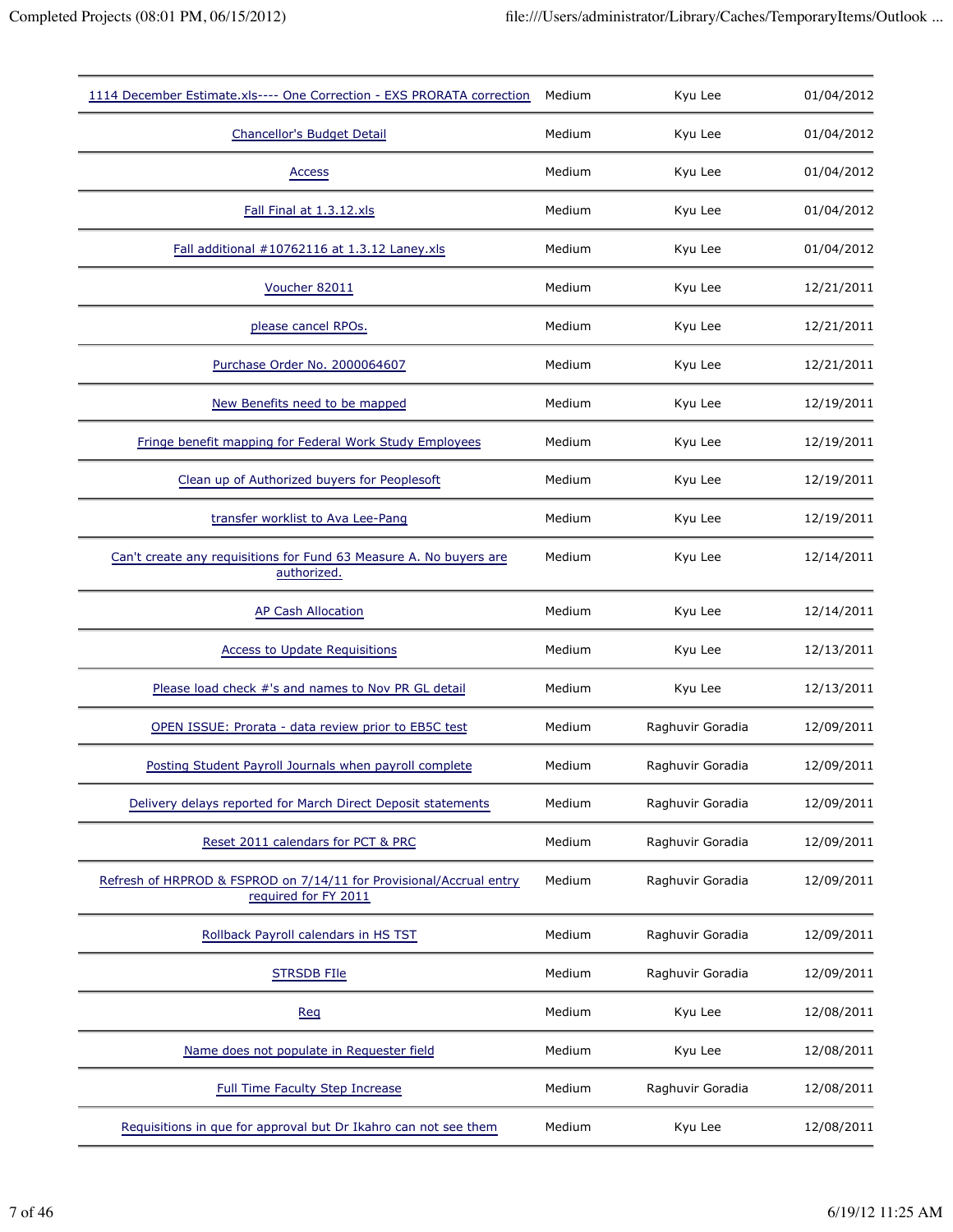| 1114 December Estimate.xls---- One Correction - EXS PRORATA correction                      | Medium | Kyu Lee          | 01/04/2012 |
|---------------------------------------------------------------------------------------------|--------|------------------|------------|
| Chancellor's Budget Detail                                                                  | Medium | Kyu Lee          | 01/04/2012 |
| <b>Access</b>                                                                               | Medium | Kyu Lee          | 01/04/2012 |
| Fall Final at 1.3.12.xls                                                                    | Medium | Kyu Lee          | 01/04/2012 |
| Fall additional #10762116 at 1.3.12 Laney.xls                                               | Medium | Kyu Lee          | 01/04/2012 |
| Voucher 82011                                                                               | Medium | Kyu Lee          | 12/21/2011 |
| please cancel RPOs.                                                                         | Medium | Kyu Lee          | 12/21/2011 |
| Purchase Order No. 2000064607                                                               | Medium | Kyu Lee          | 12/21/2011 |
| New Benefits need to be mapped                                                              | Medium | Kyu Lee          | 12/19/2011 |
| Fringe benefit mapping for Federal Work Study Employees                                     | Medium | Kyu Lee          | 12/19/2011 |
| Clean up of Authorized buyers for Peoplesoft                                                | Medium | Kyu Lee          | 12/19/2011 |
| transfer worklist to Ava Lee-Pang                                                           | Medium | Kyu Lee          | 12/19/2011 |
| Can't create any requisitions for Fund 63 Measure A. No buyers are<br>authorized.           | Medium | Kyu Lee          | 12/14/2011 |
| AP Cash Allocation                                                                          | Medium | Kyu Lee          | 12/14/2011 |
| <b>Access to Update Requisitions</b>                                                        | Medium | Kyu Lee          | 12/13/2011 |
| Please load check #'s and names to Nov PR GL detail                                         | Medium | Kyu Lee          | 12/13/2011 |
| OPEN ISSUE: Prorata - data review prior to EB5C test                                        | Medium | Raghuvir Goradia | 12/09/2011 |
| Posting Student Payroll Journals when payroll complete                                      | Medium | Raghuvir Goradia | 12/09/2011 |
| Delivery delays reported for March Direct Deposit statements                                | Medium | Raghuvir Goradia | 12/09/2011 |
| Reset 2011 calendars for PCT & PRC                                                          | Medium | Raghuvir Goradia | 12/09/2011 |
| Refresh of HRPROD & FSPROD on 7/14/11 for Provisional/Accrual entry<br>required for FY 2011 | Medium | Raghuvir Goradia | 12/09/2011 |
| Rollback Payroll calendars in HS TST                                                        | Medium | Raghuvir Goradia | 12/09/2011 |
| <b>STRSDB FIIe</b>                                                                          | Medium | Raghuvir Goradia | 12/09/2011 |
| <b>Req</b>                                                                                  | Medium | Kyu Lee          | 12/08/2011 |
| Name does not populate in Requester field                                                   | Medium | Kyu Lee          | 12/08/2011 |
| <b>Full Time Faculty Step Increase</b>                                                      | Medium | Raghuvir Goradia | 12/08/2011 |
| Requisitions in que for approval but Dr Ikahro can not see them                             | Medium | Kyu Lee          | 12/08/2011 |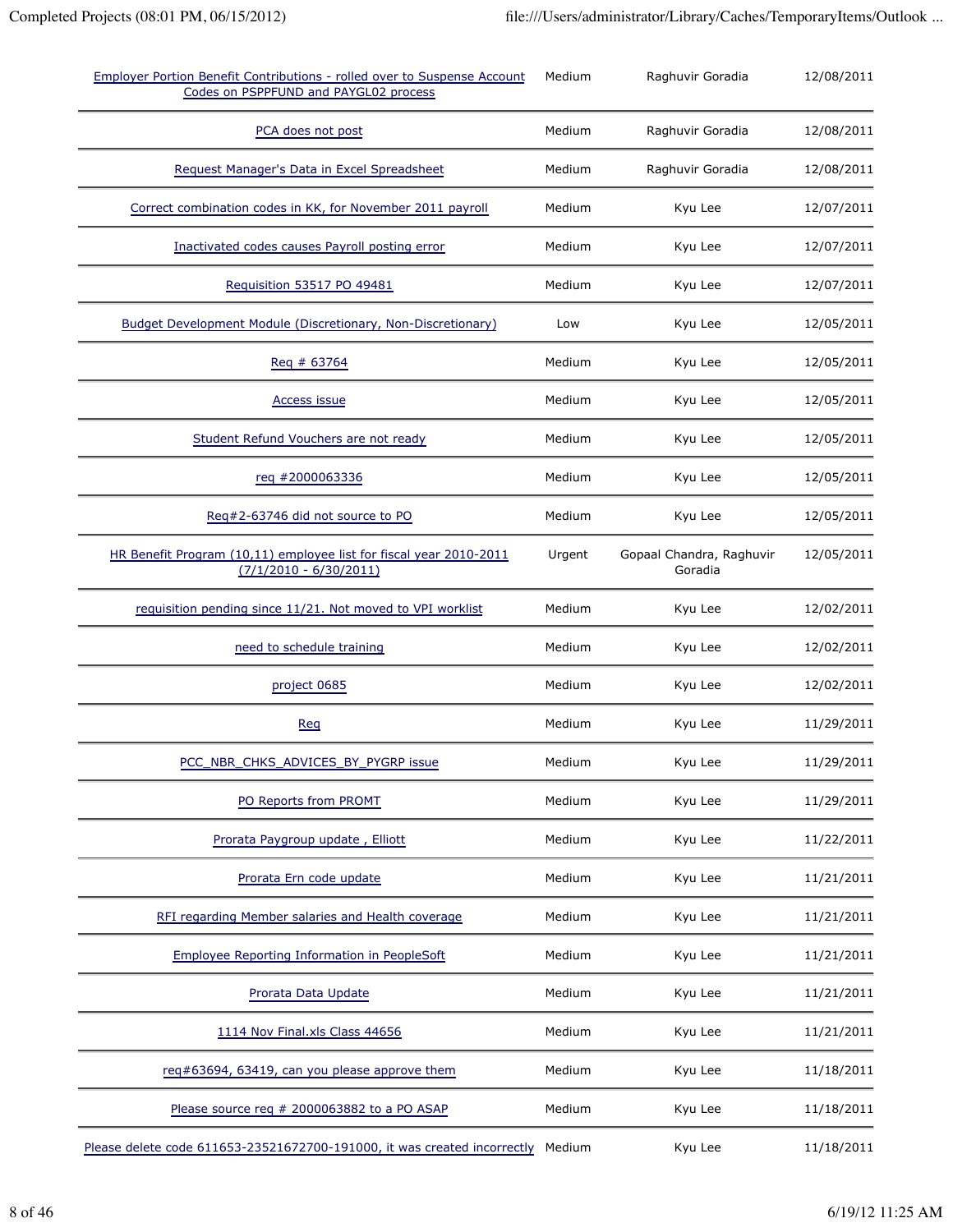| Employer Portion Benefit Contributions - rolled over to Suspense Account<br>Codes on PSPPFUND and PAYGL02 process | Medium | Raghuvir Goradia                    | 12/08/2011 |
|-------------------------------------------------------------------------------------------------------------------|--------|-------------------------------------|------------|
| PCA does not post                                                                                                 | Medium | Raghuvir Goradia                    | 12/08/2011 |
| Request Manager's Data in Excel Spreadsheet                                                                       | Medium | Raghuvir Goradia                    | 12/08/2011 |
| Correct combination codes in KK, for November 2011 payroll                                                        | Medium | Kyu Lee                             | 12/07/2011 |
| Inactivated codes causes Payroll posting error                                                                    | Medium | Kyu Lee                             | 12/07/2011 |
| Requisition 53517 PO 49481                                                                                        | Medium | Kyu Lee                             | 12/07/2011 |
| Budget Development Module (Discretionary, Non-Discretionary)                                                      | Low    | Kyu Lee                             | 12/05/2011 |
| Req # 63764                                                                                                       | Medium | Kyu Lee                             | 12/05/2011 |
| <b>Access issue</b>                                                                                               | Medium | Kyu Lee                             | 12/05/2011 |
| Student Refund Vouchers are not ready                                                                             | Medium | Kyu Lee                             | 12/05/2011 |
| req #2000063336                                                                                                   | Medium | Kyu Lee                             | 12/05/2011 |
| Req#2-63746 did not source to PO                                                                                  | Medium | Kyu Lee                             | 12/05/2011 |
| HR Benefit Program (10,11) employee list for fiscal year 2010-2011<br>$(7/1/2010 - 6/30/2011)$                    | Urgent | Gopaal Chandra, Raghuvir<br>Goradia | 12/05/2011 |
| requisition pending since 11/21. Not moved to VPI worklist                                                        | Medium | Kyu Lee                             | 12/02/2011 |
| need to schedule training                                                                                         | Medium | Kyu Lee                             | 12/02/2011 |
| project 0685                                                                                                      | Medium | Kyu Lee                             | 12/02/2011 |
| <b>Reg</b>                                                                                                        | Medium | Kyu Lee                             | 11/29/2011 |
| PCC NBR CHKS ADVICES BY PYGRP issue                                                                               | Medium | Kyu Lee                             | 11/29/2011 |
| PO Reports from PROMT                                                                                             | Medium | Kyu Lee                             | 11/29/2011 |
| Prorata Paygroup update, Elliott                                                                                  | Medium | Kyu Lee                             | 11/22/2011 |
| Prorata Ern code update                                                                                           | Medium | Kyu Lee                             | 11/21/2011 |
| RFI regarding Member salaries and Health coverage                                                                 | Medium | Kyu Lee                             | 11/21/2011 |
| <b>Employee Reporting Information in PeopleSoft</b>                                                               | Medium | Kyu Lee                             | 11/21/2011 |
| Prorata Data Update                                                                                               | Medium | Kyu Lee                             | 11/21/2011 |
| 1114 Nov Final.xls Class 44656                                                                                    | Medium | Kyu Lee                             | 11/21/2011 |
| req#63694, 63419, can you please approve them                                                                     | Medium | Kyu Lee                             | 11/18/2011 |
| Please source req # 2000063882 to a PO ASAP                                                                       | Medium | Kyu Lee                             | 11/18/2011 |
| Please delete code 611653-23521672700-191000, it was created incorrectly Medium                                   |        | Kyu Lee                             | 11/18/2011 |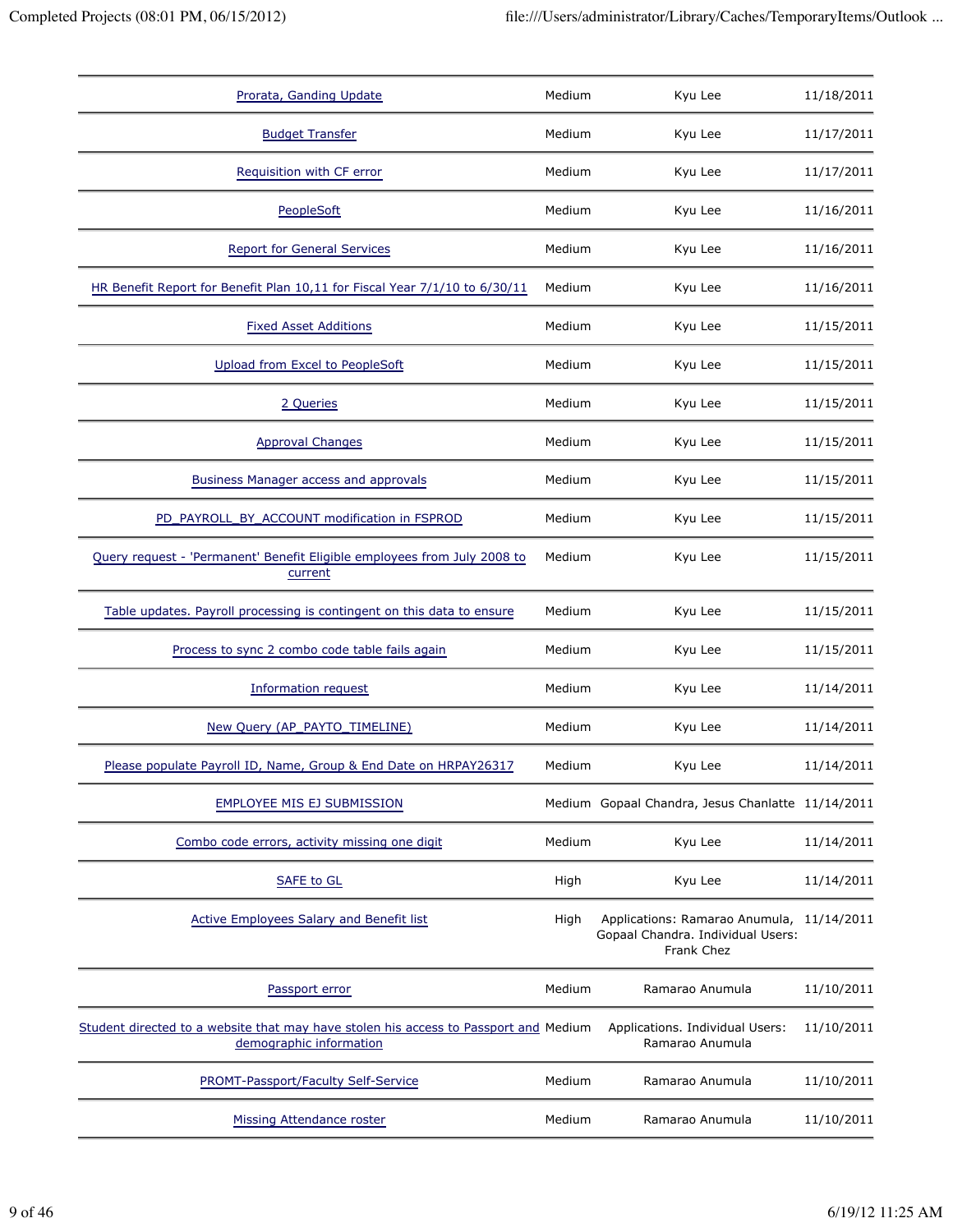| Prorata, Ganding Update                                                                                         | Medium | Kyu Lee                                                                                      | 11/18/2011 |
|-----------------------------------------------------------------------------------------------------------------|--------|----------------------------------------------------------------------------------------------|------------|
| <b>Budget Transfer</b>                                                                                          | Medium | Kyu Lee                                                                                      | 11/17/2011 |
| Requisition with CF error                                                                                       | Medium | Kyu Lee                                                                                      | 11/17/2011 |
| PeopleSoft                                                                                                      | Medium | Kyu Lee                                                                                      | 11/16/2011 |
| <b>Report for General Services</b>                                                                              | Medium | Kyu Lee                                                                                      | 11/16/2011 |
| HR Benefit Report for Benefit Plan 10,11 for Fiscal Year 7/1/10 to 6/30/11                                      | Medium | Kyu Lee                                                                                      | 11/16/2011 |
| <b>Fixed Asset Additions</b>                                                                                    | Medium | Kyu Lee                                                                                      | 11/15/2011 |
| Upload from Excel to PeopleSoft                                                                                 | Medium | Kyu Lee                                                                                      | 11/15/2011 |
| 2 Queries                                                                                                       | Medium | Kyu Lee                                                                                      | 11/15/2011 |
| <b>Approval Changes</b>                                                                                         | Medium | Kyu Lee                                                                                      | 11/15/2011 |
| <b>Business Manager access and approvals</b>                                                                    | Medium | Kyu Lee                                                                                      | 11/15/2011 |
| PD PAYROLL BY ACCOUNT modification in FSPROD                                                                    | Medium | Kyu Lee                                                                                      | 11/15/2011 |
| Query request - 'Permanent' Benefit Eligible employees from July 2008 to<br>current                             | Medium | Kyu Lee                                                                                      | 11/15/2011 |
| Table updates. Payroll processing is contingent on this data to ensure                                          | Medium | Kyu Lee                                                                                      | 11/15/2011 |
| Process to sync 2 combo code table fails again                                                                  | Medium | Kyu Lee                                                                                      | 11/15/2011 |
| <b>Information request</b>                                                                                      | Medium | Kyu Lee                                                                                      | 11/14/2011 |
| New Query (AP_PAYTO_TIMELINE)                                                                                   | Medium | Kyu Lee                                                                                      | 11/14/2011 |
| Please populate Payroll ID, Name, Group & End Date on HRPAY26317                                                | Medium | Kyu Lee                                                                                      | 11/14/2011 |
| EMPLOYEE MIS EJ SUBMISSION                                                                                      |        | Medium Gopaal Chandra, Jesus Chanlatte 11/14/2011                                            |            |
| Combo code errors, activity missing one digit                                                                   | Medium | Kyu Lee                                                                                      | 11/14/2011 |
| <b>SAFE to GL</b>                                                                                               | High   | Kyu Lee                                                                                      | 11/14/2011 |
| <b>Active Employees Salary and Benefit list</b>                                                                 | High   | Applications: Ramarao Anumula, 11/14/2011<br>Gopaal Chandra. Individual Users:<br>Frank Chez |            |
| Passport error                                                                                                  | Medium | Ramarao Anumula                                                                              | 11/10/2011 |
| Student directed to a website that may have stolen his access to Passport and Medium<br>demographic information |        | Applications. Individual Users:<br>Ramarao Anumula                                           | 11/10/2011 |
| PROMT-Passport/Faculty Self-Service                                                                             | Medium | Ramarao Anumula                                                                              | 11/10/2011 |
| <b>Missing Attendance roster</b>                                                                                | Medium | Ramarao Anumula                                                                              | 11/10/2011 |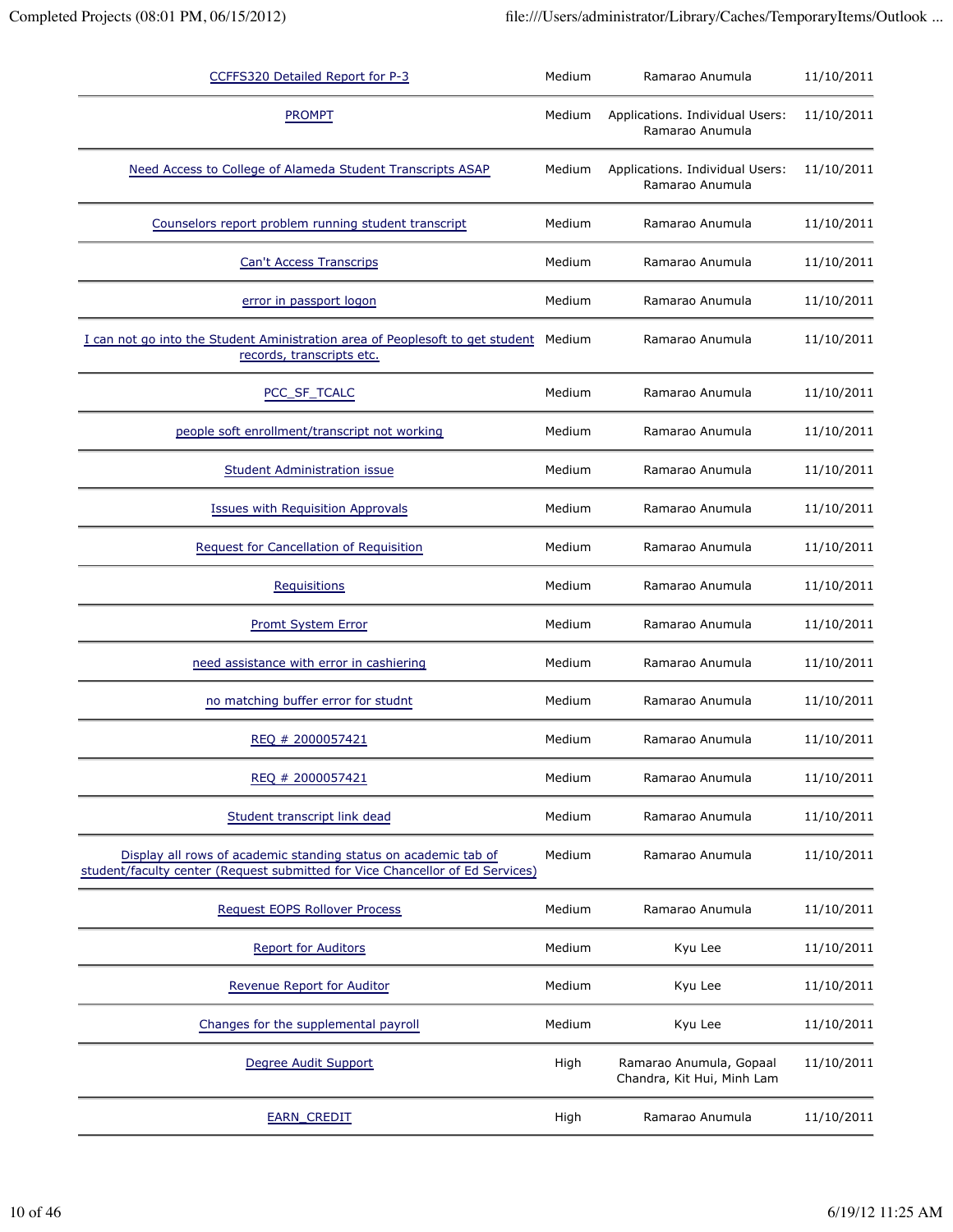| CCFFS320 Detailed Report for P-3                                                                                                                 | Medium | Ramarao Anumula                                       | 11/10/2011 |
|--------------------------------------------------------------------------------------------------------------------------------------------------|--------|-------------------------------------------------------|------------|
| <b>PROMPT</b>                                                                                                                                    | Medium | Applications. Individual Users:<br>Ramarao Anumula    | 11/10/2011 |
| Need Access to College of Alameda Student Transcripts ASAP                                                                                       | Medium | Applications. Individual Users:<br>Ramarao Anumula    | 11/10/2011 |
| Counselors report problem running student transcript                                                                                             | Medium | Ramarao Anumula                                       | 11/10/2011 |
| <b>Can't Access Transcrips</b>                                                                                                                   | Medium | Ramarao Anumula                                       | 11/10/2011 |
| error in passport logon                                                                                                                          | Medium | Ramarao Anumula                                       | 11/10/2011 |
| I can not go into the Student Aministration area of Peoplesoft to get student<br>records, transcripts etc.                                       | Medium | Ramarao Anumula                                       | 11/10/2011 |
| PCC_SF_TCALC                                                                                                                                     | Medium | Ramarao Anumula                                       | 11/10/2011 |
| people soft enrollment/transcript not working                                                                                                    | Medium | Ramarao Anumula                                       | 11/10/2011 |
| <b>Student Administration issue</b>                                                                                                              | Medium | Ramarao Anumula                                       | 11/10/2011 |
| <b>Issues with Requisition Approvals</b>                                                                                                         | Medium | Ramarao Anumula                                       | 11/10/2011 |
| Request for Cancellation of Requisition                                                                                                          | Medium | Ramarao Anumula                                       | 11/10/2011 |
| <b>Requisitions</b>                                                                                                                              | Medium | Ramarao Anumula                                       | 11/10/2011 |
| <b>Promt System Error</b>                                                                                                                        | Medium | Ramarao Anumula                                       | 11/10/2011 |
| need assistance with error in cashiering                                                                                                         | Medium | Ramarao Anumula                                       | 11/10/2011 |
| no matching buffer error for studnt                                                                                                              | Medium | Ramarao Anumula                                       | 11/10/2011 |
| REQ # 2000057421                                                                                                                                 | Medium | Ramarao Anumula                                       | 11/10/2011 |
| REQ # 2000057421                                                                                                                                 | Medium | Ramarao Anumula                                       | 11/10/2011 |
| Student transcript link dead                                                                                                                     | Medium | Ramarao Anumula                                       | 11/10/2011 |
| Display all rows of academic standing status on academic tab of<br>student/faculty center (Request submitted for Vice Chancellor of Ed Services) | Medium | Ramarao Anumula                                       | 11/10/2011 |
| Request EOPS Rollover Process                                                                                                                    | Medium | Ramarao Anumula                                       | 11/10/2011 |
| <b>Report for Auditors</b>                                                                                                                       | Medium | Kyu Lee                                               | 11/10/2011 |
| <b>Revenue Report for Auditor</b>                                                                                                                | Medium | Kyu Lee                                               | 11/10/2011 |
| Changes for the supplemental payroll                                                                                                             | Medium | Kyu Lee                                               | 11/10/2011 |
| Degree Audit Support                                                                                                                             | High   | Ramarao Anumula, Gopaal<br>Chandra, Kit Hui, Minh Lam | 11/10/2011 |
| <b>EARN_CREDIT</b>                                                                                                                               | High   | Ramarao Anumula                                       | 11/10/2011 |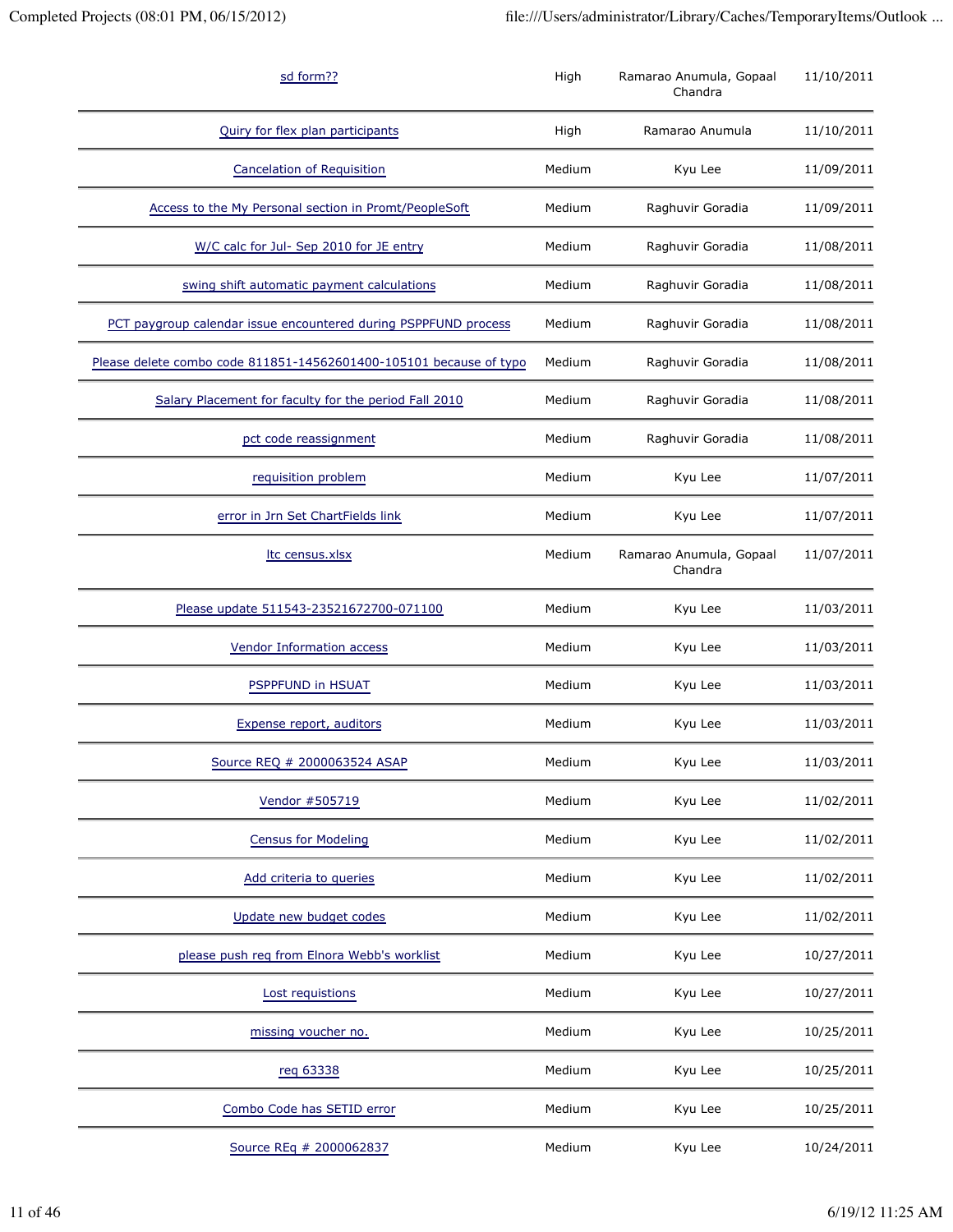| sd form??                                                          | High   | Ramarao Anumula, Gopaal<br>Chandra | 11/10/2011 |
|--------------------------------------------------------------------|--------|------------------------------------|------------|
| Quiry for flex plan participants                                   | High   | Ramarao Anumula                    | 11/10/2011 |
| <b>Cancelation of Requisition</b>                                  | Medium | Kyu Lee                            | 11/09/2011 |
| Access to the My Personal section in Promt/PeopleSoft              | Medium | Raghuvir Goradia                   | 11/09/2011 |
| W/C calc for Jul- Sep 2010 for JE entry                            | Medium | Raghuvir Goradia                   | 11/08/2011 |
| swing shift automatic payment calculations                         | Medium | Raghuvir Goradia                   | 11/08/2011 |
| PCT paygroup calendar issue encountered during PSPPFUND process    | Medium | Raghuvir Goradia                   | 11/08/2011 |
| Please delete combo code 811851-14562601400-105101 because of typo | Medium | Raghuvir Goradia                   | 11/08/2011 |
| Salary Placement for faculty for the period Fall 2010              | Medium | Raghuvir Goradia                   | 11/08/2011 |
| pct code reassignment                                              | Medium | Raghuvir Goradia                   | 11/08/2011 |
| requisition problem                                                | Medium | Kyu Lee                            | 11/07/2011 |
| error in Jrn Set ChartFields link                                  | Medium | Kyu Lee                            | 11/07/2011 |
| Itc census.xlsx                                                    | Medium | Ramarao Anumula, Gopaal<br>Chandra | 11/07/2011 |
| Please update 511543-23521672700-071100                            | Medium | Kyu Lee                            | 11/03/2011 |
| <b>Vendor Information access</b>                                   | Medium | Kyu Lee                            | 11/03/2011 |
| PSPPFUND in HSUAT                                                  | Medium | Kyu Lee                            | 11/03/2011 |
| Expense report, auditors                                           | Medium | Kyu Lee                            | 11/03/2011 |
| Source REQ # 2000063524 ASAP                                       | Medium | Kyu Lee                            | 11/03/2011 |
| Vendor #505719                                                     | Medium | Kyu Lee                            | 11/02/2011 |
| <b>Census for Modeling</b>                                         | Medium | Kyu Lee                            | 11/02/2011 |
| Add criteria to queries                                            | Medium | Kyu Lee                            | 11/02/2011 |
| Update new budget codes                                            | Medium | Kyu Lee                            | 11/02/2011 |
| please push req from Elnora Webb's worklist                        | Medium | Kyu Lee                            | 10/27/2011 |
| Lost requistions                                                   | Medium | Kyu Lee                            | 10/27/2011 |
| missing voucher no.                                                | Medium | Kyu Lee                            | 10/25/2011 |
| reg 63338                                                          | Medium | Kyu Lee                            | 10/25/2011 |
| Combo Code has SETID error                                         | Medium | Kyu Lee                            | 10/25/2011 |
| Source REq # 2000062837                                            | Medium | Kyu Lee                            | 10/24/2011 |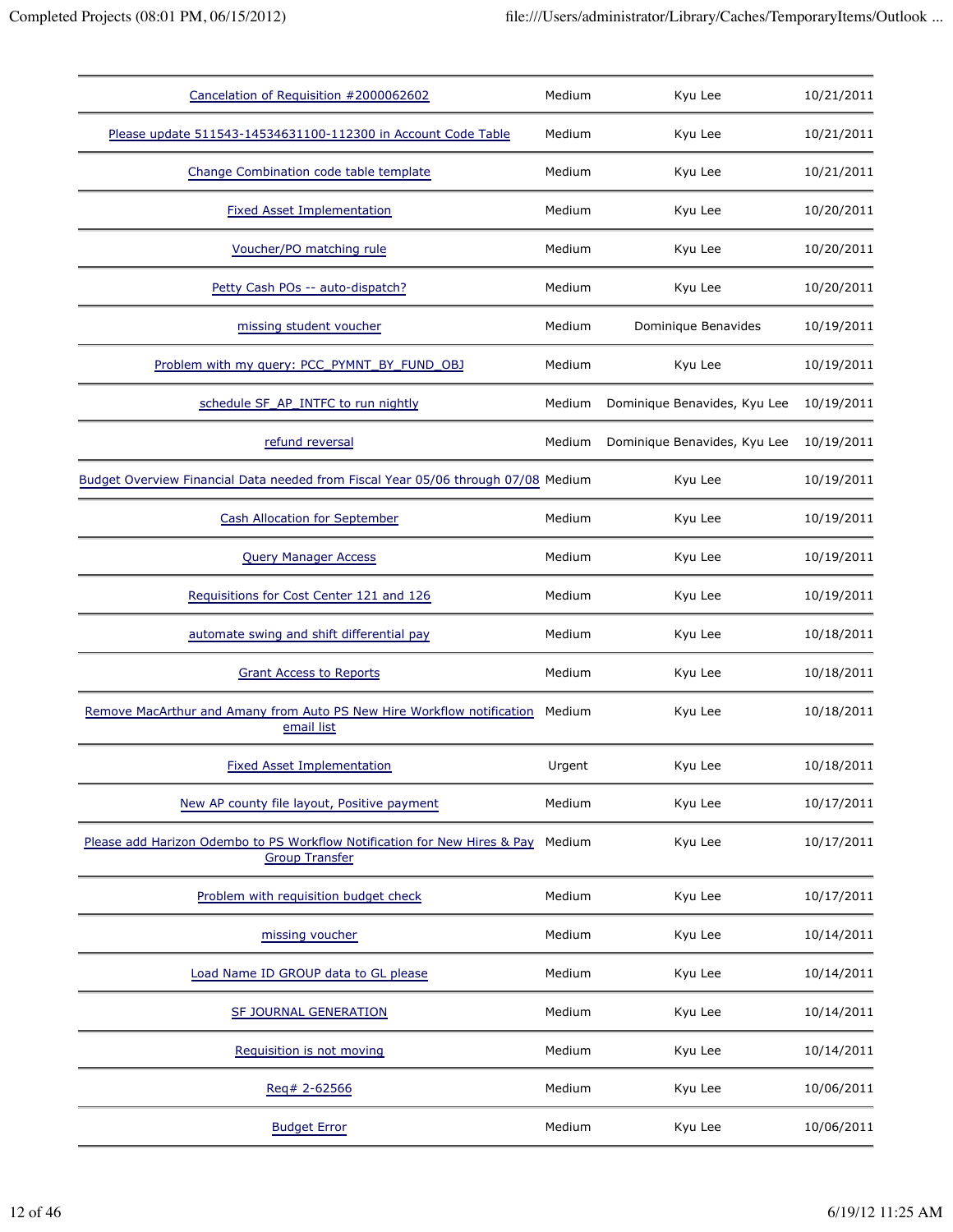| Cancelation of Requisition #2000062602                                                             | Medium | Kyu Lee                      | 10/21/2011 |
|----------------------------------------------------------------------------------------------------|--------|------------------------------|------------|
| Please update 511543-14534631100-112300 in Account Code Table                                      | Medium | Kyu Lee                      | 10/21/2011 |
| Change Combination code table template                                                             | Medium | Kyu Lee                      | 10/21/2011 |
| <b>Fixed Asset Implementation</b>                                                                  | Medium | Kyu Lee                      | 10/20/2011 |
| Voucher/PO matching rule                                                                           | Medium | Kyu Lee                      | 10/20/2011 |
| Petty Cash POs -- auto-dispatch?                                                                   | Medium | Kyu Lee                      | 10/20/2011 |
| missing student voucher                                                                            | Medium | Dominique Benavides          | 10/19/2011 |
| Problem with my query: PCC PYMNT BY FUND OBJ                                                       | Medium | Kyu Lee                      | 10/19/2011 |
| schedule SF_AP_INTFC to run nightly                                                                | Medium | Dominique Benavides, Kyu Lee | 10/19/2011 |
| refund reversal                                                                                    | Medium | Dominique Benavides, Kyu Lee | 10/19/2011 |
| Budget Overview Financial Data needed from Fiscal Year 05/06 through 07/08 Medium                  |        | Kyu Lee                      | 10/19/2011 |
| <b>Cash Allocation for September</b>                                                               | Medium | Kyu Lee                      | 10/19/2011 |
| <b>Query Manager Access</b>                                                                        | Medium | Kyu Lee                      | 10/19/2011 |
| Requisitions for Cost Center 121 and 126                                                           | Medium | Kyu Lee                      | 10/19/2011 |
| automate swing and shift differential pay                                                          | Medium | Kyu Lee                      | 10/18/2011 |
| <b>Grant Access to Reports</b>                                                                     | Medium | Kyu Lee                      | 10/18/2011 |
| Remove MacArthur and Amany from Auto PS New Hire Workflow notification<br>email list               | Medium | Kyu Lee                      | 10/18/2011 |
| <b>Fixed Asset Implementation</b>                                                                  | Urgent | Kyu Lee                      | 10/18/2011 |
| New AP county file layout, Positive payment                                                        | Medium | Kyu Lee                      | 10/17/2011 |
| Please add Harizon Odembo to PS Workflow Notification for New Hires & Pay<br><b>Group Transfer</b> | Medium | Kyu Lee                      | 10/17/2011 |
| Problem with requisition budget check                                                              | Medium | Kyu Lee                      | 10/17/2011 |
| missing voucher                                                                                    | Medium | Kyu Lee                      | 10/14/2011 |
| Load Name ID GROUP data to GL please                                                               | Medium | Kyu Lee                      | 10/14/2011 |
| SF JOURNAL GENERATION                                                                              | Medium | Kyu Lee                      | 10/14/2011 |
| Requisition is not moving                                                                          | Medium | Kyu Lee                      | 10/14/2011 |
| Req# 2-62566                                                                                       | Medium | Kyu Lee                      | 10/06/2011 |
| <b>Budget Error</b>                                                                                | Medium | Kyu Lee                      | 10/06/2011 |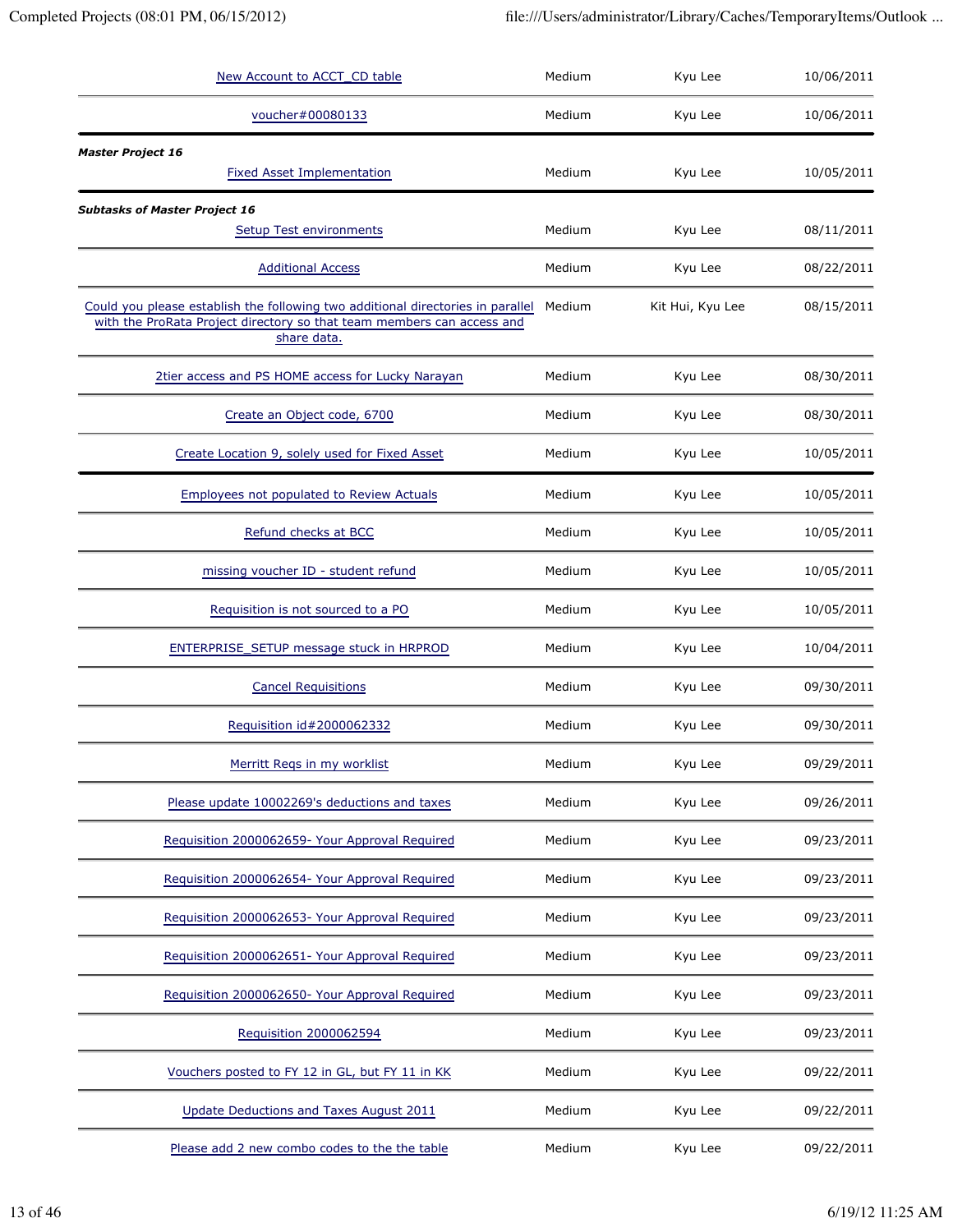| New Account to ACCT_CD table                                                                                                                                             | Medium | Kyu Lee          | 10/06/2011 |
|--------------------------------------------------------------------------------------------------------------------------------------------------------------------------|--------|------------------|------------|
| voucher#00080133                                                                                                                                                         | Medium | Kyu Lee          | 10/06/2011 |
| <b>Master Project 16</b><br><b>Fixed Asset Implementation</b>                                                                                                            | Medium | Kyu Lee          | 10/05/2011 |
| <b>Subtasks of Master Project 16</b><br>Setup Test environments                                                                                                          | Medium | Kyu Lee          | 08/11/2011 |
| <b>Additional Access</b>                                                                                                                                                 | Medium | Kyu Lee          | 08/22/2011 |
| Could you please establish the following two additional directories in parallel<br>with the ProRata Project directory so that team members can access and<br>share data. | Medium | Kit Hui, Kyu Lee | 08/15/2011 |
| 2tier access and PS HOME access for Lucky Narayan                                                                                                                        | Medium | Kyu Lee          | 08/30/2011 |
| Create an Object code, 6700                                                                                                                                              | Medium | Kyu Lee          | 08/30/2011 |
| Create Location 9, solely used for Fixed Asset                                                                                                                           | Medium | Kyu Lee          | 10/05/2011 |
| <b>Employees not populated to Review Actuals</b>                                                                                                                         | Medium | Kyu Lee          | 10/05/2011 |
| Refund checks at BCC                                                                                                                                                     | Medium | Kyu Lee          | 10/05/2011 |
| missing voucher ID - student refund                                                                                                                                      | Medium | Kyu Lee          | 10/05/2011 |
| Requisition is not sourced to a PO                                                                                                                                       | Medium | Kyu Lee          | 10/05/2011 |
| ENTERPRISE_SETUP message stuck in HRPROD                                                                                                                                 | Medium | Kyu Lee          | 10/04/2011 |
| <b>Cancel Requisitions</b>                                                                                                                                               | Medium | Kyu Lee          | 09/30/2011 |
| Requisition id#2000062332                                                                                                                                                | Medium | Kyu Lee          | 09/30/2011 |
| Merritt Regs in my worklist                                                                                                                                              | Medium | Kyu Lee          | 09/29/2011 |
| Please update 10002269's deductions and taxes                                                                                                                            | Medium | Kyu Lee          | 09/26/2011 |
| Requisition 2000062659- Your Approval Required                                                                                                                           | Medium | Kyu Lee          | 09/23/2011 |
| Requisition 2000062654- Your Approval Required                                                                                                                           | Medium | Kyu Lee          | 09/23/2011 |
| Requisition 2000062653- Your Approval Required                                                                                                                           | Medium | Kyu Lee          | 09/23/2011 |
| Requisition 2000062651- Your Approval Required                                                                                                                           | Medium | Kyu Lee          | 09/23/2011 |
| Requisition 2000062650- Your Approval Required                                                                                                                           | Medium | Kyu Lee          | 09/23/2011 |
| Requisition 2000062594                                                                                                                                                   | Medium | Kyu Lee          | 09/23/2011 |
| Vouchers posted to FY 12 in GL, but FY 11 in KK                                                                                                                          | Medium | Kyu Lee          | 09/22/2011 |
| Update Deductions and Taxes August 2011                                                                                                                                  | Medium | Kyu Lee          | 09/22/2011 |
| Please add 2 new combo codes to the the table                                                                                                                            | Medium | Kyu Lee          | 09/22/2011 |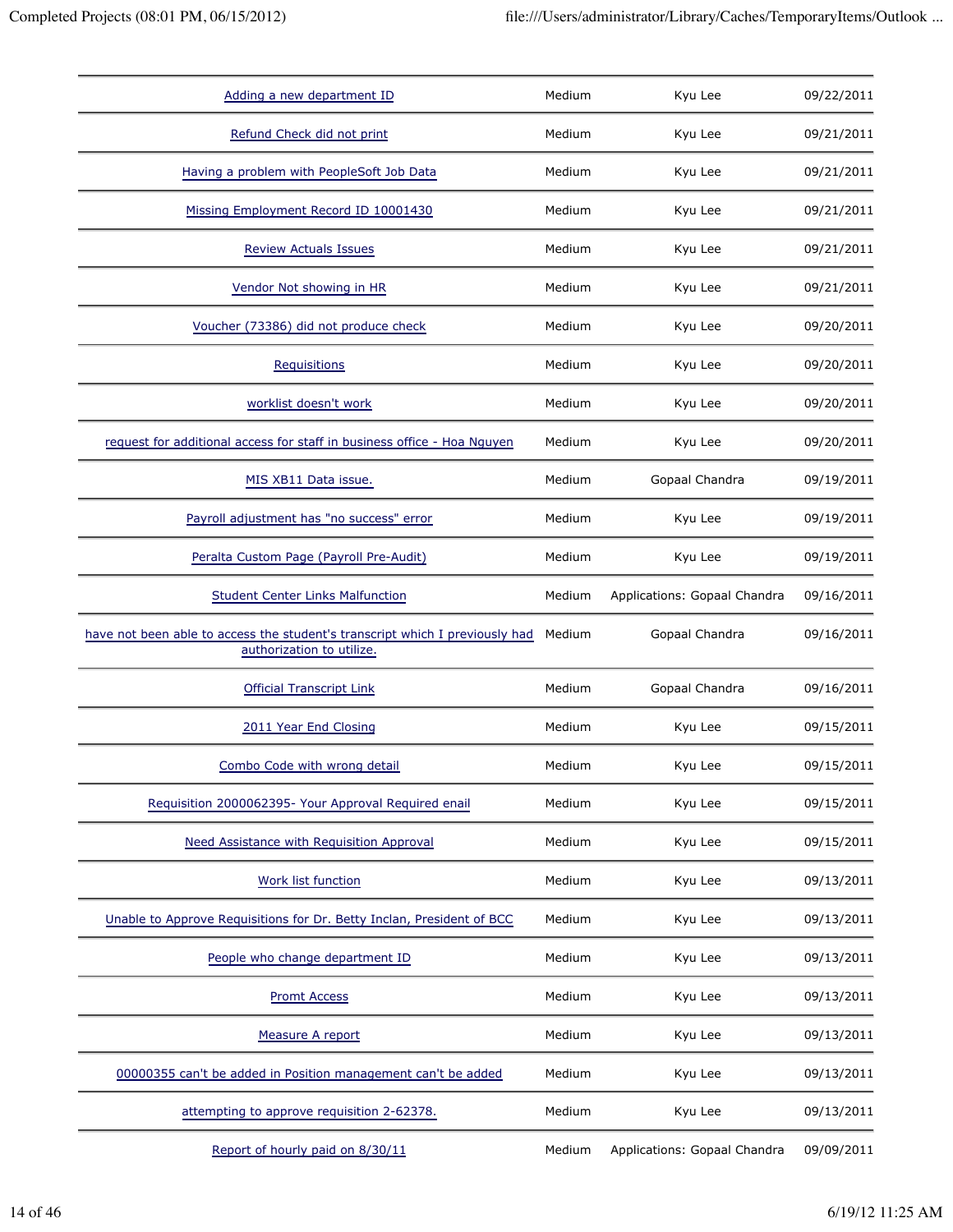| Adding a new department ID                                                                                | Medium | Kyu Lee                      | 09/22/2011 |
|-----------------------------------------------------------------------------------------------------------|--------|------------------------------|------------|
| Refund Check did not print                                                                                | Medium | Kyu Lee                      | 09/21/2011 |
| Having a problem with PeopleSoft Job Data                                                                 | Medium | Kyu Lee                      | 09/21/2011 |
| Missing Employment Record ID 10001430                                                                     | Medium | Kyu Lee                      | 09/21/2011 |
| <b>Review Actuals Issues</b>                                                                              | Medium | Kyu Lee                      | 09/21/2011 |
| Vendor Not showing in HR                                                                                  | Medium | Kyu Lee                      | 09/21/2011 |
| Voucher (73386) did not produce check                                                                     | Medium | Kyu Lee                      | 09/20/2011 |
| <b>Requisitions</b>                                                                                       | Medium | Kyu Lee                      | 09/20/2011 |
| worklist doesn't work                                                                                     | Medium | Kyu Lee                      | 09/20/2011 |
| request for additional access for staff in business office - Hoa Nguyen                                   | Medium | Kyu Lee                      | 09/20/2011 |
| MIS XB11 Data issue.                                                                                      | Medium | Gopaal Chandra               | 09/19/2011 |
| Payroll adjustment has "no success" error                                                                 | Medium | Kyu Lee                      | 09/19/2011 |
| Peralta Custom Page (Payroll Pre-Audit)                                                                   | Medium | Kyu Lee                      | 09/19/2011 |
| <b>Student Center Links Malfunction</b>                                                                   | Medium | Applications: Gopaal Chandra | 09/16/2011 |
| have not been able to access the student's transcript which I previously had<br>authorization to utilize. | Medium | Gopaal Chandra               | 09/16/2011 |
| <b>Official Transcript Link</b>                                                                           | Medium | Gopaal Chandra               | 09/16/2011 |
| 2011 Year End Closing                                                                                     | Medium | Kyu Lee                      | 09/15/2011 |
| Combo Code with wrong detail                                                                              | Medium | Kyu Lee                      | 09/15/2011 |
| Requisition 2000062395- Your Approval Required enail                                                      | Medium | Kyu Lee                      | 09/15/2011 |
| Need Assistance with Requisition Approval                                                                 | Medium | Kyu Lee                      | 09/15/2011 |
| Work list function                                                                                        | Medium | Kyu Lee                      | 09/13/2011 |
| Unable to Approve Requisitions for Dr. Betty Inclan, President of BCC                                     |        |                              |            |
|                                                                                                           | Medium | Kyu Lee                      | 09/13/2011 |
| People who change department ID                                                                           | Medium | Kyu Lee                      | 09/13/2011 |
| <b>Promt Access</b>                                                                                       | Medium | Kyu Lee                      | 09/13/2011 |
| Measure A report                                                                                          | Medium | Kyu Lee                      | 09/13/2011 |
| 00000355 can't be added in Position management can't be added                                             | Medium | Kyu Lee                      | 09/13/2011 |
| attempting to approve requisition 2-62378.                                                                | Medium | Kyu Lee                      | 09/13/2011 |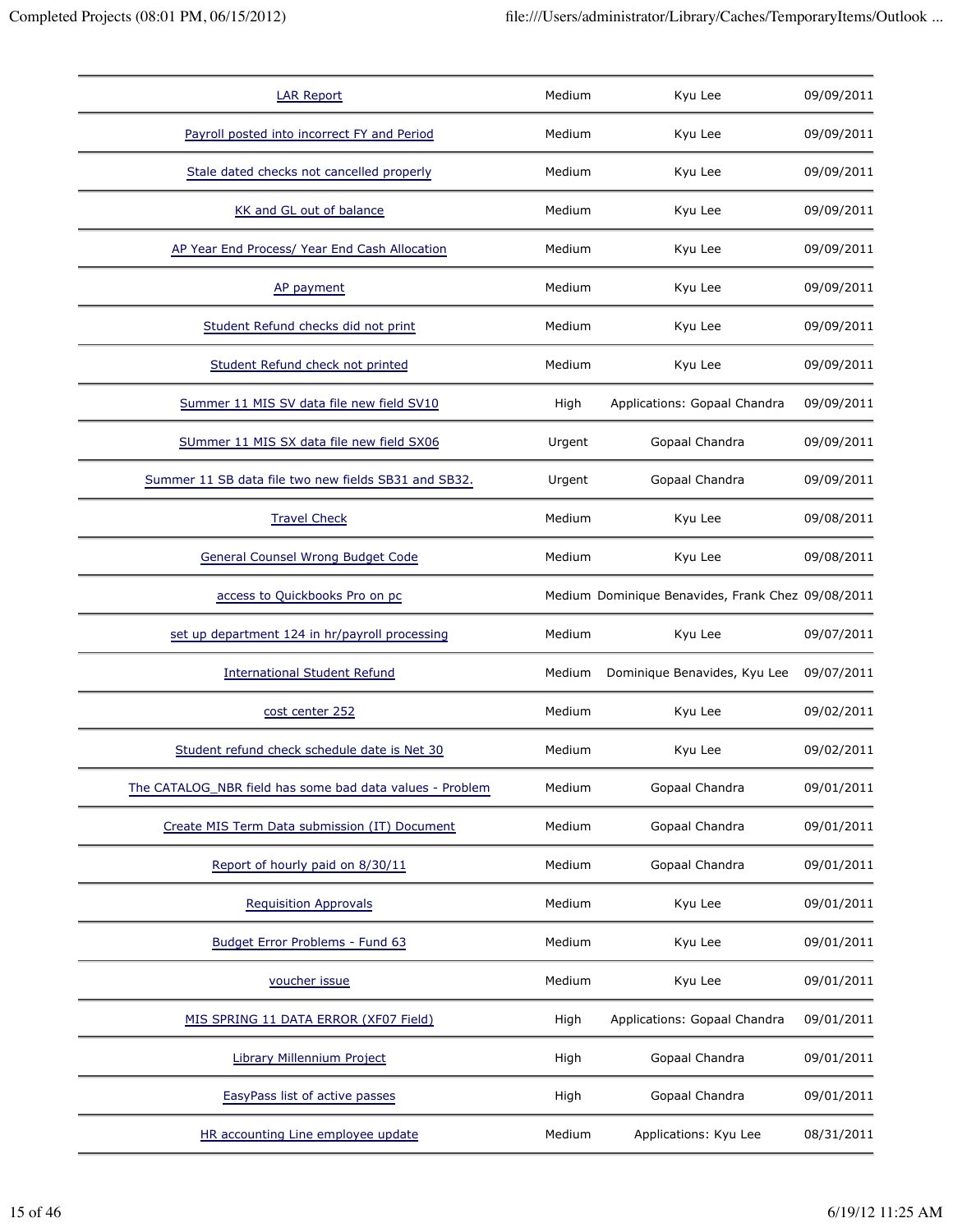| <b>LAR Report</b>                                        | Medium | Kyu Lee                                           | 09/09/2011 |
|----------------------------------------------------------|--------|---------------------------------------------------|------------|
| Payroll posted into incorrect FY and Period              | Medium | Kyu Lee                                           | 09/09/2011 |
| Stale dated checks not cancelled properly                | Medium | Kyu Lee                                           | 09/09/2011 |
| KK and GL out of balance                                 | Medium | Kyu Lee                                           | 09/09/2011 |
| AP Year End Process/ Year End Cash Allocation            | Medium | Kyu Lee                                           | 09/09/2011 |
| AP payment                                               | Medium | Kyu Lee                                           | 09/09/2011 |
| Student Refund checks did not print                      | Medium | Kyu Lee                                           | 09/09/2011 |
| Student Refund check not printed                         | Medium | Kyu Lee                                           | 09/09/2011 |
| Summer 11 MIS SV data file new field SV10                | High   | Applications: Gopaal Chandra                      | 09/09/2011 |
| SUmmer 11 MIS SX data file new field SX06                | Urgent | Gopaal Chandra                                    | 09/09/2011 |
| Summer 11 SB data file two new fields SB31 and SB32.     | Urgent | Gopaal Chandra                                    | 09/09/2011 |
| <b>Travel Check</b>                                      | Medium | Kyu Lee                                           | 09/08/2011 |
| <b>General Counsel Wrong Budget Code</b>                 | Medium | Kyu Lee                                           | 09/08/2011 |
| access to Quickbooks Pro on pc                           |        | Medium Dominique Benavides, Frank Chez 09/08/2011 |            |
| set up department 124 in hr/payroll processing           | Medium | Kyu Lee                                           | 09/07/2011 |
| <b>International Student Refund</b>                      | Medium | Dominique Benavides, Kyu Lee                      | 09/07/2011 |
| cost center 252                                          | Medium | Kyu Lee                                           | 09/02/2011 |
| Student refund check schedule date is Net 30             | Medium | Kyu Lee                                           | 09/02/2011 |
| The CATALOG_NBR field has some bad data values - Problem | Medium | Gopaal Chandra                                    | 09/01/2011 |
| Create MIS Term Data submission (IT) Document            | Medium | Gopaal Chandra                                    | 09/01/2011 |
| Report of hourly paid on 8/30/11                         | Medium | Gopaal Chandra                                    | 09/01/2011 |
| <b>Requisition Approvals</b>                             | Medium | Kyu Lee                                           | 09/01/2011 |
| Budget Error Problems - Fund 63                          | Medium | Kyu Lee                                           | 09/01/2011 |
| voucher issue                                            | Medium | Kyu Lee                                           | 09/01/2011 |
| MIS SPRING 11 DATA ERROR (XF07 Field)                    | High   | Applications: Gopaal Chandra                      | 09/01/2011 |
| Library Millennium Project                               | High   | Gopaal Chandra                                    | 09/01/2011 |
| EasyPass list of active passes                           | High   | Gopaal Chandra                                    | 09/01/2011 |
| HR accounting Line employee update                       | Medium | Applications: Kyu Lee                             | 08/31/2011 |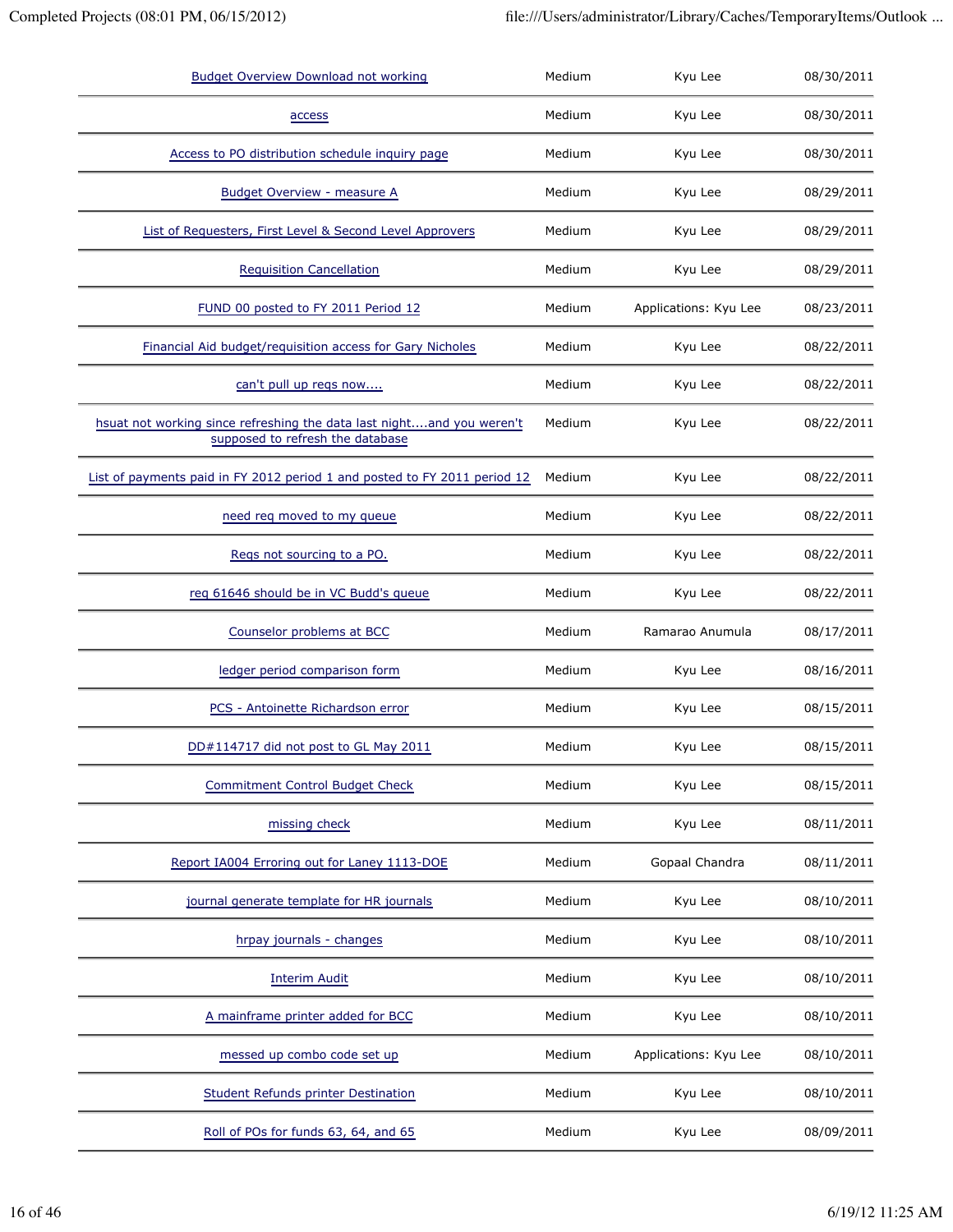| <b>Budget Overview Download not working</b>                                                               | Medium | Kyu Lee               | 08/30/2011 |
|-----------------------------------------------------------------------------------------------------------|--------|-----------------------|------------|
| access                                                                                                    | Medium | Kyu Lee               | 08/30/2011 |
| Access to PO distribution schedule inquiry page                                                           | Medium | Kyu Lee               | 08/30/2011 |
| <b>Budget Overview - measure A</b>                                                                        | Medium | Kyu Lee               | 08/29/2011 |
| List of Requesters, First Level & Second Level Approvers                                                  | Medium | Kyu Lee               | 08/29/2011 |
| <b>Requisition Cancellation</b>                                                                           | Medium | Kyu Lee               | 08/29/2011 |
| FUND 00 posted to FY 2011 Period 12                                                                       | Medium | Applications: Kyu Lee | 08/23/2011 |
| Financial Aid budget/requisition access for Gary Nicholes                                                 | Medium | Kyu Lee               | 08/22/2011 |
| can't pull up regs now                                                                                    | Medium | Kyu Lee               | 08/22/2011 |
| hsuat not working since refreshing the data last nightand you weren't<br>supposed to refresh the database | Medium | Kyu Lee               | 08/22/2011 |
| List of payments paid in FY 2012 period 1 and posted to FY 2011 period 12                                 | Medium | Kyu Lee               | 08/22/2011 |
| need req moved to my queue                                                                                | Medium | Kyu Lee               | 08/22/2011 |
| Regs not sourcing to a PO.                                                                                | Medium | Kyu Lee               | 08/22/2011 |
| reg 61646 should be in VC Budd's queue                                                                    | Medium | Kyu Lee               | 08/22/2011 |
| Counselor problems at BCC                                                                                 | Medium | Ramarao Anumula       | 08/17/2011 |
| ledger period comparison form                                                                             | Medium | Kyu Lee               | 08/16/2011 |
| PCS - Antoinette Richardson error                                                                         | Medium | Kyu Lee               | 08/15/2011 |
| DD#114717 did not post to GL May 2011                                                                     | Medium | Kyu Lee               | 08/15/2011 |
| <b>Commitment Control Budget Check</b>                                                                    | Medium | Kyu Lee               | 08/15/2011 |
| missing check                                                                                             | Medium | Kyu Lee               | 08/11/2011 |
| Report IA004 Erroring out for Laney 1113-DOE                                                              | Medium | Gopaal Chandra        | 08/11/2011 |
| journal generate template for HR journals                                                                 | Medium | Kyu Lee               | 08/10/2011 |
| hrpay journals - changes                                                                                  | Medium | Kyu Lee               | 08/10/2011 |
| <b>Interim Audit</b>                                                                                      | Medium | Kyu Lee               | 08/10/2011 |
| A mainframe printer added for BCC                                                                         | Medium | Kyu Lee               | 08/10/2011 |
| messed up combo code set up                                                                               | Medium | Applications: Kyu Lee | 08/10/2011 |
| Student Refunds printer Destination                                                                       | Medium | Kyu Lee               | 08/10/2011 |
| Roll of POs for funds 63, 64, and 65                                                                      | Medium | Kyu Lee               | 08/09/2011 |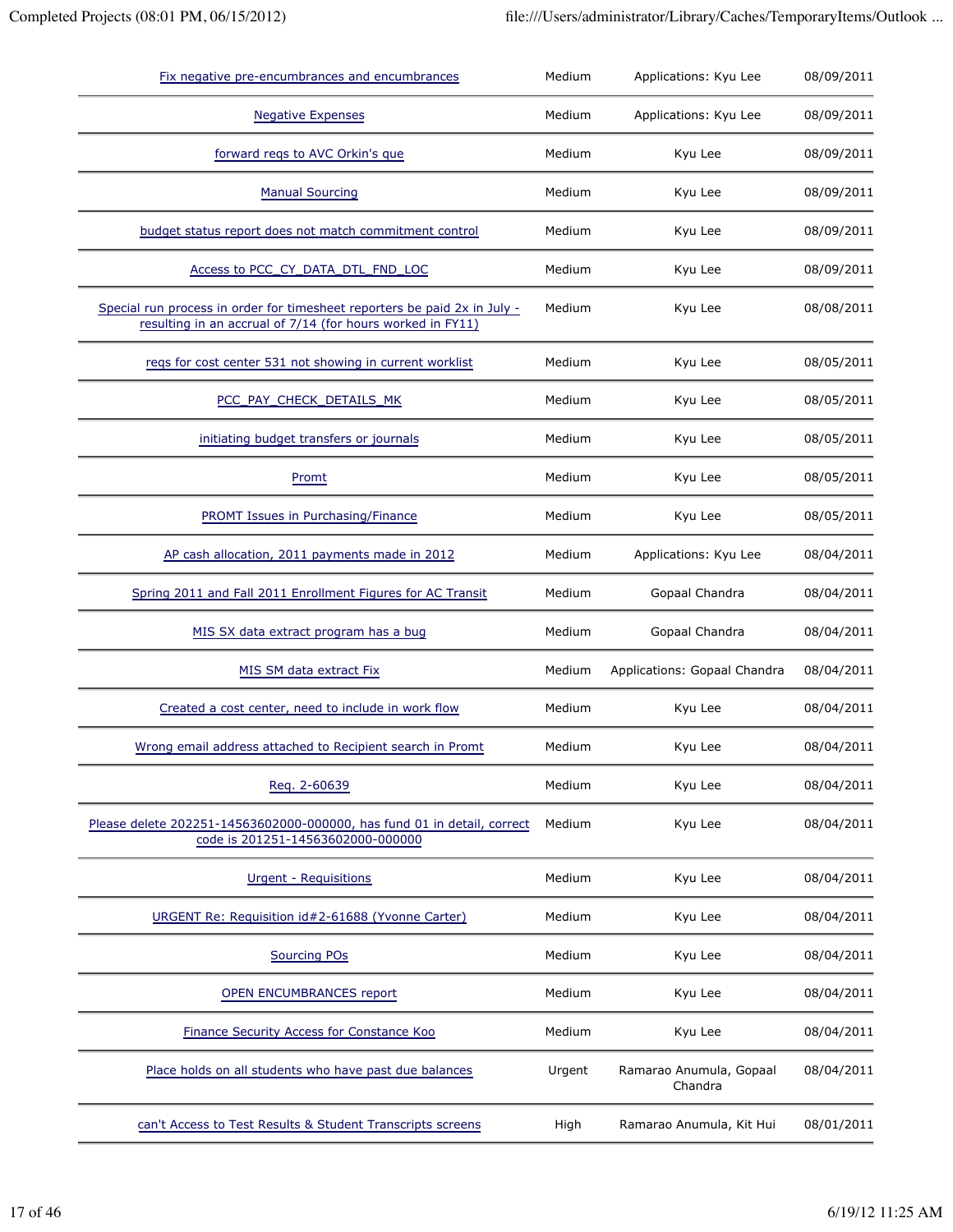| Fix negative pre-encumbrances and encumbrances                                                                                          | Medium | Applications: Kyu Lee              | 08/09/2011 |
|-----------------------------------------------------------------------------------------------------------------------------------------|--------|------------------------------------|------------|
| <b>Negative Expenses</b>                                                                                                                | Medium | Applications: Kyu Lee              | 08/09/2011 |
| forward reqs to AVC Orkin's que                                                                                                         | Medium | Kyu Lee                            | 08/09/2011 |
| <b>Manual Sourcing</b>                                                                                                                  | Medium | Kyu Lee                            | 08/09/2011 |
| budget status report does not match commitment control                                                                                  | Medium | Kyu Lee                            | 08/09/2011 |
| Access to PCC_CY_DATA_DTL_FND_LOC                                                                                                       | Medium | Kyu Lee                            | 08/09/2011 |
| Special run process in order for timesheet reporters be paid 2x in July -<br>resulting in an accrual of 7/14 (for hours worked in FY11) | Medium | Kyu Lee                            | 08/08/2011 |
| reqs for cost center 531 not showing in current worklist                                                                                | Medium | Kyu Lee                            | 08/05/2011 |
| PCC PAY CHECK DETAILS MK                                                                                                                | Medium | Kyu Lee                            | 08/05/2011 |
| initiating budget transfers or journals                                                                                                 | Medium | Kyu Lee                            | 08/05/2011 |
| Promt                                                                                                                                   | Medium | Kyu Lee                            | 08/05/2011 |
| PROMT Issues in Purchasing/Finance                                                                                                      | Medium | Kyu Lee                            | 08/05/2011 |
| AP cash allocation, 2011 payments made in 2012                                                                                          | Medium | Applications: Kyu Lee              | 08/04/2011 |
| Spring 2011 and Fall 2011 Enrollment Figures for AC Transit                                                                             | Medium | Gopaal Chandra                     | 08/04/2011 |
| MIS SX data extract program has a bug                                                                                                   | Medium | Gopaal Chandra                     | 08/04/2011 |
| MIS SM data extract Fix                                                                                                                 | Medium | Applications: Gopaal Chandra       | 08/04/2011 |
| Created a cost center, need to include in work flow                                                                                     | Medium | Kyu Lee                            | 08/04/2011 |
| Wrong email address attached to Recipient search in Promt                                                                               | Medium | Kyu Lee                            | 08/04/2011 |
| Reg. 2-60639                                                                                                                            | Medium | Kyu Lee                            | 08/04/2011 |
| Please delete 202251-14563602000-000000, has fund 01 in detail, correct<br>code is 201251-14563602000-000000                            | Medium | Kyu Lee                            | 08/04/2011 |
| <b>Urgent - Requisitions</b>                                                                                                            | Medium | Kyu Lee                            | 08/04/2011 |
| URGENT Re: Requisition id#2-61688 (Yvonne Carter)                                                                                       | Medium | Kyu Lee                            | 08/04/2011 |
| <b>Sourcing POs</b>                                                                                                                     | Medium | Kyu Lee                            | 08/04/2011 |
| <b>OPEN ENCUMBRANCES report</b>                                                                                                         | Medium | Kyu Lee                            | 08/04/2011 |
| Finance Security Access for Constance Koo                                                                                               | Medium | Kyu Lee                            | 08/04/2011 |
| Place holds on all students who have past due balances                                                                                  | Urgent | Ramarao Anumula, Gopaal<br>Chandra | 08/04/2011 |
| can't Access to Test Results & Student Transcripts screens                                                                              | High   | Ramarao Anumula, Kit Hui           | 08/01/2011 |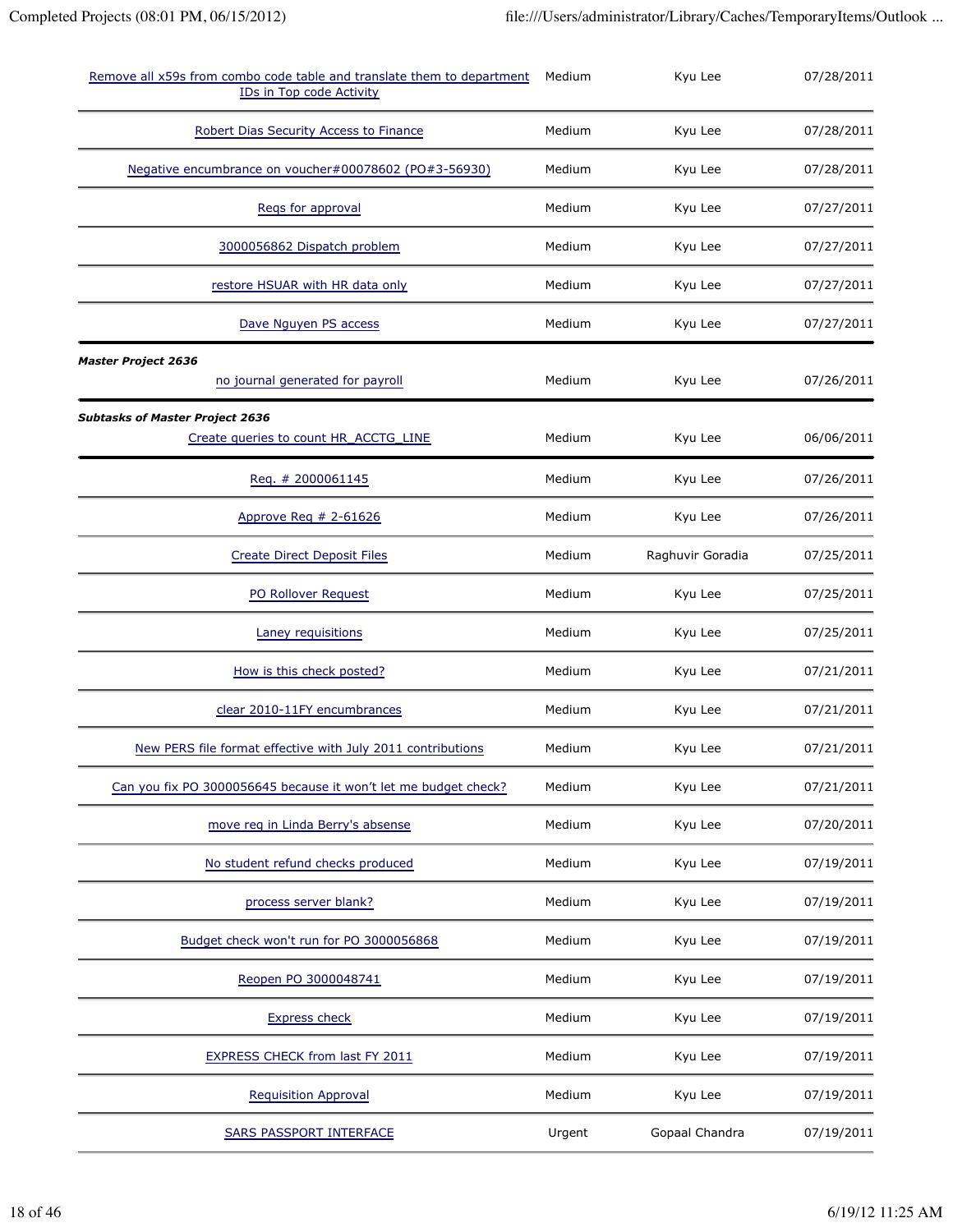| Remove all x59s from combo code table and translate them to department<br>IDs in Top code Activity | Medium | Kyu Lee          | 07/28/2011 |
|----------------------------------------------------------------------------------------------------|--------|------------------|------------|
| Robert Dias Security Access to Finance                                                             | Medium | Kyu Lee          | 07/28/2011 |
| Negative encumbrance on voucher#00078602 (PO#3-56930)                                              | Medium | Kyu Lee          | 07/28/2011 |
| Regs for approval                                                                                  | Medium | Kyu Lee          | 07/27/2011 |
| 3000056862 Dispatch problem                                                                        | Medium | Kyu Lee          | 07/27/2011 |
| restore HSUAR with HR data only                                                                    | Medium | Kyu Lee          | 07/27/2011 |
| Dave Nguyen PS access                                                                              | Medium | Kyu Lee          | 07/27/2011 |
| <b>Master Project 2636</b><br>no journal generated for payroll                                     | Medium | Kyu Lee          | 07/26/2011 |
| <b>Subtasks of Master Project 2636</b><br>Create queries to count HR_ACCTG_LINE                    | Medium | Kyu Lee          | 06/06/2011 |
| Req. # 2000061145                                                                                  | Medium | Kyu Lee          | 07/26/2011 |
| Approve Reg # 2-61626                                                                              | Medium | Kyu Lee          | 07/26/2011 |
| <b>Create Direct Deposit Files</b>                                                                 | Medium | Raghuvir Goradia | 07/25/2011 |
| PO Rollover Request                                                                                | Medium | Kyu Lee          | 07/25/2011 |
| Laney requisitions                                                                                 | Medium | Kyu Lee          | 07/25/2011 |
| How is this check posted?                                                                          | Medium | Kyu Lee          | 07/21/2011 |
| clear 2010-11FY encumbrances                                                                       | Medium | Kyu Lee          | 07/21/2011 |
| New PERS file format effective with July 2011 contributions                                        | Medium | Kyu Lee          | 07/21/2011 |
| Can you fix PO 3000056645 because it won't let me budget check?                                    | Medium | Kyu Lee          | 07/21/2011 |
| move reg in Linda Berry's absense                                                                  | Medium | Kyu Lee          | 07/20/2011 |
| No student refund checks produced                                                                  | Medium | Kyu Lee          | 07/19/2011 |
| process server blank?                                                                              | Medium | Kyu Lee          | 07/19/2011 |
| Budget check won't run for PO 3000056868                                                           | Medium | Kyu Lee          | 07/19/2011 |
| Reopen PO 3000048741                                                                               | Medium | Kyu Lee          | 07/19/2011 |
| <b>Express check</b>                                                                               | Medium | Kyu Lee          | 07/19/2011 |
| <b>EXPRESS CHECK from last FY 2011</b>                                                             | Medium | Kyu Lee          | 07/19/2011 |
| <b>Requisition Approval</b>                                                                        | Medium | Kyu Lee          | 07/19/2011 |
| <b>SARS PASSPORT INTERFACE</b>                                                                     | Urgent | Gopaal Chandra   | 07/19/2011 |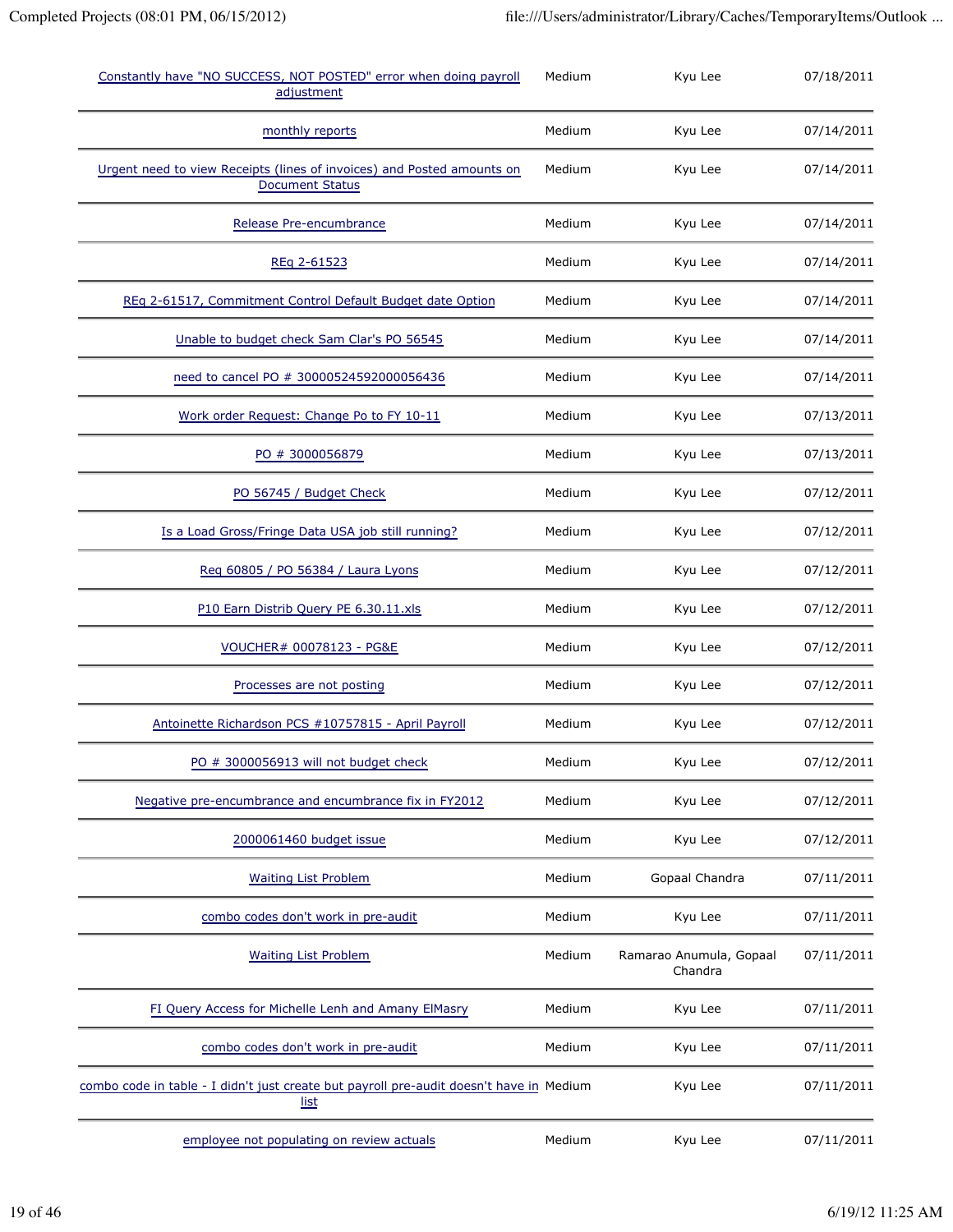| Constantly have "NO SUCCESS, NOT POSTED" error when doing payroll<br>adjustment                        | Medium | Kyu Lee                            | 07/18/2011 |
|--------------------------------------------------------------------------------------------------------|--------|------------------------------------|------------|
| monthly reports                                                                                        | Medium | Kyu Lee                            | 07/14/2011 |
| Urgent need to view Receipts (lines of invoices) and Posted amounts on<br><b>Document Status</b>       | Medium | Kyu Lee                            | 07/14/2011 |
| Release Pre-encumbrance                                                                                | Medium | Kyu Lee                            | 07/14/2011 |
| REq 2-61523                                                                                            | Medium | Kyu Lee                            | 07/14/2011 |
| REq 2-61517, Commitment Control Default Budget date Option                                             | Medium | Kyu Lee                            | 07/14/2011 |
| Unable to budget check Sam Clar's PO 56545                                                             | Medium | Kyu Lee                            | 07/14/2011 |
| need to cancel PO # 30000524592000056436                                                               | Medium | Kyu Lee                            | 07/14/2011 |
| Work order Request: Change Po to FY 10-11                                                              | Medium | Kyu Lee                            | 07/13/2011 |
| PO # 3000056879                                                                                        | Medium | Kyu Lee                            | 07/13/2011 |
| PO 56745 / Budget Check                                                                                | Medium | Kyu Lee                            | 07/12/2011 |
| Is a Load Gross/Fringe Data USA job still running?                                                     | Medium | Kyu Lee                            | 07/12/2011 |
| Reg 60805 / PO 56384 / Laura Lyons                                                                     | Medium | Kyu Lee                            | 07/12/2011 |
| P10 Earn Distrib Query PE 6.30.11.xls                                                                  | Medium | Kyu Lee                            | 07/12/2011 |
| VOUCHER# 00078123 - PG&E                                                                               | Medium | Kyu Lee                            | 07/12/2011 |
| Processes are not posting                                                                              | Medium | Kyu Lee                            | 07/12/2011 |
| Antoinette Richardson PCS #10757815 - April Payroll                                                    | Medium | Kyu Lee                            | 07/12/2011 |
| PO # 3000056913 will not budget check                                                                  | Medium | Kyu Lee                            | 07/12/2011 |
| Negative pre-encumbrance and encumbrance fix in FY2012                                                 | Medium | Kyu Lee                            | 07/12/2011 |
| 2000061460 budget issue                                                                                | Medium | Kyu Lee                            | 07/12/2011 |
| <b>Waiting List Problem</b>                                                                            | Medium | Gopaal Chandra                     | 07/11/2011 |
| combo codes don't work in pre-audit                                                                    | Medium | Kyu Lee                            | 07/11/2011 |
| <b>Waiting List Problem</b>                                                                            | Medium | Ramarao Anumula, Gopaal<br>Chandra | 07/11/2011 |
| FI Query Access for Michelle Lenh and Amany ElMasry                                                    | Medium | Kyu Lee                            | 07/11/2011 |
| combo codes don't work in pre-audit                                                                    | Medium | Kyu Lee                            | 07/11/2011 |
| combo code in table - I didn't just create but payroll pre-audit doesn't have in Medium<br><u>list</u> |        | Kyu Lee                            | 07/11/2011 |
| employee not populating on review actuals                                                              | Medium | Kyu Lee                            | 07/11/2011 |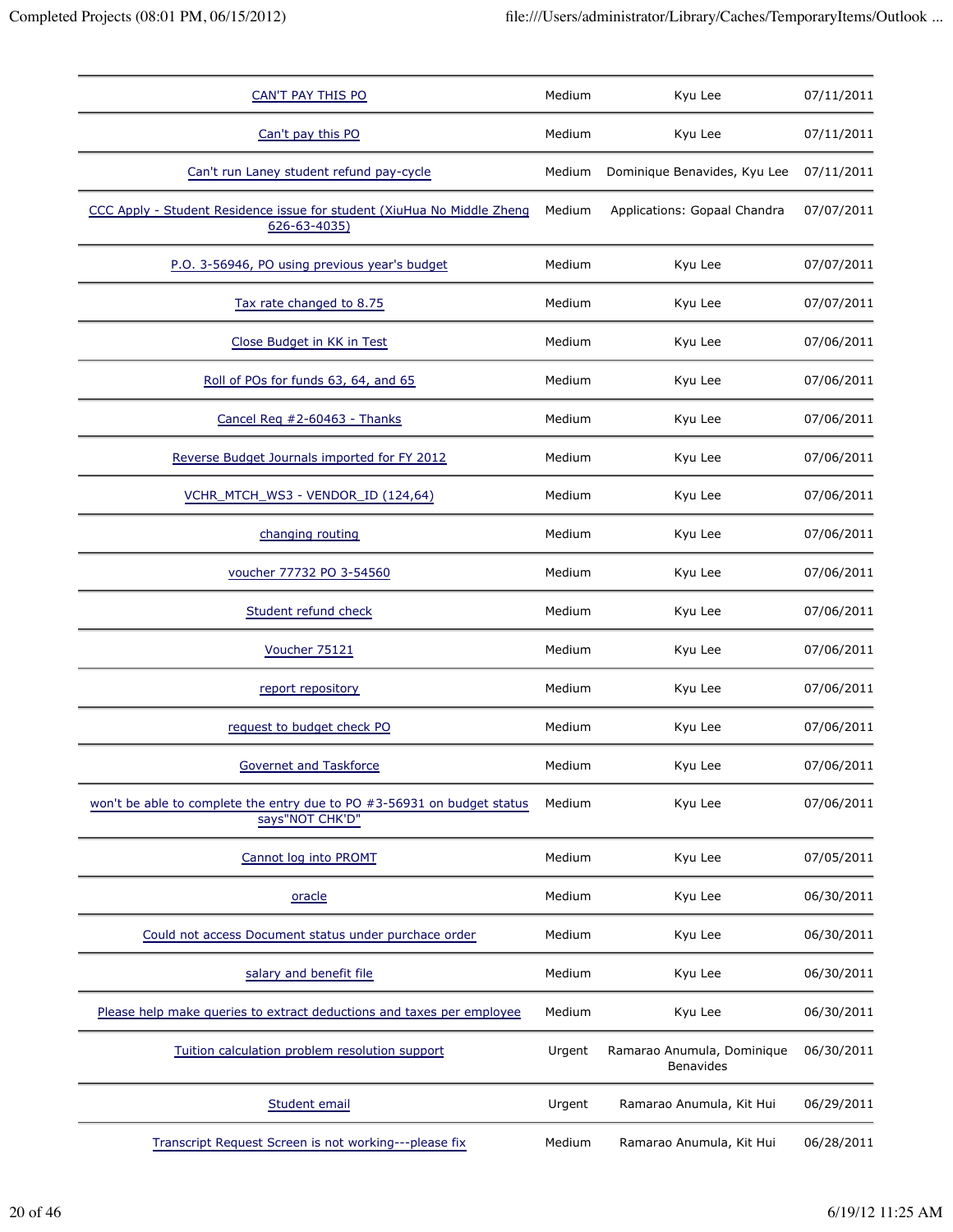| <b>CAN'T PAY THIS PO</b>                                                                     | Medium | Kyu Lee                                        | 07/11/2011 |
|----------------------------------------------------------------------------------------------|--------|------------------------------------------------|------------|
| Can't pay this PO                                                                            | Medium | Kyu Lee                                        | 07/11/2011 |
| Can't run Laney student refund pay-cycle                                                     | Medium | Dominique Benavides, Kyu Lee                   | 07/11/2011 |
| CCC Apply - Student Residence issue for student (XiuHua No Middle Zheng<br>$626 - 63 - 4035$ | Medium | Applications: Gopaal Chandra                   | 07/07/2011 |
| P.O. 3-56946, PO using previous year's budget                                                | Medium | Kyu Lee                                        | 07/07/2011 |
| Tax rate changed to 8.75                                                                     | Medium | Kyu Lee                                        | 07/07/2011 |
| Close Budget in KK in Test                                                                   | Medium | Kyu Lee                                        | 07/06/2011 |
| Roll of POs for funds 63, 64, and 65                                                         | Medium | Kyu Lee                                        | 07/06/2011 |
| Cancel Req #2-60463 - Thanks                                                                 | Medium | Kyu Lee                                        | 07/06/2011 |
| Reverse Budget Journals imported for FY 2012                                                 | Medium | Kyu Lee                                        | 07/06/2011 |
| VCHR_MTCH_WS3 - VENDOR_ID (124,64)                                                           | Medium | Kyu Lee                                        | 07/06/2011 |
| changing routing                                                                             | Medium | Kyu Lee                                        | 07/06/2011 |
| voucher 77732 PO 3-54560                                                                     | Medium | Kyu Lee                                        | 07/06/2011 |
| Student refund check                                                                         | Medium | Kyu Lee                                        | 07/06/2011 |
| Voucher 75121                                                                                | Medium | Kyu Lee                                        | 07/06/2011 |
| report repository                                                                            | Medium | Kyu Lee                                        | 07/06/2011 |
| request to budget check PO                                                                   | Medium | Kyu Lee                                        | 07/06/2011 |
| Governet and Taskforce                                                                       | Medium | Kyu Lee                                        | 07/06/2011 |
| won't be able to complete the entry due to PO #3-56931 on budget status<br>says"NOT CHK'D"   | Medium | Kyu Lee                                        | 07/06/2011 |
| Cannot log into PROMT                                                                        | Medium | Kyu Lee                                        | 07/05/2011 |
| oracle                                                                                       | Medium | Kyu Lee                                        | 06/30/2011 |
| Could not access Document status under purchace order                                        | Medium | Kyu Lee                                        | 06/30/2011 |
| salary and benefit file                                                                      | Medium | Kyu Lee                                        | 06/30/2011 |
| Please help make queries to extract deductions and taxes per employee                        | Medium | Kyu Lee                                        | 06/30/2011 |
| Tuition calculation problem resolution support                                               | Urgent | Ramarao Anumula, Dominique<br><b>Benavides</b> | 06/30/2011 |
| Student email                                                                                | Urgent | Ramarao Anumula, Kit Hui                       | 06/29/2011 |
| Transcript Request Screen is not working---please fix                                        | Medium | Ramarao Anumula, Kit Hui                       | 06/28/2011 |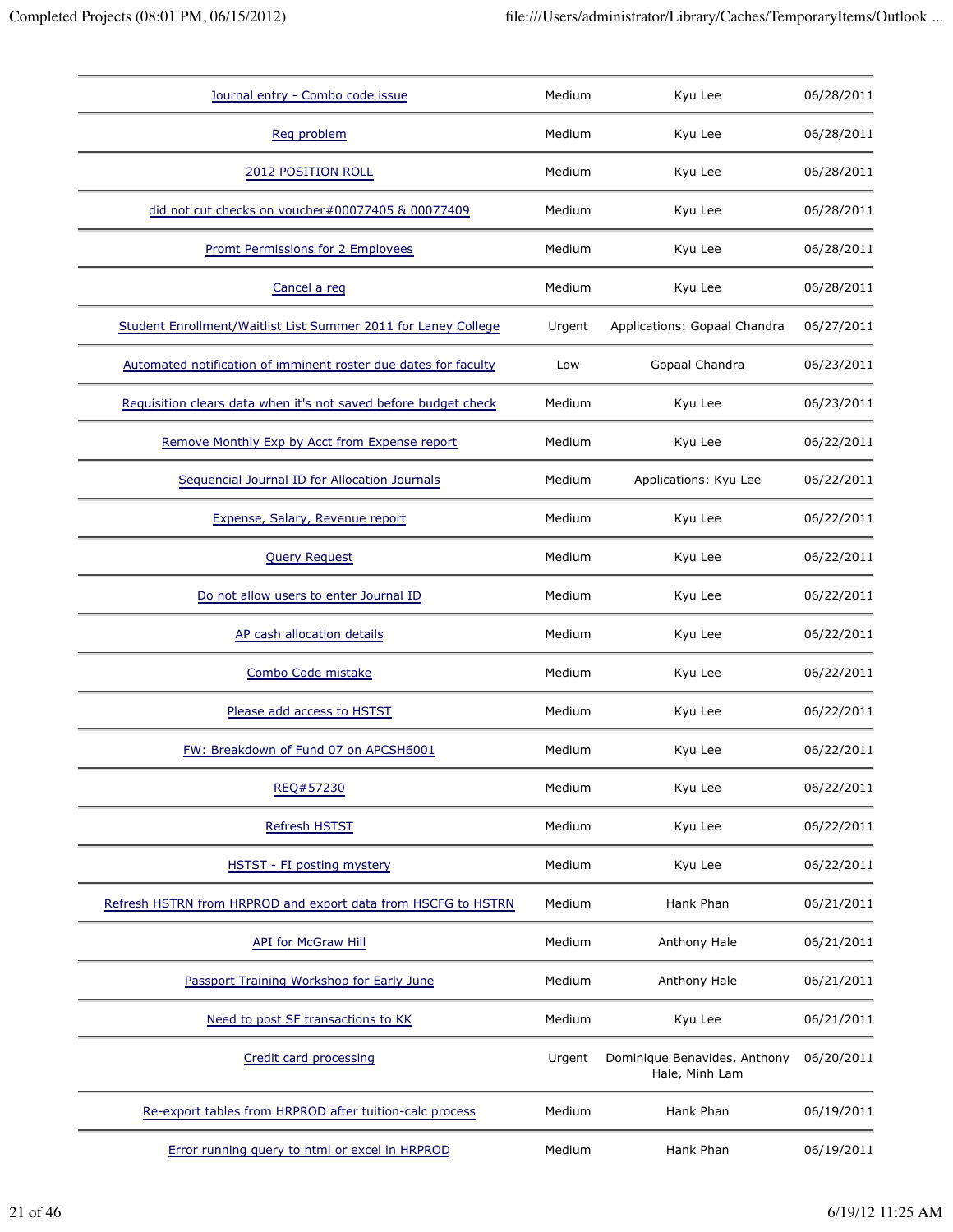| Journal entry - Combo code issue                                | Medium | Kyu Lee                                        | 06/28/2011 |
|-----------------------------------------------------------------|--------|------------------------------------------------|------------|
| Reg problem                                                     | Medium | Kyu Lee                                        | 06/28/2011 |
| 2012 POSITION ROLL                                              | Medium | Kyu Lee                                        | 06/28/2011 |
| did not cut checks on voucher#00077405 & 00077409               | Medium | Kyu Lee                                        | 06/28/2011 |
| <b>Promt Permissions for 2 Employees</b>                        | Medium | Kyu Lee                                        | 06/28/2011 |
| Cancel a reg                                                    | Medium | Kyu Lee                                        | 06/28/2011 |
| Student Enrollment/Waitlist List Summer 2011 for Laney College  | Urgent | Applications: Gopaal Chandra                   | 06/27/2011 |
| Automated notification of imminent roster due dates for faculty | Low    | Gopaal Chandra                                 | 06/23/2011 |
| Requisition clears data when it's not saved before budget check | Medium | Kyu Lee                                        | 06/23/2011 |
| Remove Monthly Exp by Acct from Expense report                  | Medium | Kyu Lee                                        | 06/22/2011 |
| Sequencial Journal ID for Allocation Journals                   | Medium | Applications: Kyu Lee                          | 06/22/2011 |
| Expense, Salary, Revenue report                                 | Medium | Kyu Lee                                        | 06/22/2011 |
| <b>Query Request</b>                                            | Medium | Kyu Lee                                        | 06/22/2011 |
| Do not allow users to enter Journal ID                          | Medium | Kyu Lee                                        | 06/22/2011 |
| AP cash allocation details                                      | Medium | Kyu Lee                                        | 06/22/2011 |
| Combo Code mistake                                              | Medium | Kyu Lee                                        | 06/22/2011 |
| Please add access to HSTST                                      | Medium | Kyu Lee                                        | 06/22/2011 |
| FW: Breakdown of Fund 07 on APCSH6001                           | Medium | Kyu Lee                                        | 06/22/2011 |
| REQ#57230                                                       | Medium | Kyu Lee                                        | 06/22/2011 |
| <b>Refresh HSTST</b>                                            | Medium | Kyu Lee                                        | 06/22/2011 |
| HSTST - FI posting mystery                                      | Medium | Kyu Lee                                        | 06/22/2011 |
| Refresh HSTRN from HRPROD and export data from HSCFG to HSTRN   | Medium | Hank Phan                                      | 06/21/2011 |
| <b>API for McGraw Hill</b>                                      | Medium | Anthony Hale                                   | 06/21/2011 |
| Passport Training Workshop for Early June                       | Medium | Anthony Hale                                   | 06/21/2011 |
| Need to post SF transactions to KK                              | Medium | Kyu Lee                                        | 06/21/2011 |
| Credit card processing                                          | Urgent | Dominique Benavides, Anthony<br>Hale, Minh Lam | 06/20/2011 |
| Re-export tables from HRPROD after tuition-calc process         | Medium | Hank Phan                                      | 06/19/2011 |
| Error running query to html or excel in HRPROD                  | Medium | Hank Phan                                      | 06/19/2011 |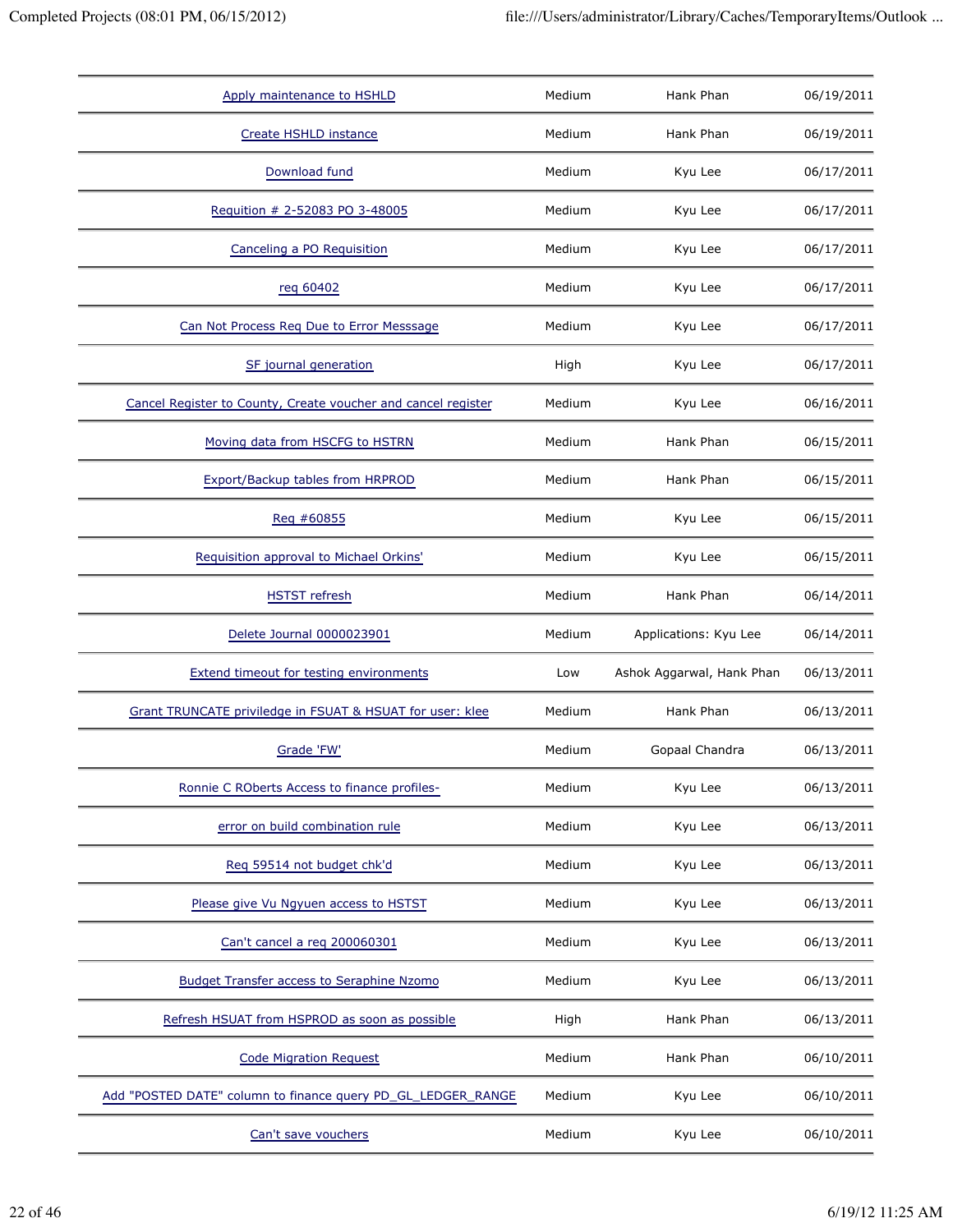| Apply maintenance to HSHLD                                    | Medium | Hank Phan                 | 06/19/2011 |
|---------------------------------------------------------------|--------|---------------------------|------------|
| Create HSHLD instance                                         | Medium | Hank Phan                 | 06/19/2011 |
| Download fund                                                 | Medium | Kyu Lee                   | 06/17/2011 |
| Requition # 2-52083 PO 3-48005                                | Medium | Kyu Lee                   | 06/17/2011 |
| Canceling a PO Requisition                                    | Medium | Kyu Lee                   | 06/17/2011 |
| reg 60402                                                     | Medium | Kyu Lee                   | 06/17/2011 |
| Can Not Process Req Due to Error Messsage                     | Medium | Kyu Lee                   | 06/17/2011 |
| SF journal generation                                         | High   | Kyu Lee                   | 06/17/2011 |
| Cancel Register to County, Create voucher and cancel register | Medium | Kyu Lee                   | 06/16/2011 |
| Moving data from HSCFG to HSTRN                               | Medium | Hank Phan                 | 06/15/2011 |
| Export/Backup tables from HRPROD                              | Medium | Hank Phan                 | 06/15/2011 |
| Reg #60855                                                    | Medium | Kyu Lee                   | 06/15/2011 |
| Requisition approval to Michael Orkins'                       | Medium | Kyu Lee                   | 06/15/2011 |
| <b>HSTST</b> refresh                                          | Medium | Hank Phan                 | 06/14/2011 |
| Delete Journal 0000023901                                     | Medium | Applications: Kyu Lee     | 06/14/2011 |
| <b>Extend timeout for testing environments</b>                | Low    | Ashok Aggarwal, Hank Phan | 06/13/2011 |
| Grant TRUNCATE priviledge in FSUAT & HSUAT for user: klee     | Medium | Hank Phan                 | 06/13/2011 |
|                                                               |        |                           |            |
| Grade 'FW'                                                    | Medium | Gopaal Chandra            | 06/13/2011 |
| Ronnie C ROberts Access to finance profiles-                  | Medium | Kyu Lee                   | 06/13/2011 |
| error on build combination rule                               | Medium | Kyu Lee                   | 06/13/2011 |
| Reg 59514 not budget chk'd                                    | Medium | Kyu Lee                   | 06/13/2011 |
| Please give Vu Ngyuen access to HSTST                         | Medium | Kyu Lee                   | 06/13/2011 |
| Can't cancel a req 200060301                                  | Medium | Kyu Lee                   | 06/13/2011 |
| <b>Budget Transfer access to Seraphine Nzomo</b>              | Medium | Kyu Lee                   | 06/13/2011 |
| Refresh HSUAT from HSPROD as soon as possible                 | High   | Hank Phan                 | 06/13/2011 |
| <b>Code Migration Request</b>                                 | Medium | Hank Phan                 | 06/10/2011 |
| Add "POSTED DATE" column to finance query PD_GL_LEDGER_RANGE  | Medium | Kyu Lee                   | 06/10/2011 |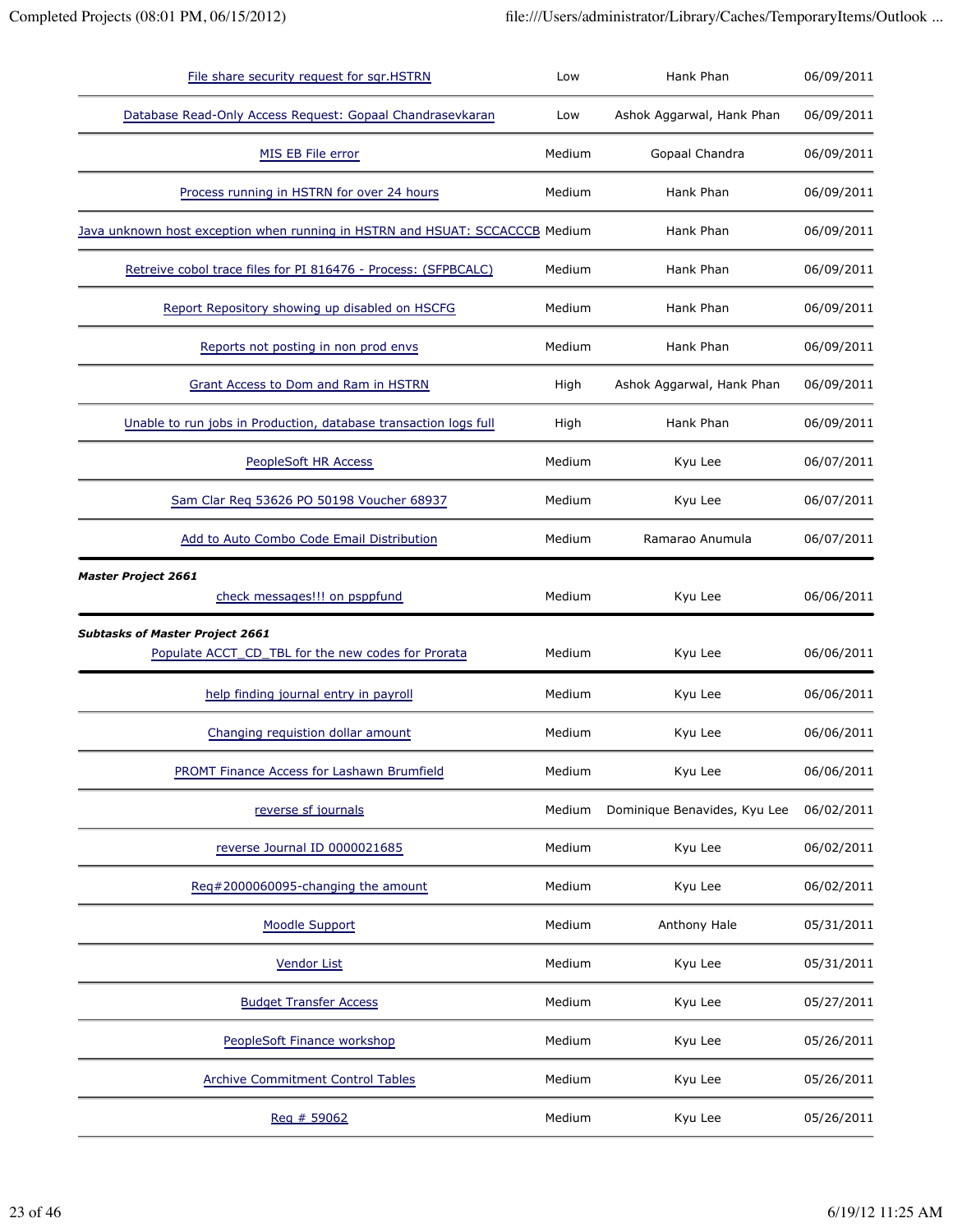| File share security request for sqr.HSTRN                                                    | Low    | Hank Phan                    | 06/09/2011 |
|----------------------------------------------------------------------------------------------|--------|------------------------------|------------|
| Database Read-Only Access Request: Gopaal Chandrasevkaran                                    | Low    | Ashok Aggarwal, Hank Phan    | 06/09/2011 |
| MIS EB File error                                                                            | Medium | Gopaal Chandra               | 06/09/2011 |
| Process running in HSTRN for over 24 hours                                                   | Medium | Hank Phan                    | 06/09/2011 |
| Java unknown host exception when running in HSTRN and HSUAT: SCCACCCB Medium                 |        | Hank Phan                    | 06/09/2011 |
| Retreive cobol trace files for PI 816476 - Process: (SFPBCALC)                               | Medium | Hank Phan                    | 06/09/2011 |
| Report Repository showing up disabled on HSCFG                                               | Medium | Hank Phan                    | 06/09/2011 |
| Reports not posting in non prod envs                                                         | Medium | Hank Phan                    | 06/09/2011 |
| Grant Access to Dom and Ram in HSTRN                                                         | High   | Ashok Aggarwal, Hank Phan    | 06/09/2011 |
| Unable to run jobs in Production, database transaction logs full                             | High   | Hank Phan                    | 06/09/2011 |
| PeopleSoft HR Access                                                                         | Medium | Kyu Lee                      | 06/07/2011 |
| Sam Clar Reg 53626 PO 50198 Voucher 68937                                                    | Medium | Kyu Lee                      | 06/07/2011 |
| Add to Auto Combo Code Email Distribution                                                    | Medium | Ramarao Anumula              | 06/07/2011 |
| <b>Master Project 2661</b><br>check messages!!! on psppfund                                  | Medium | Kyu Lee                      | 06/06/2011 |
| <b>Subtasks of Master Project 2661</b><br>Populate ACCT_CD_TBL for the new codes for Prorata | Medium | Kyu Lee                      | 06/06/2011 |
| help finding journal entry in payroll                                                        | Medium | Kyu Lee                      | 06/06/2011 |
| Changing requistion dollar amount                                                            | Medium | Kyu Lee                      | 06/06/2011 |
| PROMT Finance Access for Lashawn Brumfield                                                   | Medium | Kyu Lee                      | 06/06/2011 |
| reverse sf journals                                                                          | Medium | Dominique Benavides, Kyu Lee | 06/02/2011 |
| reverse Journal ID 0000021685                                                                | Medium | Kyu Lee                      | 06/02/2011 |
| Req#2000060095-changing the amount                                                           | Medium | Kyu Lee                      | 06/02/2011 |
| <b>Moodle Support</b>                                                                        | Medium | Anthony Hale                 | 05/31/2011 |
| <b>Vendor List</b>                                                                           | Medium | Kyu Lee                      | 05/31/2011 |
| <b>Budget Transfer Access</b>                                                                | Medium | Kyu Lee                      | 05/27/2011 |
| PeopleSoft Finance workshop                                                                  | Medium | Kyu Lee                      | 05/26/2011 |
| <b>Archive Commitment Control Tables</b>                                                     | Medium | Kyu Lee                      | 05/26/2011 |
| Reg # 59062                                                                                  | Medium | Kyu Lee                      | 05/26/2011 |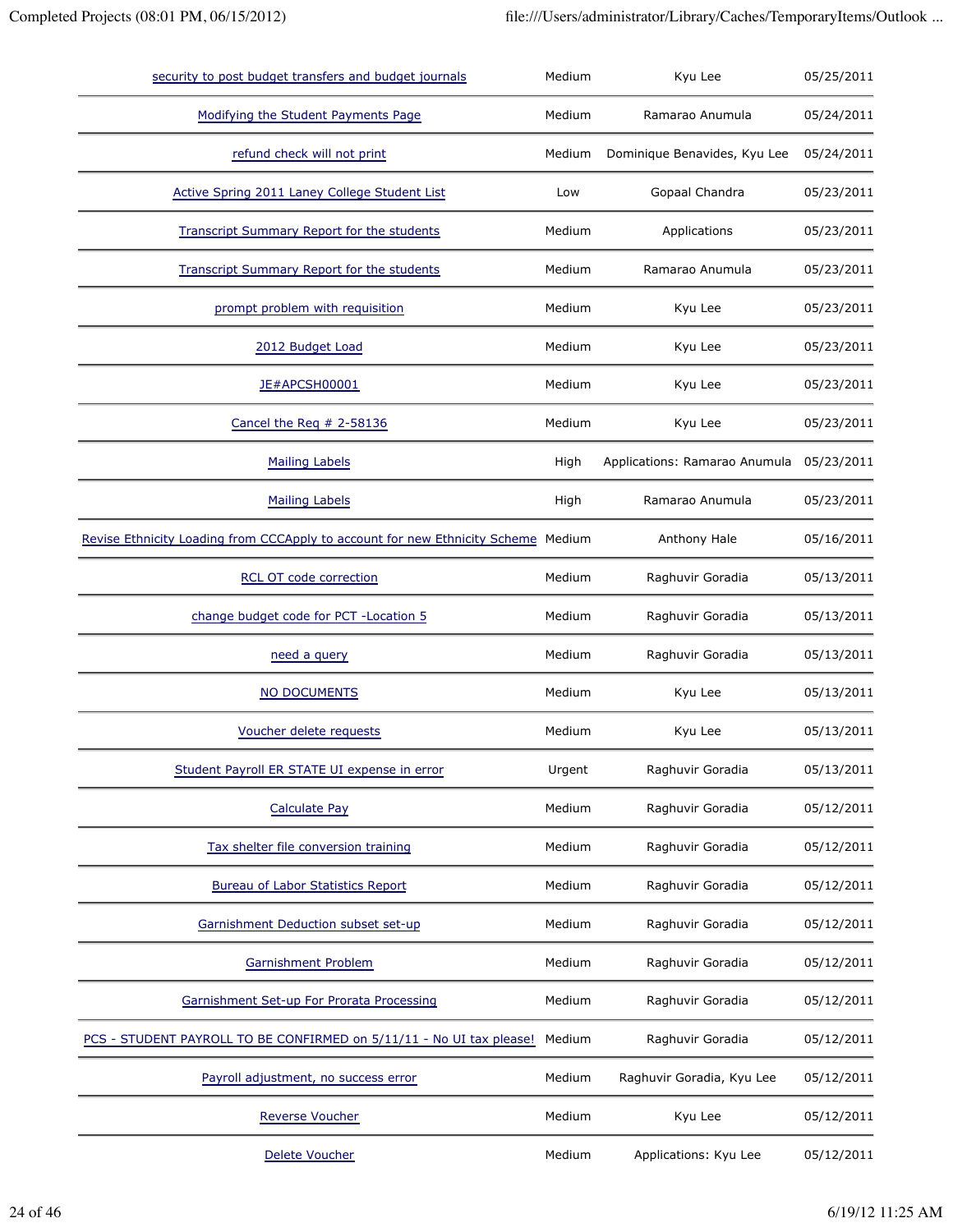| security to post budget transfers and budget journals                             | Medium | Kyu Lee                       | 05/25/2011 |
|-----------------------------------------------------------------------------------|--------|-------------------------------|------------|
| Modifying the Student Payments Page                                               | Medium | Ramarao Anumula               | 05/24/2011 |
| refund check will not print                                                       | Medium | Dominique Benavides, Kyu Lee  | 05/24/2011 |
| Active Spring 2011 Laney College Student List                                     | Low    | Gopaal Chandra                | 05/23/2011 |
| <b>Transcript Summary Report for the students</b>                                 | Medium | Applications                  | 05/23/2011 |
| <b>Transcript Summary Report for the students</b>                                 | Medium | Ramarao Anumula               | 05/23/2011 |
| prompt problem with requisition                                                   | Medium | Kyu Lee                       | 05/23/2011 |
| 2012 Budget Load                                                                  | Medium | Kyu Lee                       | 05/23/2011 |
| JE#APCSH00001                                                                     | Medium | Kyu Lee                       | 05/23/2011 |
| Cancel the Req $# 2-58136$                                                        | Medium | Kyu Lee                       | 05/23/2011 |
| <b>Mailing Labels</b>                                                             | High   | Applications: Ramarao Anumula | 05/23/2011 |
| <b>Mailing Labels</b>                                                             | High   | Ramarao Anumula               | 05/23/2011 |
| Revise Ethnicity Loading from CCCApply to account for new Ethnicity Scheme Medium |        | Anthony Hale                  | 05/16/2011 |
| <b>RCL OT code correction</b>                                                     | Medium | Raghuvir Goradia              | 05/13/2011 |
| change budget code for PCT - Location 5                                           | Medium | Raghuvir Goradia              | 05/13/2011 |
| need a query                                                                      | Medium | Raghuvir Goradia              | 05/13/2011 |
| NO DOCUMENTS                                                                      | Medium | Kyu Lee                       | 05/13/2011 |
| Voucher delete requests                                                           | Medium | Kyu Lee                       | 05/13/2011 |
| Student Payroll ER STATE UI expense in error                                      | Urgent | Raghuvir Goradia              | 05/13/2011 |
| <b>Calculate Pay</b>                                                              | Medium | Raghuvir Goradia              | 05/12/2011 |
| Tax shelter file conversion training                                              | Medium | Raghuvir Goradia              | 05/12/2011 |
| <b>Bureau of Labor Statistics Report</b>                                          | Medium | Raghuvir Goradia              | 05/12/2011 |
| Garnishment Deduction subset set-up                                               | Medium | Raghuvir Goradia              | 05/12/2011 |
| <b>Garnishment Problem</b>                                                        | Medium | Raghuvir Goradia              | 05/12/2011 |
| Garnishment Set-up For Prorata Processing                                         | Medium | Raghuvir Goradia              | 05/12/2011 |
| PCS - STUDENT PAYROLL TO BE CONFIRMED on 5/11/11 - No UI tax please!              | Medium | Raghuvir Goradia              | 05/12/2011 |
| Payroll adjustment, no success error                                              | Medium | Raghuvir Goradia, Kyu Lee     | 05/12/2011 |
| Reverse Voucher                                                                   | Medium | Kyu Lee                       | 05/12/2011 |
| Delete Voucher                                                                    | Medium | Applications: Kyu Lee         | 05/12/2011 |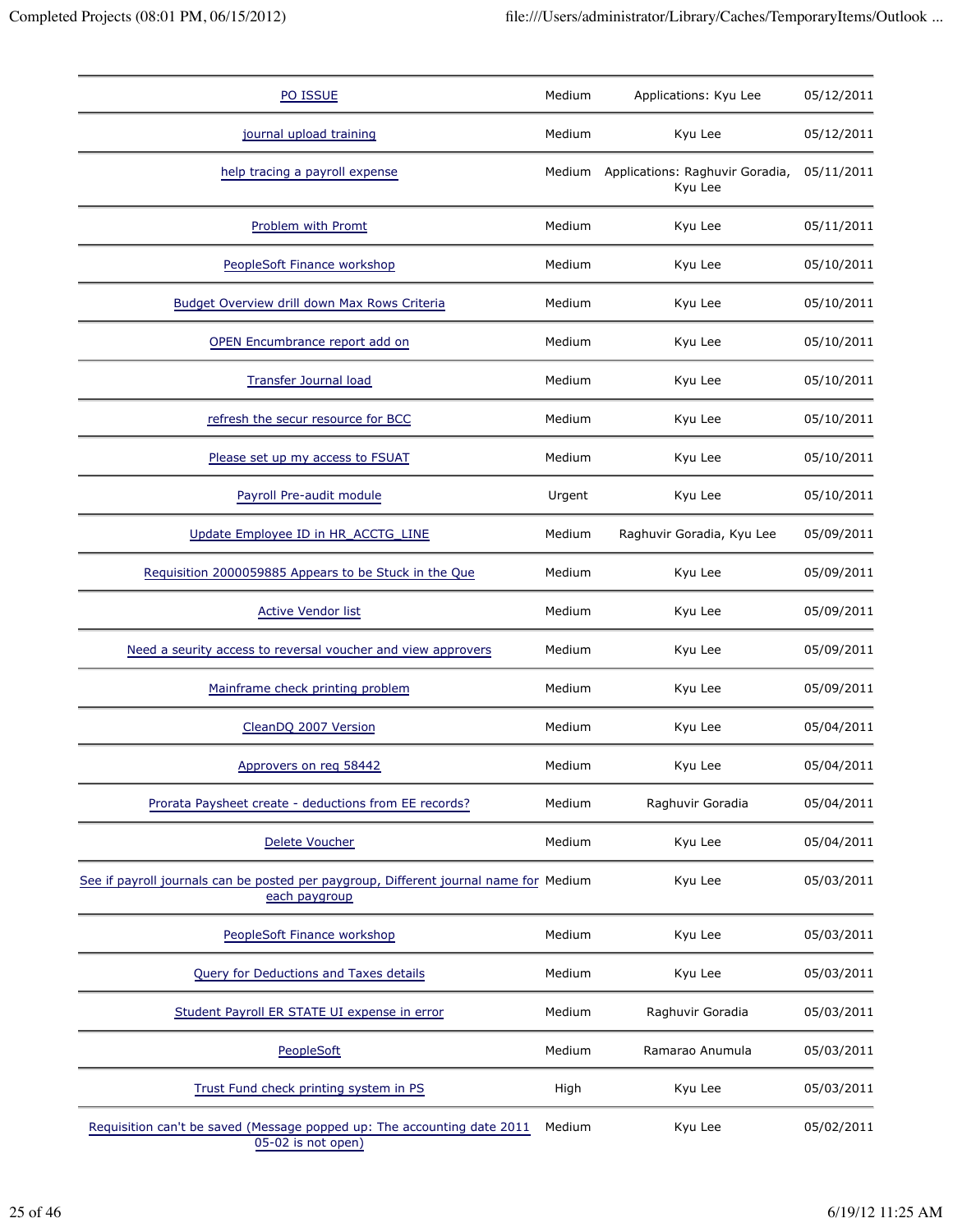| PO ISSUE                                                                                               | Medium | Applications: Kyu Lee                      | 05/12/2011 |
|--------------------------------------------------------------------------------------------------------|--------|--------------------------------------------|------------|
| journal upload training                                                                                | Medium | Kyu Lee                                    | 05/12/2011 |
| help tracing a payroll expense                                                                         | Medium | Applications: Raghuvir Goradia,<br>Kyu Lee | 05/11/2011 |
| Problem with Promt                                                                                     | Medium | Kyu Lee                                    | 05/11/2011 |
| PeopleSoft Finance workshop                                                                            | Medium | Kyu Lee                                    | 05/10/2011 |
| Budget Overview drill down Max Rows Criteria                                                           | Medium | Kyu Lee                                    | 05/10/2011 |
| OPEN Encumbrance report add on                                                                         | Medium | Kyu Lee                                    | 05/10/2011 |
| <b>Transfer Journal load</b>                                                                           | Medium | Kyu Lee                                    | 05/10/2011 |
| refresh the secur resource for BCC                                                                     | Medium | Kyu Lee                                    | 05/10/2011 |
| Please set up my access to FSUAT                                                                       | Medium | Kyu Lee                                    | 05/10/2011 |
| Payroll Pre-audit module                                                                               | Urgent | Kyu Lee                                    | 05/10/2011 |
| Update Employee ID in HR_ACCTG_LINE                                                                    | Medium | Raghuvir Goradia, Kyu Lee                  | 05/09/2011 |
| Requisition 2000059885 Appears to be Stuck in the Que                                                  | Medium | Kyu Lee                                    | 05/09/2011 |
| <b>Active Vendor list</b>                                                                              | Medium | Kyu Lee                                    | 05/09/2011 |
| Need a seurity access to reversal voucher and view approvers                                           | Medium | Kyu Lee                                    | 05/09/2011 |
| Mainframe check printing problem                                                                       | Medium | Kyu Lee                                    | 05/09/2011 |
| CleanDQ 2007 Version                                                                                   | Medium | Kyu Lee                                    | 05/04/2011 |
| Approvers on req 58442                                                                                 | Medium | Kyu Lee                                    | 05/04/2011 |
| Prorata Paysheet create - deductions from EE records?                                                  | Medium | Raghuvir Goradia                           | 05/04/2011 |
| <b>Delete Voucher</b>                                                                                  | Medium | Kyu Lee                                    | 05/04/2011 |
| See if payroll journals can be posted per paygroup, Different journal name for Medium<br>each paygroup |        | Kyu Lee                                    | 05/03/2011 |
| PeopleSoft Finance workshop                                                                            | Medium | Kyu Lee                                    | 05/03/2011 |
| Query for Deductions and Taxes details                                                                 | Medium | Kyu Lee                                    | 05/03/2011 |
| Student Payroll ER STATE UI expense in error                                                           | Medium | Raghuvir Goradia                           | 05/03/2011 |
| PeopleSoft                                                                                             | Medium | Ramarao Anumula                            | 05/03/2011 |
| Trust Fund check printing system in PS                                                                 | High   | Kyu Lee                                    | 05/03/2011 |
| Requisition can't be saved (Message popped up: The accounting date 2011<br>05-02 is not open)          | Medium | Kyu Lee                                    | 05/02/2011 |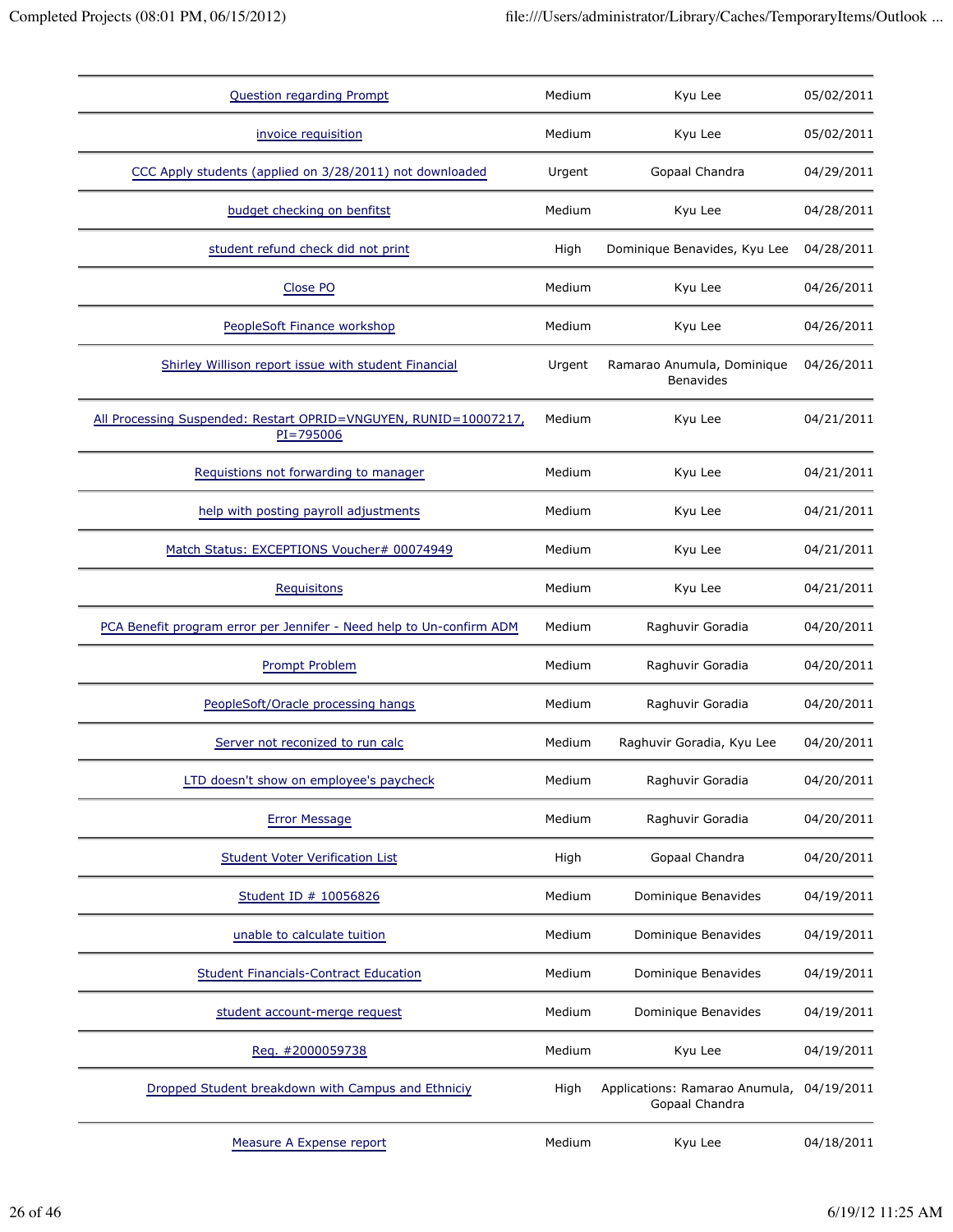| <b>Question regarding Prompt</b>                                              | Medium | Kyu Lee                                                     | 05/02/2011 |
|-------------------------------------------------------------------------------|--------|-------------------------------------------------------------|------------|
| invoice requisition                                                           | Medium | Kyu Lee                                                     | 05/02/2011 |
| CCC Apply students (applied on 3/28/2011) not downloaded                      | Urgent | Gopaal Chandra                                              | 04/29/2011 |
| budget checking on benfitst                                                   | Medium | Kyu Lee                                                     | 04/28/2011 |
| student refund check did not print                                            | High   | Dominique Benavides, Kyu Lee                                | 04/28/2011 |
| Close PO                                                                      | Medium | Kyu Lee                                                     | 04/26/2011 |
| PeopleSoft Finance workshop                                                   | Medium | Kyu Lee                                                     | 04/26/2011 |
| Shirley Willison report issue with student Financial                          | Urgent | Ramarao Anumula, Dominique<br><b>Benavides</b>              | 04/26/2011 |
| All Processing Suspended: Restart OPRID=VNGUYEN, RUNID=10007217,<br>PI=795006 | Medium | Kyu Lee                                                     | 04/21/2011 |
| Requistions not forwarding to manager                                         | Medium | Kyu Lee                                                     | 04/21/2011 |
| help with posting payroll adjustments                                         | Medium | Kyu Lee                                                     | 04/21/2011 |
| Match Status: EXCEPTIONS Voucher# 00074949                                    | Medium | Kyu Lee                                                     | 04/21/2011 |
| Requisitons                                                                   | Medium | Kyu Lee                                                     | 04/21/2011 |
| PCA Benefit program error per Jennifer - Need help to Un-confirm ADM          | Medium | Raghuvir Goradia                                            | 04/20/2011 |
| <b>Prompt Problem</b>                                                         | Medium | Raghuvir Goradia                                            | 04/20/2011 |
| PeopleSoft/Oracle processing hangs                                            | Medium | Raghuvir Goradia                                            | 04/20/2011 |
| Server not reconized to run calc                                              | Medium | Raghuvir Goradia, Kyu Lee                                   | 04/20/2011 |
| LTD doesn't show on employee's paycheck                                       | Medium | Raghuvir Goradia                                            | 04/20/2011 |
| <b>Error Message</b>                                                          | Medium | Raghuvir Goradia                                            | 04/20/2011 |
| <b>Student Voter Verification List</b>                                        | High   | Gopaal Chandra                                              | 04/20/2011 |
| Student ID # 10056826                                                         | Medium | Dominique Benavides                                         | 04/19/2011 |
| unable to calculate tuition                                                   | Medium | Dominique Benavides                                         | 04/19/2011 |
| <b>Student Financials-Contract Education</b>                                  | Medium | Dominique Benavides                                         | 04/19/2011 |
| student account-merge request                                                 | Medium | Dominique Benavides                                         | 04/19/2011 |
| Req. #2000059738                                                              | Medium | Kyu Lee                                                     | 04/19/2011 |
| Dropped Student breakdown with Campus and Ethniciy                            | High   | Applications: Ramarao Anumula, 04/19/2011<br>Gopaal Chandra |            |
| Measure A Expense report                                                      | Medium | Kyu Lee                                                     | 04/18/2011 |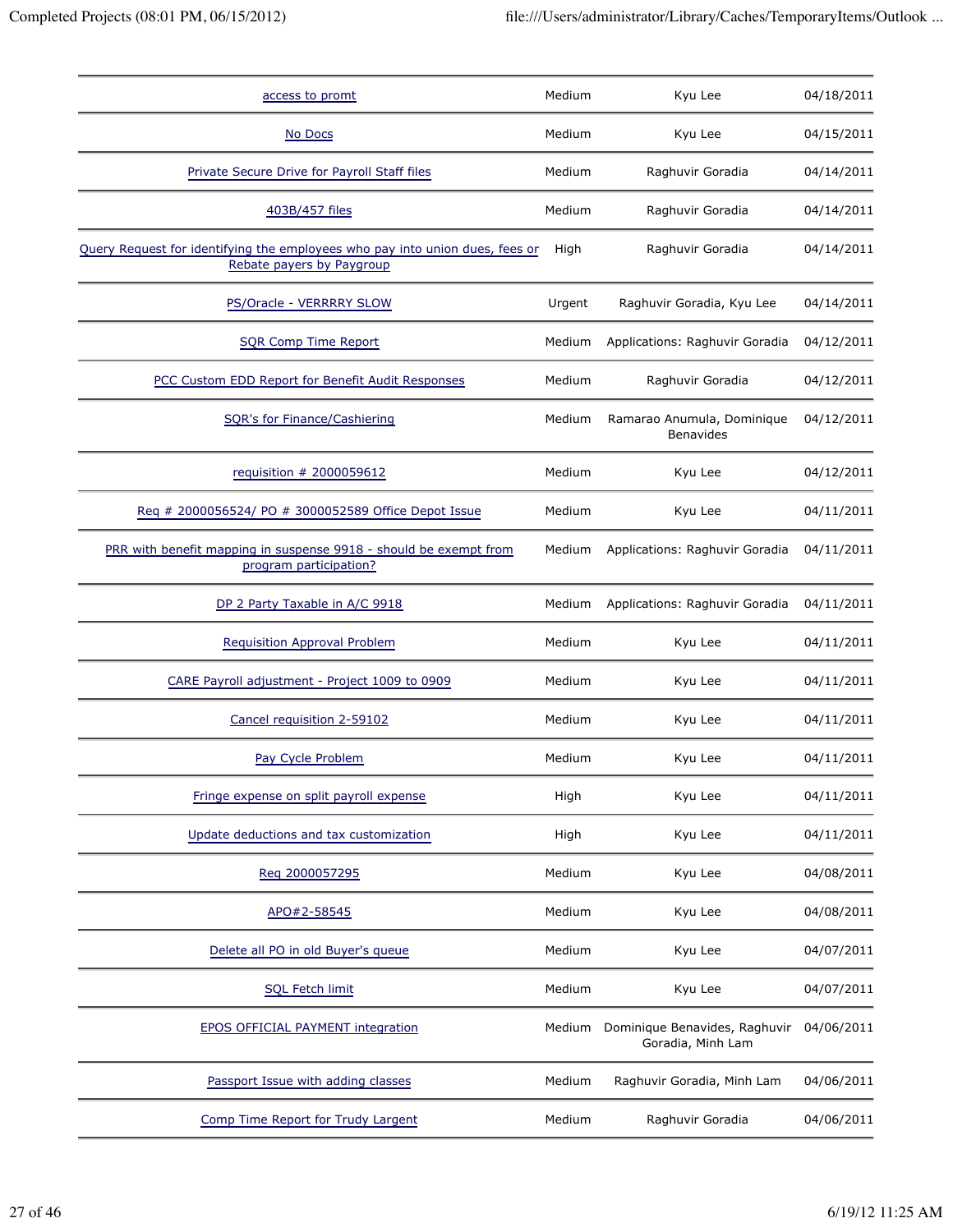| access to promt                                                                                           | Medium | Kyu Lee                                            | 04/18/2011 |
|-----------------------------------------------------------------------------------------------------------|--------|----------------------------------------------------|------------|
| No Docs                                                                                                   | Medium | Kyu Lee                                            | 04/15/2011 |
| Private Secure Drive for Payroll Staff files                                                              | Medium | Raghuvir Goradia                                   | 04/14/2011 |
| 403B/457 files                                                                                            | Medium | Raghuvir Goradia                                   | 04/14/2011 |
| Query Request for identifying the employees who pay into union dues, fees or<br>Rebate payers by Paygroup | High   | Raghuvir Goradia                                   | 04/14/2011 |
| PS/Oracle - VERRRRY SLOW                                                                                  | Urgent | Raghuvir Goradia, Kyu Lee                          | 04/14/2011 |
| <b>SQR Comp Time Report</b>                                                                               | Medium | Applications: Raghuvir Goradia                     | 04/12/2011 |
| PCC Custom EDD Report for Benefit Audit Responses                                                         | Medium | Raghuvir Goradia                                   | 04/12/2011 |
| SQR's for Finance/Cashiering                                                                              | Medium | Ramarao Anumula, Dominique<br><b>Benavides</b>     | 04/12/2011 |
| requisition # 2000059612                                                                                  | Medium | Kyu Lee                                            | 04/12/2011 |
| Req # 2000056524/ PO # 3000052589 Office Depot Issue                                                      | Medium | Kyu Lee                                            | 04/11/2011 |
| PRR with benefit mapping in suspense 9918 - should be exempt from<br>program participation?               | Medium | Applications: Raghuvir Goradia                     | 04/11/2011 |
| DP 2 Party Taxable in A/C 9918                                                                            | Medium | Applications: Raghuvir Goradia                     | 04/11/2011 |
| <b>Requisition Approval Problem</b>                                                                       | Medium | Kyu Lee                                            | 04/11/2011 |
| CARE Payroll adjustment - Project 1009 to 0909                                                            | Medium | Kyu Lee                                            | 04/11/2011 |
| Cancel requisition 2-59102                                                                                | Medium | Kyu Lee                                            | 04/11/2011 |
| Pay Cycle Problem                                                                                         | Medium | Kyu Lee                                            | 04/11/2011 |
| Fringe expense on split payroll expense                                                                   | High   | Kyu Lee                                            | 04/11/2011 |
| Update deductions and tax customization                                                                   | High   | Kyu Lee                                            | 04/11/2011 |
| Reg 2000057295                                                                                            | Medium | Kyu Lee                                            | 04/08/2011 |
| APO#2-58545                                                                                               | Medium | Kyu Lee                                            | 04/08/2011 |
| Delete all PO in old Buyer's queue                                                                        | Medium | Kyu Lee                                            | 04/07/2011 |
| <b>SQL Fetch limit</b>                                                                                    | Medium | Kyu Lee                                            | 04/07/2011 |
| <b>EPOS OFFICIAL PAYMENT integration</b>                                                                  | Medium | Dominique Benavides, Raghuvir<br>Goradia, Minh Lam | 04/06/2011 |
| Passport Issue with adding classes                                                                        | Medium | Raghuvir Goradia, Minh Lam                         | 04/06/2011 |
| Comp Time Report for Trudy Largent                                                                        | Medium | Raghuvir Goradia                                   | 04/06/2011 |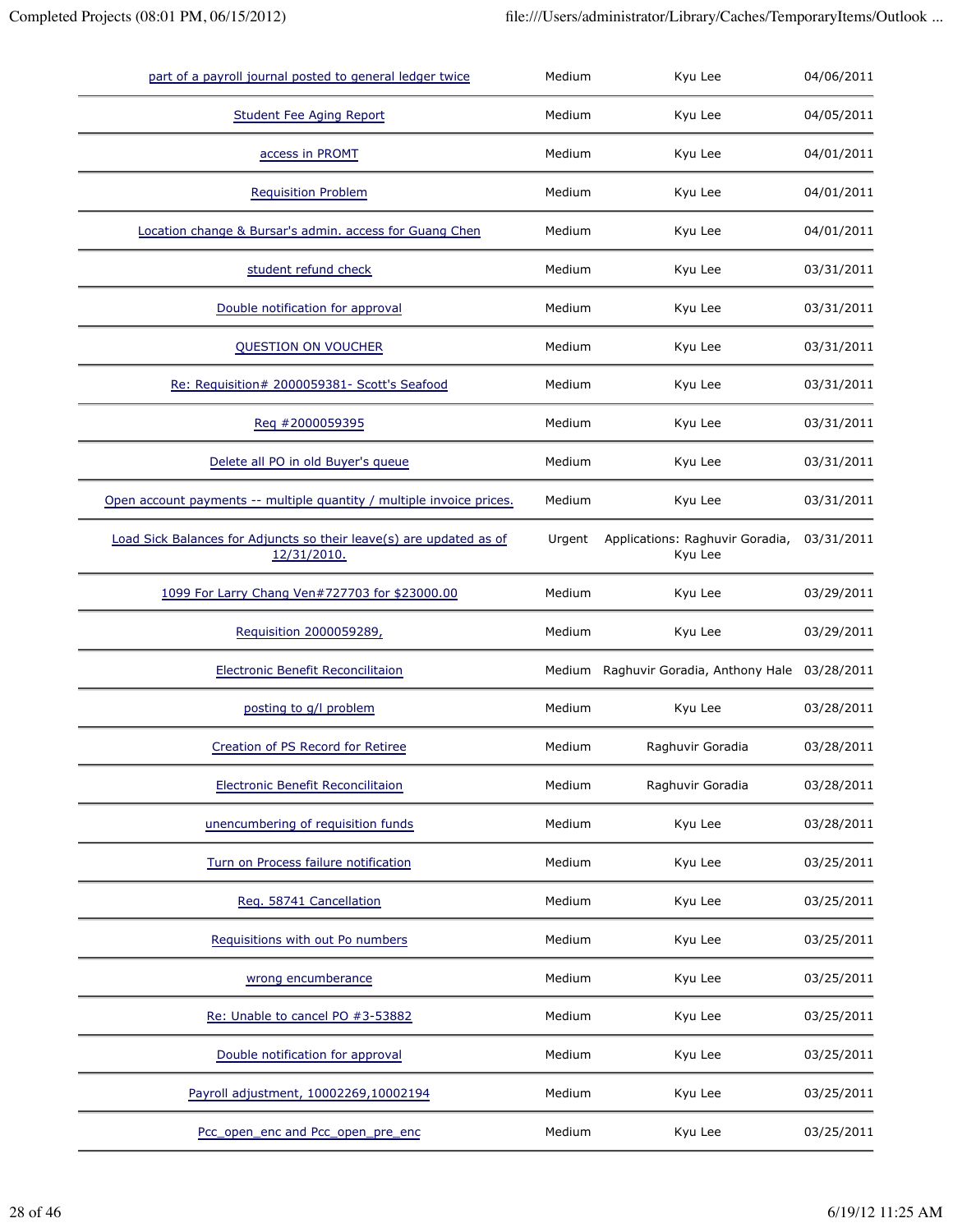| part of a payroll journal posted to general ledger twice                           | Medium | Kyu Lee                                          | 04/06/2011 |
|------------------------------------------------------------------------------------|--------|--------------------------------------------------|------------|
| <b>Student Fee Aging Report</b>                                                    | Medium | Kyu Lee                                          | 04/05/2011 |
| access in PROMT                                                                    | Medium | Kyu Lee                                          | 04/01/2011 |
| <b>Requisition Problem</b>                                                         | Medium | Kyu Lee                                          | 04/01/2011 |
| Location change & Bursar's admin. access for Guang Chen                            | Medium | Kyu Lee                                          | 04/01/2011 |
| student refund check                                                               | Medium | Kyu Lee                                          | 03/31/2011 |
| Double notification for approval                                                   | Medium | Kyu Lee                                          | 03/31/2011 |
| <b>QUESTION ON VOUCHER</b>                                                         | Medium | Kyu Lee                                          | 03/31/2011 |
| Re: Requisition# 2000059381- Scott's Seafood                                       | Medium | Kyu Lee                                          | 03/31/2011 |
| Req #2000059395                                                                    | Medium | Kyu Lee                                          | 03/31/2011 |
| Delete all PO in old Buyer's queue                                                 | Medium | Kyu Lee                                          | 03/31/2011 |
| Open account payments -- multiple quantity / multiple invoice prices.              | Medium | Kyu Lee                                          | 03/31/2011 |
| Load Sick Balances for Adjuncts so their leave(s) are updated as of<br>12/31/2010. | Urgent | Applications: Raghuvir Goradia,<br>Kyu Lee       | 03/31/2011 |
| 1099 For Larry Chang Ven#727703 for \$23000.00                                     | Medium | Kyu Lee                                          | 03/29/2011 |
| Requisition 2000059289,                                                            | Medium | Kyu Lee                                          | 03/29/2011 |
| <b>Electronic Benefit Reconcilitaion</b>                                           |        | Medium Raghuvir Goradia, Anthony Hale 03/28/2011 |            |
| posting to g/l problem                                                             | Medium | Kyu Lee                                          | 03/28/2011 |
| Creation of PS Record for Retiree                                                  | Medium | Raghuvir Goradia                                 | 03/28/2011 |
| Electronic Benefit Reconcilitaion                                                  | Medium | Raghuvir Goradia                                 | 03/28/2011 |
| unencumbering of requisition funds                                                 | Medium | Kyu Lee                                          | 03/28/2011 |
| Turn on Process failure notification                                               | Medium | Kyu Lee                                          | 03/25/2011 |
| Req. 58741 Cancellation                                                            | Medium | Kyu Lee                                          | 03/25/2011 |
| Requisitions with out Po numbers                                                   | Medium | Kyu Lee                                          | 03/25/2011 |
| wrong encumberance                                                                 | Medium | Kyu Lee                                          | 03/25/2011 |
| Re: Unable to cancel PO #3-53882                                                   | Medium | Kyu Lee                                          | 03/25/2011 |
| Double notification for approval                                                   | Medium | Kyu Lee                                          | 03/25/2011 |
| Payroll adjustment, 10002269,10002194                                              | Medium | Kyu Lee                                          | 03/25/2011 |
| Pcc_open_enc and Pcc_open_pre_enc                                                  | Medium | Kyu Lee                                          | 03/25/2011 |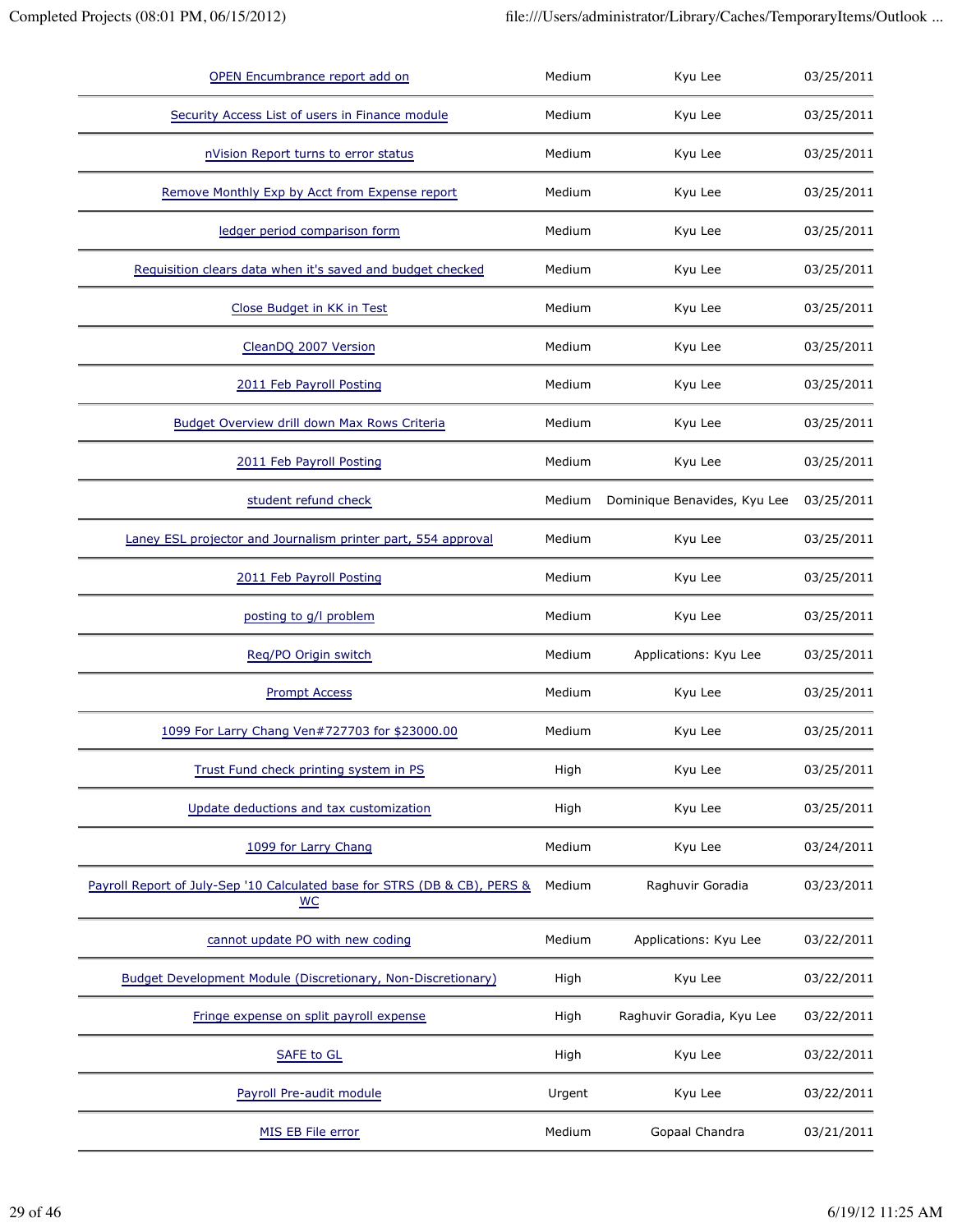| OPEN Encumbrance report add on                                                         | Medium | Kyu Lee                      | 03/25/2011 |
|----------------------------------------------------------------------------------------|--------|------------------------------|------------|
| Security Access List of users in Finance module                                        | Medium | Kyu Lee                      | 03/25/2011 |
| nVision Report turns to error status                                                   | Medium | Kyu Lee                      | 03/25/2011 |
| Remove Monthly Exp by Acct from Expense report                                         | Medium | Kyu Lee                      | 03/25/2011 |
| ledger period comparison form                                                          | Medium | Kyu Lee                      | 03/25/2011 |
| Requisition clears data when it's saved and budget checked                             | Medium | Kyu Lee                      | 03/25/2011 |
| Close Budget in KK in Test                                                             | Medium | Kyu Lee                      | 03/25/2011 |
| CleanDQ 2007 Version                                                                   | Medium | Kyu Lee                      | 03/25/2011 |
| 2011 Feb Payroll Posting                                                               | Medium | Kyu Lee                      | 03/25/2011 |
| Budget Overview drill down Max Rows Criteria                                           | Medium | Kyu Lee                      | 03/25/2011 |
| 2011 Feb Payroll Posting                                                               | Medium | Kyu Lee                      | 03/25/2011 |
| student refund check                                                                   | Medium | Dominique Benavides, Kyu Lee | 03/25/2011 |
| Laney ESL projector and Journalism printer part, 554 approval                          | Medium | Kyu Lee                      | 03/25/2011 |
| 2011 Feb Payroll Posting                                                               | Medium | Kyu Lee                      | 03/25/2011 |
| posting to g/l problem                                                                 | Medium | Kyu Lee                      | 03/25/2011 |
| Req/PO Origin switch                                                                   | Medium | Applications: Kyu Lee        | 03/25/2011 |
| <b>Prompt Access</b>                                                                   | Medium | Kyu Lee                      | 03/25/2011 |
| 1099 For Larry Chang Ven#727703 for \$23000.00                                         | Medium | Kyu Lee                      | 03/25/2011 |
| Trust Fund check printing system in PS                                                 | High   | Kyu Lee                      | 03/25/2011 |
| Update deductions and tax customization                                                | High   | Kyu Lee                      | 03/25/2011 |
| 1099 for Larry Chang                                                                   | Medium | Kyu Lee                      | 03/24/2011 |
| Payroll Report of July-Sep '10 Calculated base for STRS (DB & CB), PERS &<br><b>WC</b> | Medium | Raghuvir Goradia             | 03/23/2011 |
| cannot update PO with new coding                                                       | Medium | Applications: Kyu Lee        | 03/22/2011 |
| Budget Development Module (Discretionary, Non-Discretionary)                           | High   | Kyu Lee                      | 03/22/2011 |
| Fringe expense on split payroll expense                                                | High   | Raghuvir Goradia, Kyu Lee    | 03/22/2011 |
| <b>SAFE to GL</b>                                                                      | High   | Kyu Lee                      | 03/22/2011 |
| Payroll Pre-audit module                                                               | Urgent | Kyu Lee                      | 03/22/2011 |
| MIS EB File error                                                                      | Medium | Gopaal Chandra               | 03/21/2011 |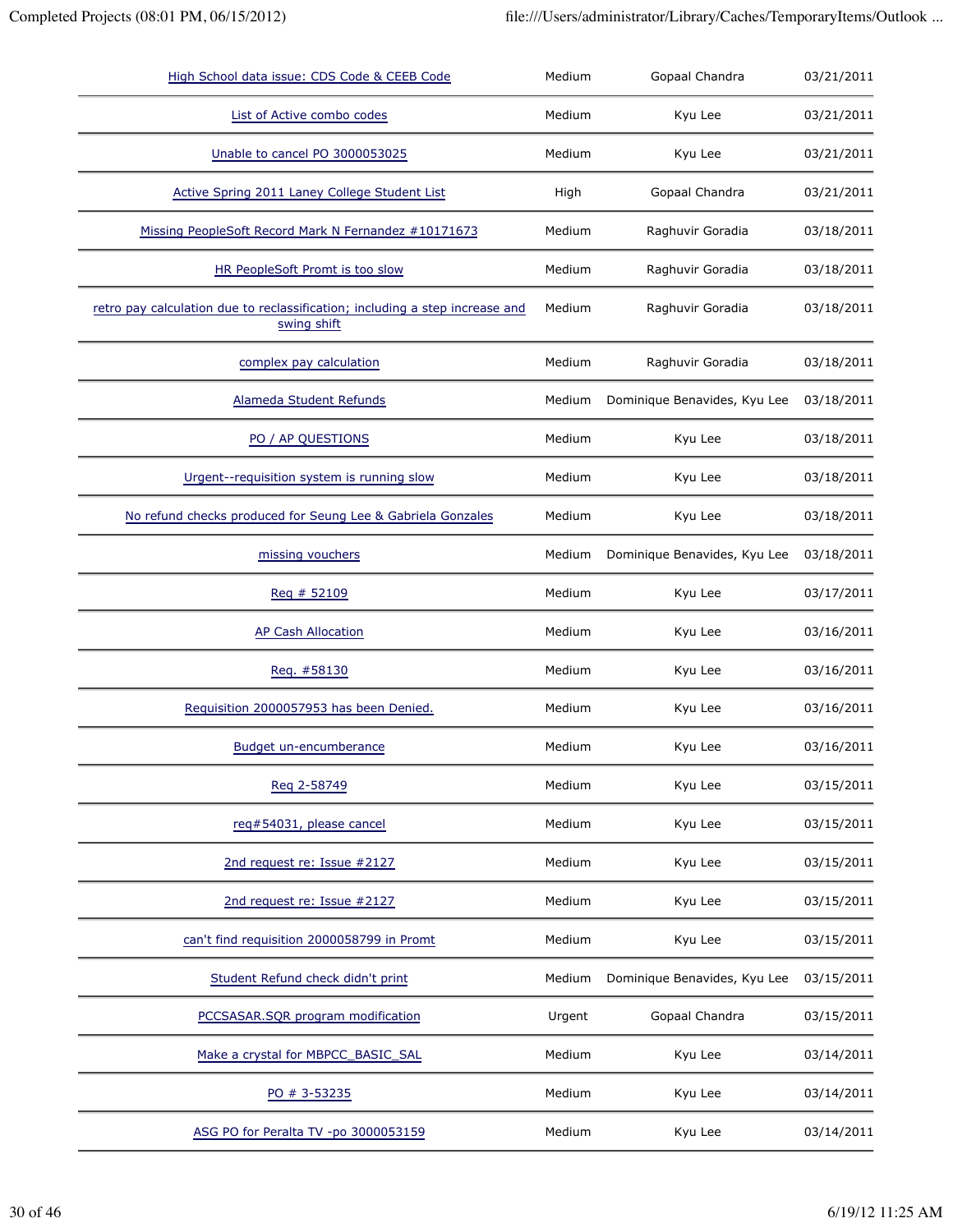| High School data issue: CDS Code & CEEB Code                                                | Medium | Gopaal Chandra               | 03/21/2011 |
|---------------------------------------------------------------------------------------------|--------|------------------------------|------------|
| List of Active combo codes                                                                  | Medium | Kyu Lee                      | 03/21/2011 |
| Unable to cancel PO 3000053025                                                              | Medium | Kyu Lee                      | 03/21/2011 |
| Active Spring 2011 Laney College Student List                                               | High   | Gopaal Chandra               | 03/21/2011 |
| Missing PeopleSoft Record Mark N Fernandez #10171673                                        | Medium | Raghuvir Goradia             | 03/18/2011 |
| HR PeopleSoft Promt is too slow                                                             | Medium | Raghuvir Goradia             | 03/18/2011 |
| retro pay calculation due to reclassification; including a step increase and<br>swing shift | Medium | Raghuvir Goradia             | 03/18/2011 |
| complex pay calculation                                                                     | Medium | Raghuvir Goradia             | 03/18/2011 |
| Alameda Student Refunds                                                                     | Medium | Dominique Benavides, Kyu Lee | 03/18/2011 |
| PO / AP QUESTIONS                                                                           | Medium | Kyu Lee                      | 03/18/2011 |
| Urgent--requisition system is running slow                                                  | Medium | Kyu Lee                      | 03/18/2011 |
| No refund checks produced for Seung Lee & Gabriela Gonzales                                 | Medium | Kyu Lee                      | 03/18/2011 |
| missing vouchers                                                                            | Medium | Dominique Benavides, Kyu Lee | 03/18/2011 |
| Reg # 52109                                                                                 | Medium | Kyu Lee                      | 03/17/2011 |
| <b>AP Cash Allocation</b>                                                                   | Medium | Kyu Lee                      | 03/16/2011 |
| Reg. #58130                                                                                 | Medium | Kyu Lee                      | 03/16/2011 |
| Requisition 2000057953 has been Denied.                                                     | Medium | Kyu Lee                      | 03/16/2011 |
| <b>Budget un-encumberance</b>                                                               | Medium | Kyu Lee                      | 03/16/2011 |
| Reg 2-58749                                                                                 | Medium | Kyu Lee                      | 03/15/2011 |
| req#54031, please cancel                                                                    | Medium | Kyu Lee                      | 03/15/2011 |
| 2nd request re: Issue #2127                                                                 | Medium | Kyu Lee                      | 03/15/2011 |
| 2nd request re: Issue #2127                                                                 | Medium | Kyu Lee                      | 03/15/2011 |
| can't find requisition 2000058799 in Promt                                                  | Medium | Kyu Lee                      | 03/15/2011 |
| Student Refund check didn't print                                                           | Medium | Dominique Benavides, Kyu Lee | 03/15/2011 |
| PCCSASAR.SQR program modification                                                           | Urgent | Gopaal Chandra               | 03/15/2011 |
| Make a crystal for MBPCC_BASIC_SAL                                                          | Medium | Kyu Lee                      | 03/14/2011 |
| PO # 3-53235                                                                                | Medium | Kyu Lee                      | 03/14/2011 |
| ASG PO for Peralta TV -po 3000053159                                                        | Medium | Kyu Lee                      | 03/14/2011 |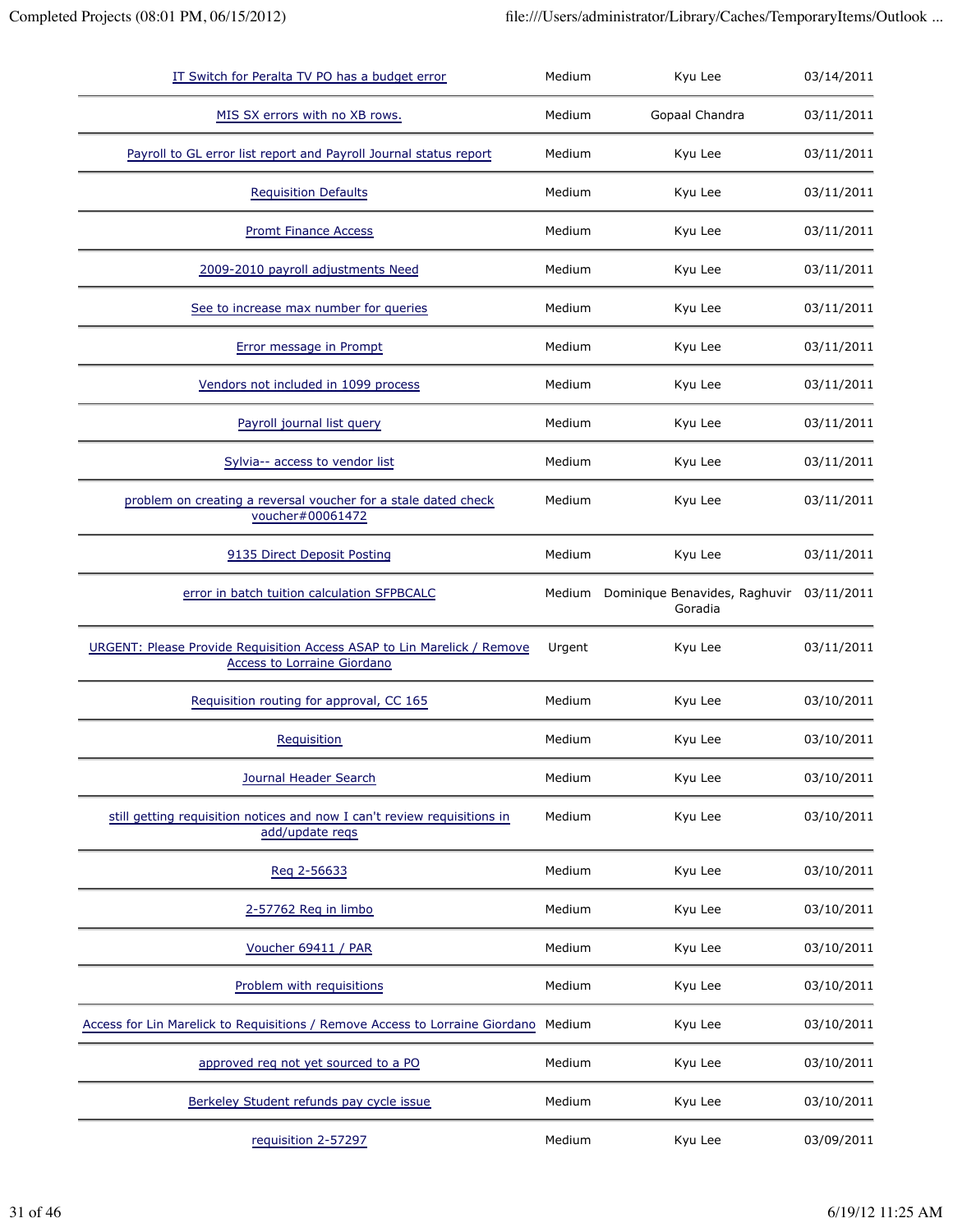| IT Switch for Peralta TV PO has a budget error                                                         | Medium | Kyu Lee                                  | 03/14/2011 |
|--------------------------------------------------------------------------------------------------------|--------|------------------------------------------|------------|
| MIS SX errors with no XB rows.                                                                         | Medium | Gopaal Chandra                           | 03/11/2011 |
| Payroll to GL error list report and Payroll Journal status report                                      | Medium | Kyu Lee                                  | 03/11/2011 |
| <b>Requisition Defaults</b>                                                                            | Medium | Kyu Lee                                  | 03/11/2011 |
| <b>Promt Finance Access</b>                                                                            | Medium | Kyu Lee                                  | 03/11/2011 |
| 2009-2010 payroll adjustments Need                                                                     | Medium | Kyu Lee                                  | 03/11/2011 |
| See to increase max number for queries                                                                 | Medium | Kyu Lee                                  | 03/11/2011 |
| Error message in Prompt                                                                                | Medium | Kyu Lee                                  | 03/11/2011 |
| Vendors not included in 1099 process                                                                   | Medium | Kyu Lee                                  | 03/11/2011 |
| Payroll journal list query                                                                             | Medium | Kyu Lee                                  | 03/11/2011 |
| Sylvia-- access to vendor list                                                                         | Medium | Kyu Lee                                  | 03/11/2011 |
| problem on creating a reversal voucher for a stale dated check<br>voucher#00061472                     | Medium | Kyu Lee                                  | 03/11/2011 |
| 9135 Direct Deposit Posting                                                                            | Medium | Kyu Lee                                  | 03/11/2011 |
| error in batch tuition calculation SFPBCALC                                                            | Medium | Dominique Benavides, Raghuvir<br>Goradia | 03/11/2011 |
| URGENT: Please Provide Requisition Access ASAP to Lin Marelick / Remove<br>Access to Lorraine Giordano | Urgent | Kyu Lee                                  | 03/11/2011 |
| Requisition routing for approval, CC 165                                                               | Medium | Kyu Lee                                  | 03/10/2011 |
| Requisition                                                                                            | Medium | Kyu Lee                                  | 03/10/2011 |
| Journal Header Search                                                                                  | Medium | Kyu Lee                                  | 03/10/2011 |
| still getting requisition notices and now I can't review requisitions in<br>add/update reqs            | Medium | Kyu Lee                                  | 03/10/2011 |
| Reg 2-56633                                                                                            | Medium | Kyu Lee                                  | 03/10/2011 |
| 2-57762 Reg in limbo                                                                                   | Medium | Kyu Lee                                  | 03/10/2011 |
| Voucher 69411 / PAR                                                                                    | Medium | Kyu Lee                                  | 03/10/2011 |
| Problem with requisitions                                                                              | Medium | Kyu Lee                                  | 03/10/2011 |
| Access for Lin Marelick to Requisitions / Remove Access to Lorraine Giordano                           | Medium | Kyu Lee                                  | 03/10/2011 |
| approved req not yet sourced to a PO                                                                   |        | Kyu Lee                                  | 03/10/2011 |
|                                                                                                        | Medium |                                          |            |
| Berkeley Student refunds pay cycle issue                                                               | Medium | Kyu Lee                                  | 03/10/2011 |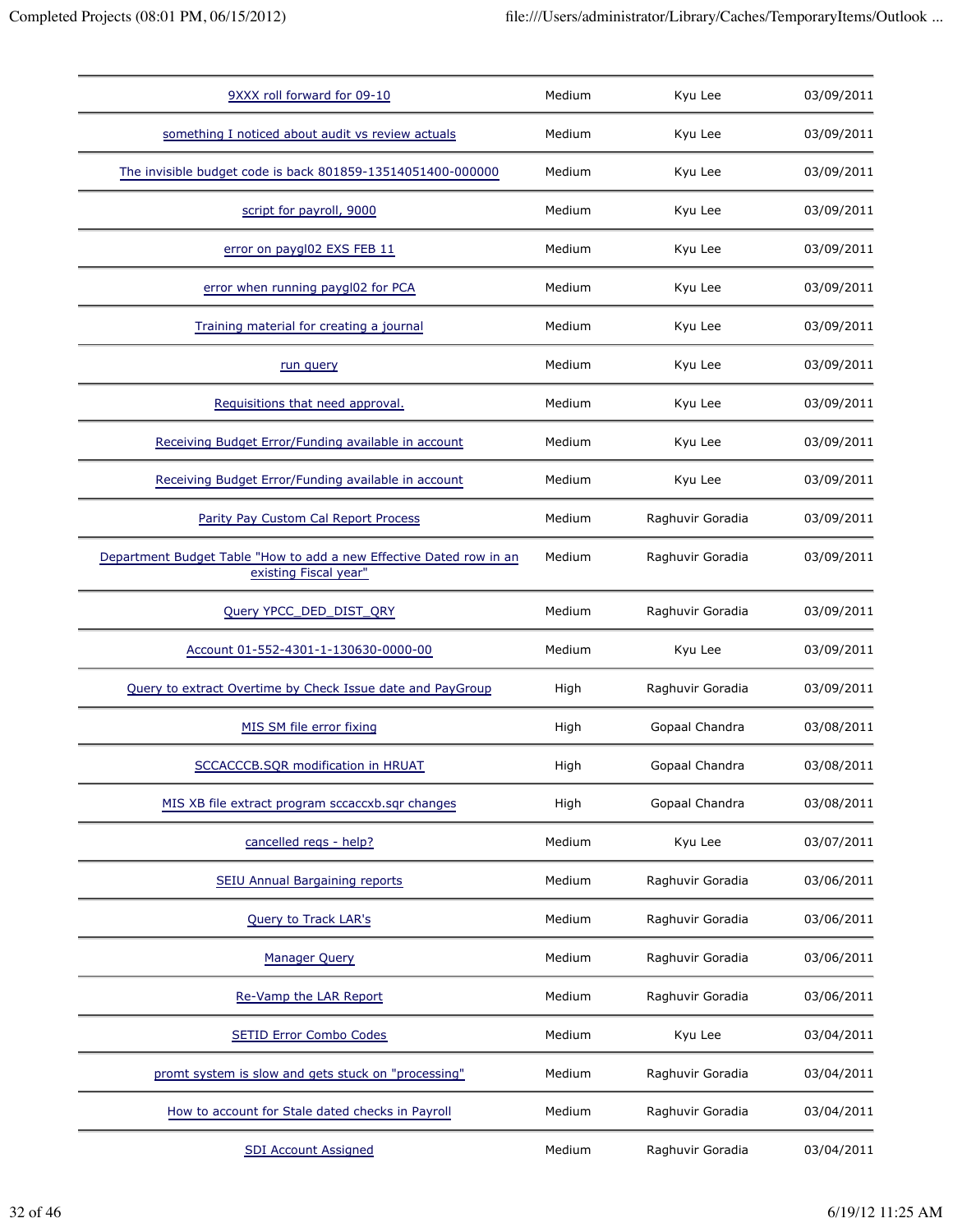| 9XXX roll forward for 09-10                                                                  | Medium | Kyu Lee          | 03/09/2011 |
|----------------------------------------------------------------------------------------------|--------|------------------|------------|
| something I noticed about audit vs review actuals                                            | Medium | Kyu Lee          | 03/09/2011 |
| The invisible budget code is back 801859-13514051400-000000                                  | Medium | Kyu Lee          | 03/09/2011 |
| script for payroll, 9000                                                                     | Medium | Kyu Lee          | 03/09/2011 |
| error on paygl02 EXS FEB 11                                                                  | Medium | Kyu Lee          | 03/09/2011 |
| error when running paygl02 for PCA                                                           | Medium | Kyu Lee          | 03/09/2011 |
| Training material for creating a journal                                                     | Medium | Kyu Lee          | 03/09/2011 |
| run query                                                                                    | Medium | Kyu Lee          | 03/09/2011 |
| Requisitions that need approval.                                                             | Medium | Kyu Lee          | 03/09/2011 |
| Receiving Budget Error/Funding available in account                                          | Medium | Kyu Lee          | 03/09/2011 |
| Receiving Budget Error/Funding available in account                                          | Medium | Kyu Lee          | 03/09/2011 |
| Parity Pay Custom Cal Report Process                                                         | Medium | Raghuvir Goradia | 03/09/2011 |
| Department Budget Table "How to add a new Effective Dated row in an<br>existing Fiscal year" | Medium | Raghuvir Goradia | 03/09/2011 |
| Query YPCC_DED_DIST_QRY                                                                      | Medium | Raghuvir Goradia | 03/09/2011 |
| Account 01-552-4301-1-130630-0000-00                                                         | Medium | Kyu Lee          | 03/09/2011 |
| Query to extract Overtime by Check Issue date and PayGroup                                   | High   | Raghuvir Goradia | 03/09/2011 |
| MIS SM file error fixing                                                                     | High   | Gopaal Chandra   | 03/08/2011 |
| SCCACCCB.SQR modification in HRUAT                                                           | High   | Gopaal Chandra   | 03/08/2011 |
| MIS XB file extract program sccaccxb.sqr changes                                             | High   | Gopaal Chandra   | 03/08/2011 |
| cancelled regs - help?                                                                       | Medium | Kyu Lee          | 03/07/2011 |
| SEIU Annual Bargaining reports                                                               | Medium | Raghuvir Goradia | 03/06/2011 |
| <b>Query to Track LAR's</b>                                                                  | Medium | Raghuvir Goradia | 03/06/2011 |
| <b>Manager Query</b>                                                                         | Medium | Raghuvir Goradia | 03/06/2011 |
| Re-Vamp the LAR Report                                                                       | Medium | Raghuvir Goradia | 03/06/2011 |
| <b>SETID Error Combo Codes</b>                                                               | Medium | Kyu Lee          | 03/04/2011 |
| promt system is slow and gets stuck on "processing"                                          | Medium | Raghuvir Goradia | 03/04/2011 |
| How to account for Stale dated checks in Payroll                                             | Medium | Raghuvir Goradia | 03/04/2011 |
| <b>SDI Account Assigned</b>                                                                  | Medium | Raghuvir Goradia | 03/04/2011 |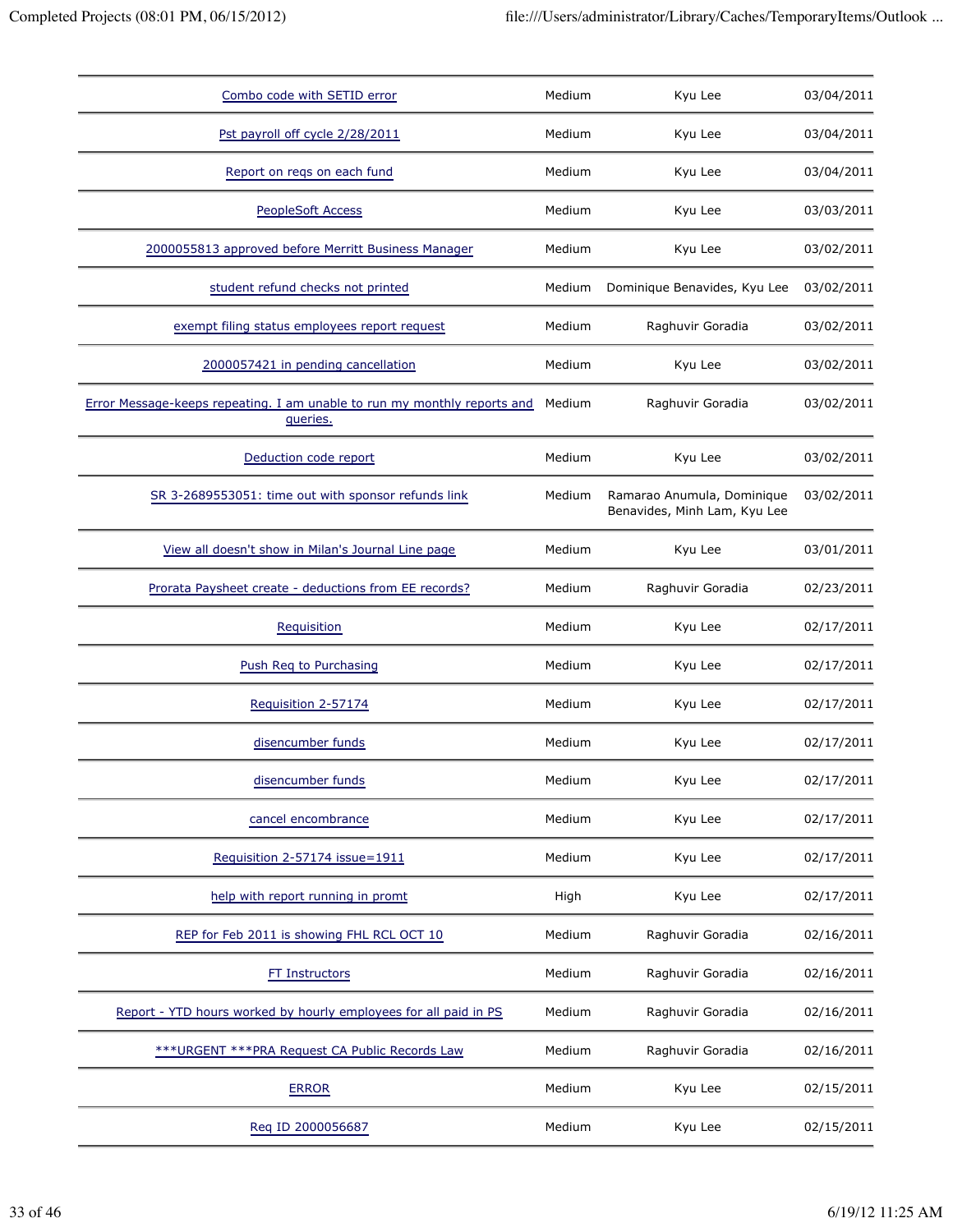| Combo code with SETID error                                                          | Medium | Kyu Lee                                                    | 03/04/2011 |
|--------------------------------------------------------------------------------------|--------|------------------------------------------------------------|------------|
| Pst payroll off cycle 2/28/2011                                                      | Medium | Kyu Lee                                                    | 03/04/2011 |
| Report on regs on each fund                                                          | Medium | Kyu Lee                                                    | 03/04/2011 |
| <b>PeopleSoft Access</b>                                                             | Medium | Kyu Lee                                                    | 03/03/2011 |
| 2000055813 approved before Merritt Business Manager                                  | Medium | Kyu Lee                                                    | 03/02/2011 |
| student refund checks not printed                                                    | Medium | Dominique Benavides, Kyu Lee                               | 03/02/2011 |
| exempt filing status employees report request                                        | Medium | Raghuvir Goradia                                           | 03/02/2011 |
| 2000057421 in pending cancellation                                                   | Medium | Kyu Lee                                                    | 03/02/2011 |
| Error Message-keeps repeating. I am unable to run my monthly reports and<br>queries. | Medium | Raghuvir Goradia                                           | 03/02/2011 |
| Deduction code report                                                                | Medium | Kyu Lee                                                    | 03/02/2011 |
| SR 3-2689553051: time out with sponsor refunds link                                  | Medium | Ramarao Anumula, Dominique<br>Benavides, Minh Lam, Kyu Lee | 03/02/2011 |
| View all doesn't show in Milan's Journal Line page                                   | Medium | Kyu Lee                                                    | 03/01/2011 |
| Prorata Paysheet create - deductions from EE records?                                | Medium | Raghuvir Goradia                                           | 02/23/2011 |
| Requisition                                                                          | Medium | Kyu Lee                                                    | 02/17/2011 |
| Push Req to Purchasing                                                               | Medium | Kyu Lee                                                    | 02/17/2011 |
| Requisition 2-57174                                                                  | Medium | Kyu Lee                                                    | 02/17/2011 |
| disencumber funds                                                                    | Medium | Kyu Lee                                                    | 02/17/2011 |
| disencumber funds                                                                    | Medium | Kyu Lee                                                    | 02/17/2011 |
| cancel encombrance                                                                   | Medium | Kyu Lee                                                    | 02/17/2011 |
| Requisition 2-57174 issue=1911                                                       | Medium | Kyu Lee                                                    | 02/17/2011 |
| help with report running in promt                                                    | High   | Kyu Lee                                                    | 02/17/2011 |
| REP for Feb 2011 is showing FHL RCL OCT 10                                           | Medium | Raghuvir Goradia                                           | 02/16/2011 |
| FT Instructors                                                                       | Medium | Raghuvir Goradia                                           | 02/16/2011 |
| Report - YTD hours worked by hourly employees for all paid in PS                     | Medium | Raghuvir Goradia                                           | 02/16/2011 |
| *** URGENT *** PRA Request CA Public Records Law                                     | Medium | Raghuvir Goradia                                           | 02/16/2011 |
| <b>ERROR</b>                                                                         | Medium | Kyu Lee                                                    | 02/15/2011 |
| Req ID 2000056687                                                                    | Medium | Kyu Lee                                                    | 02/15/2011 |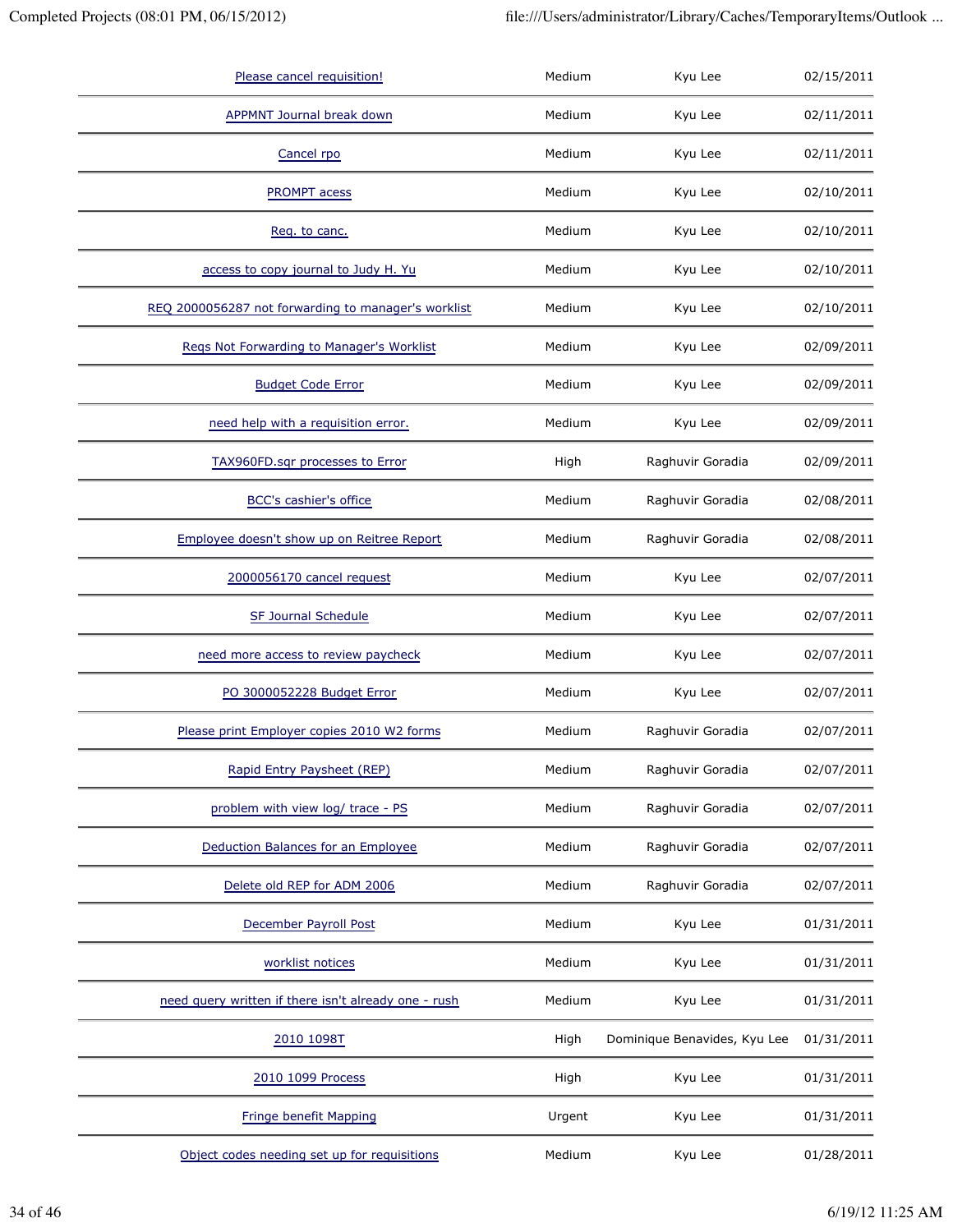| Please cancel requisition!                           | Medium | Kyu Lee                      | 02/15/2011 |
|------------------------------------------------------|--------|------------------------------|------------|
| <b>APPMNT Journal break down</b>                     | Medium | Kyu Lee                      | 02/11/2011 |
| Cancel rpo                                           | Medium | Kyu Lee                      | 02/11/2011 |
| PROMPT acess                                         | Medium | Kyu Lee                      | 02/10/2011 |
| Reg. to canc.                                        | Medium | Kyu Lee                      | 02/10/2011 |
| access to copy journal to Judy H. Yu                 | Medium | Kyu Lee                      | 02/10/2011 |
| REQ 2000056287 not forwarding to manager's worklist  | Medium | Kyu Lee                      | 02/10/2011 |
| Regs Not Forwarding to Manager's Worklist            | Medium | Kyu Lee                      | 02/09/2011 |
| <b>Budget Code Error</b>                             | Medium | Kyu Lee                      | 02/09/2011 |
| need help with a requisition error.                  | Medium | Kyu Lee                      | 02/09/2011 |
| TAX960FD.sqr processes to Error                      | High   | Raghuvir Goradia             | 02/09/2011 |
| BCC's cashier's office                               | Medium | Raghuvir Goradia             | 02/08/2011 |
| Employee doesn't show up on Reitree Report           | Medium | Raghuvir Goradia             | 02/08/2011 |
| 2000056170 cancel request                            | Medium | Kyu Lee                      | 02/07/2011 |
| SF Journal Schedule                                  | Medium | Kyu Lee                      | 02/07/2011 |
| need more access to review paycheck                  | Medium | Kyu Lee                      | 02/07/2011 |
| PO 3000052228 Budget Error                           | Medium | Kyu Lee                      | 02/07/2011 |
| Please print Employer copies 2010 W2 forms           | Medium | Raghuvir Goradia             | 02/07/2011 |
| Rapid Entry Paysheet (REP)                           | Medium | Raghuvir Goradia             | 02/07/2011 |
| problem with view log/ trace - PS                    | Medium | Raghuvir Goradia             | 02/07/2011 |
| Deduction Balances for an Employee                   | Medium | Raghuvir Goradia             | 02/07/2011 |
| Delete old REP for ADM 2006                          | Medium | Raghuvir Goradia             | 02/07/2011 |
| December Payroll Post                                | Medium | Kyu Lee                      | 01/31/2011 |
| worklist notices                                     | Medium | Kyu Lee                      | 01/31/2011 |
| need query written if there isn't already one - rush | Medium | Kyu Lee                      | 01/31/2011 |
| 2010 1098T                                           | High   | Dominique Benavides, Kyu Lee | 01/31/2011 |
| 2010 1099 Process                                    | High   | Kyu Lee                      | 01/31/2011 |
| Fringe benefit Mapping                               | Urgent | Kyu Lee                      | 01/31/2011 |
| Object codes needing set up for requisitions         | Medium | Kyu Lee                      | 01/28/2011 |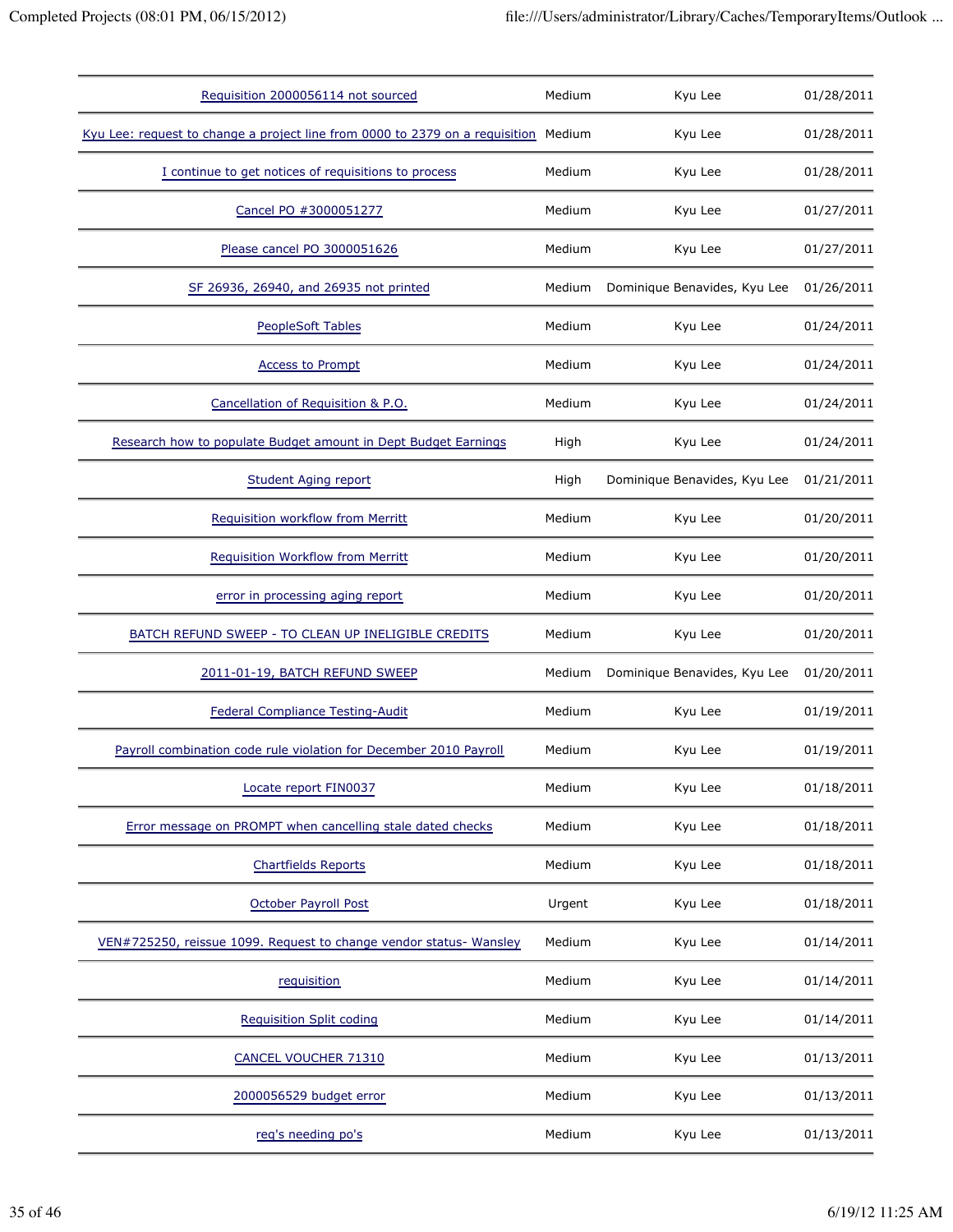| Requisition 2000056114 not sourced                                                  | Medium | Kyu Lee                      | 01/28/2011 |
|-------------------------------------------------------------------------------------|--------|------------------------------|------------|
| Kyu Lee: request to change a project line from 0000 to 2379 on a requisition Medium |        | Kyu Lee                      | 01/28/2011 |
| I continue to get notices of requisitions to process                                | Medium | Kyu Lee                      | 01/28/2011 |
| Cancel PO #3000051277                                                               | Medium | Kyu Lee                      | 01/27/2011 |
| Please cancel PO 3000051626                                                         | Medium | Kyu Lee                      | 01/27/2011 |
| SF 26936, 26940, and 26935 not printed                                              | Medium | Dominique Benavides, Kyu Lee | 01/26/2011 |
| <b>PeopleSoft Tables</b>                                                            | Medium | Kyu Lee                      | 01/24/2011 |
| <b>Access to Prompt</b>                                                             | Medium | Kyu Lee                      | 01/24/2011 |
| Cancellation of Requisition & P.O.                                                  | Medium | Kyu Lee                      | 01/24/2011 |
| Research how to populate Budget amount in Dept Budget Earnings                      | High   | Kyu Lee                      | 01/24/2011 |
| <b>Student Aging report</b>                                                         | High   | Dominique Benavides, Kyu Lee | 01/21/2011 |
| Requisition workflow from Merritt                                                   | Medium | Kyu Lee                      | 01/20/2011 |
| <b>Requisition Workflow from Merritt</b>                                            | Medium | Kyu Lee                      | 01/20/2011 |
| error in processing aging report                                                    | Medium | Kyu Lee                      | 01/20/2011 |
| BATCH REFUND SWEEP - TO CLEAN UP INELIGIBLE CREDITS                                 | Medium | Kyu Lee                      | 01/20/2011 |
| 2011-01-19, BATCH REFUND SWEEP                                                      | Medium | Dominique Benavides, Kyu Lee | 01/20/2011 |
| <b>Federal Compliance Testing-Audit</b>                                             | Medium | Kyu Lee                      | 01/19/2011 |
| Payroll combination code rule violation for December 2010 Payroll                   | Medium | Kyu Lee                      | 01/19/2011 |
| Locate report FIN0037                                                               | Medium | Kyu Lee                      | 01/18/2011 |
| Error message on PROMPT when cancelling stale dated checks                          | Medium | Kyu Lee                      | 01/18/2011 |
| <b>Chartfields Reports</b>                                                          | Medium | Kyu Lee                      | 01/18/2011 |
| <b>October Payroll Post</b>                                                         | Urgent | Kyu Lee                      | 01/18/2011 |
| VEN#725250, reissue 1099. Request to change vendor status- Wansley                  | Medium | Kyu Lee                      | 01/14/2011 |
| requisition                                                                         | Medium | Kyu Lee                      | 01/14/2011 |
| <b>Requisition Split coding</b>                                                     | Medium | Kyu Lee                      | 01/14/2011 |
| CANCEL VOUCHER 71310                                                                | Medium | Kyu Lee                      | 01/13/2011 |
| 2000056529 budget error                                                             | Medium | Kyu Lee                      | 01/13/2011 |
| reg's needing po's                                                                  | Medium | Kyu Lee                      | 01/13/2011 |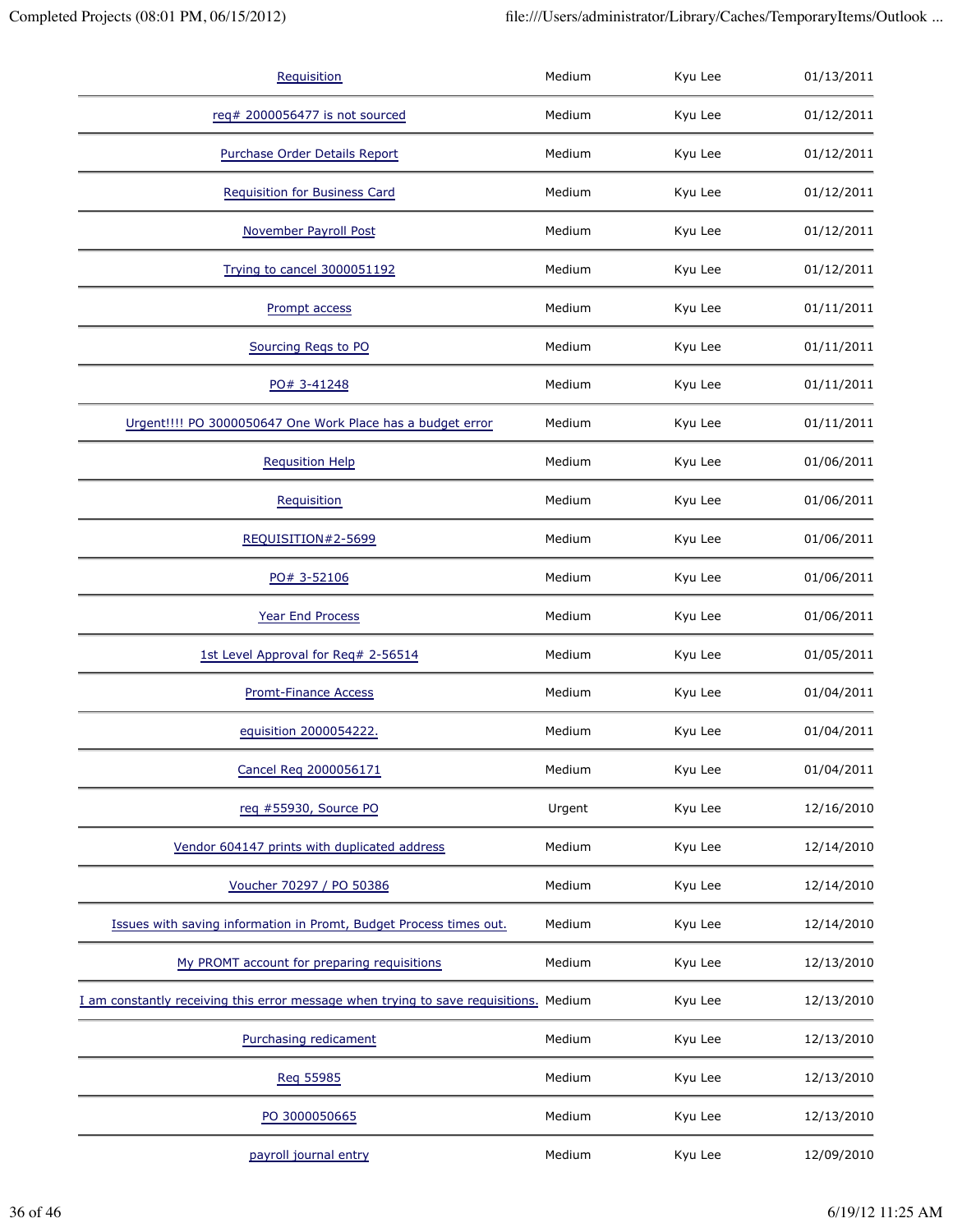| Requisition                                                                           | Medium | Kyu Lee | 01/13/2011 |
|---------------------------------------------------------------------------------------|--------|---------|------------|
| req# 2000056477 is not sourced                                                        | Medium | Kyu Lee | 01/12/2011 |
| Purchase Order Details Report                                                         | Medium | Kyu Lee | 01/12/2011 |
| <b>Requisition for Business Card</b>                                                  | Medium | Kyu Lee | 01/12/2011 |
| <b>November Payroll Post</b>                                                          | Medium | Kyu Lee | 01/12/2011 |
| Trying to cancel 3000051192                                                           | Medium | Kyu Lee | 01/12/2011 |
| Prompt access                                                                         | Medium | Kyu Lee | 01/11/2011 |
| Sourcing Reqs to PO                                                                   | Medium | Kyu Lee | 01/11/2011 |
| PO# 3-41248                                                                           | Medium | Kyu Lee | 01/11/2011 |
| Urgent!!!! PO 3000050647 One Work Place has a budget error                            | Medium | Kyu Lee | 01/11/2011 |
| <b>Requsition Help</b>                                                                | Medium | Kyu Lee | 01/06/2011 |
| Requisition                                                                           | Medium | Kyu Lee | 01/06/2011 |
| REQUISITION#2-5699                                                                    | Medium | Kyu Lee | 01/06/2011 |
| PO# 3-52106                                                                           | Medium | Kyu Lee | 01/06/2011 |
| Year End Process                                                                      | Medium | Kyu Lee | 01/06/2011 |
| 1st Level Approval for Req# 2-56514                                                   | Medium | Kyu Lee | 01/05/2011 |
| <b>Promt-Finance Access</b>                                                           | Medium | Kyu Lee | 01/04/2011 |
| equisition 2000054222.                                                                | Medium | Kyu Lee | 01/04/2011 |
| Cancel Req 2000056171                                                                 | Medium | Kyu Lee | 01/04/2011 |
| req #55930, Source PO                                                                 | Urgent | Kyu Lee | 12/16/2010 |
| Vendor 604147 prints with duplicated address                                          | Medium | Kyu Lee | 12/14/2010 |
| Voucher 70297 / PO 50386                                                              | Medium | Kyu Lee | 12/14/2010 |
| Issues with saving information in Promt, Budget Process times out.                    | Medium | Kyu Lee | 12/14/2010 |
| My PROMT account for preparing requisitions                                           | Medium | Kyu Lee | 12/13/2010 |
| I am constantly receiving this error message when trying to save requisitions. Medium |        | Kyu Lee | 12/13/2010 |
| Purchasing redicament                                                                 | Medium | Kyu Lee | 12/13/2010 |
| Reg 55985                                                                             | Medium | Kyu Lee | 12/13/2010 |
| PO 3000050665                                                                         | Medium | Kyu Lee | 12/13/2010 |
| payroll journal entry                                                                 | Medium | Kyu Lee | 12/09/2010 |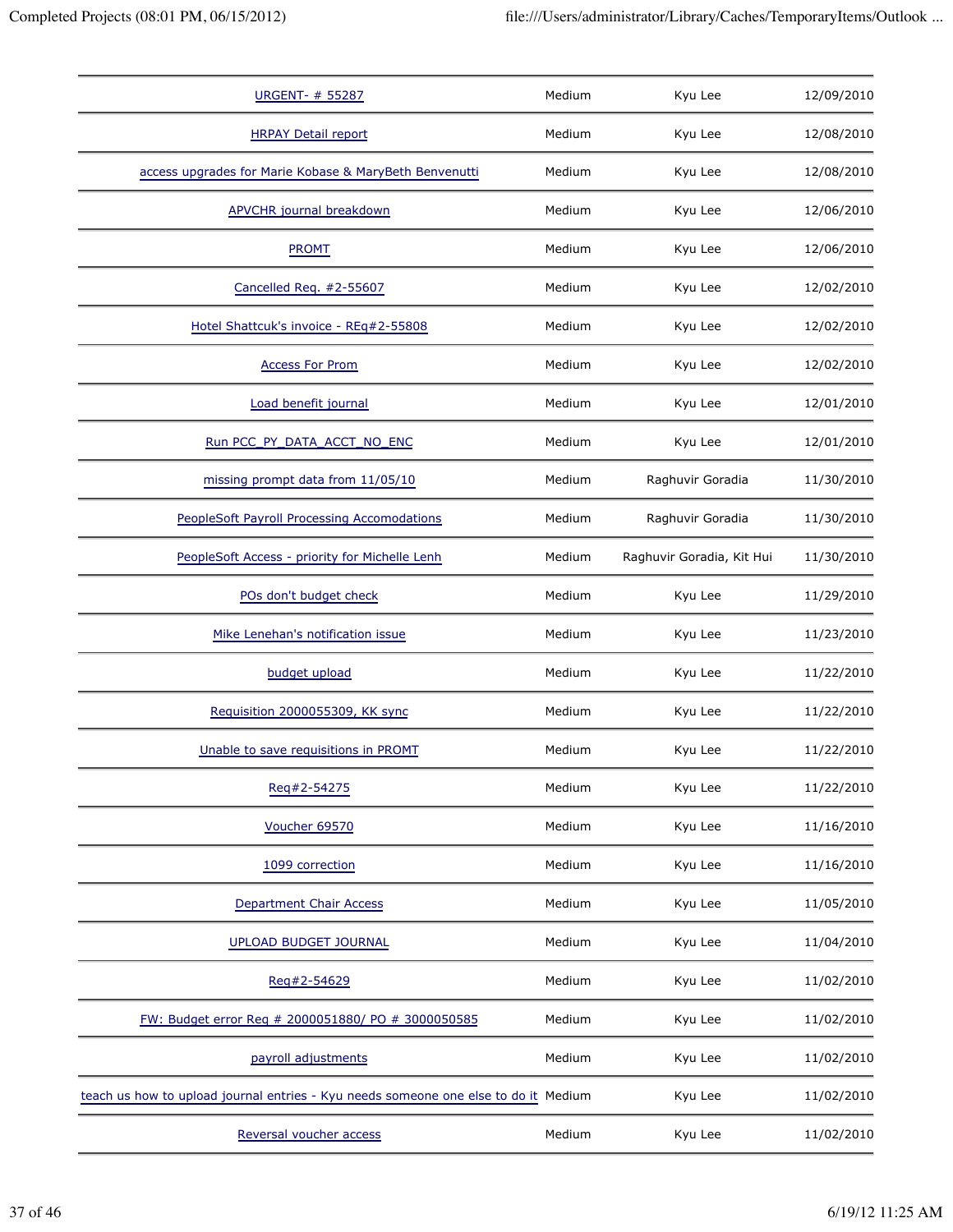| <b>URGENT- # 55287</b>                                                              | Medium | Kyu Lee                   | 12/09/2010 |
|-------------------------------------------------------------------------------------|--------|---------------------------|------------|
| <b>HRPAY Detail report</b>                                                          | Medium | Kyu Lee                   | 12/08/2010 |
| access upgrades for Marie Kobase & MaryBeth Benvenutti                              | Medium | Kyu Lee                   | 12/08/2010 |
| <b>APVCHR</b> journal breakdown                                                     | Medium | Kyu Lee                   | 12/06/2010 |
| <b>PROMT</b>                                                                        | Medium | Kyu Lee                   | 12/06/2010 |
| Cancelled Req. #2-55607                                                             | Medium | Kyu Lee                   | 12/02/2010 |
| Hotel Shattcuk's invoice - REq#2-55808                                              | Medium | Kyu Lee                   | 12/02/2010 |
| <b>Access For Prom</b>                                                              | Medium | Kyu Lee                   | 12/02/2010 |
| Load benefit journal                                                                | Medium | Kyu Lee                   | 12/01/2010 |
| Run PCC PY DATA ACCT NO ENC                                                         | Medium | Kyu Lee                   | 12/01/2010 |
| missing prompt data from 11/05/10                                                   | Medium | Raghuvir Goradia          | 11/30/2010 |
| PeopleSoft Payroll Processing Accomodations                                         | Medium | Raghuvir Goradia          | 11/30/2010 |
| PeopleSoft Access - priority for Michelle Lenh                                      | Medium | Raghuvir Goradia, Kit Hui | 11/30/2010 |
| POs don't budget check                                                              | Medium | Kyu Lee                   | 11/29/2010 |
| Mike Lenehan's notification issue                                                   | Medium | Kyu Lee                   | 11/23/2010 |
| budget upload                                                                       | Medium | Kyu Lee                   | 11/22/2010 |
| Requisition 2000055309, KK sync                                                     | Medium | Kyu Lee                   | 11/22/2010 |
| Unable to save requisitions in PROMT                                                | Medium | Kyu Lee                   | 11/22/2010 |
| Reg#2-54275                                                                         | Medium | Kyu Lee                   | 11/22/2010 |
| Voucher 69570                                                                       | Medium | Kyu Lee                   | 11/16/2010 |
| 1099 correction                                                                     | Medium | Kyu Lee                   | 11/16/2010 |
| <b>Department Chair Access</b>                                                      | Medium | Kyu Lee                   | 11/05/2010 |
| <b>UPLOAD BUDGET JOURNAL</b>                                                        | Medium | Kyu Lee                   | 11/04/2010 |
| Reg#2-54629                                                                         | Medium | Kyu Lee                   | 11/02/2010 |
| FW: Budget error Req # 2000051880/ PO # 3000050585                                  | Medium | Kyu Lee                   | 11/02/2010 |
| payroll adjustments                                                                 | Medium | Kyu Lee                   | 11/02/2010 |
| teach us how to upload journal entries - Kyu needs someone one else to do it Medium |        | Kyu Lee                   | 11/02/2010 |
| Reversal voucher access                                                             | Medium | Kyu Lee                   | 11/02/2010 |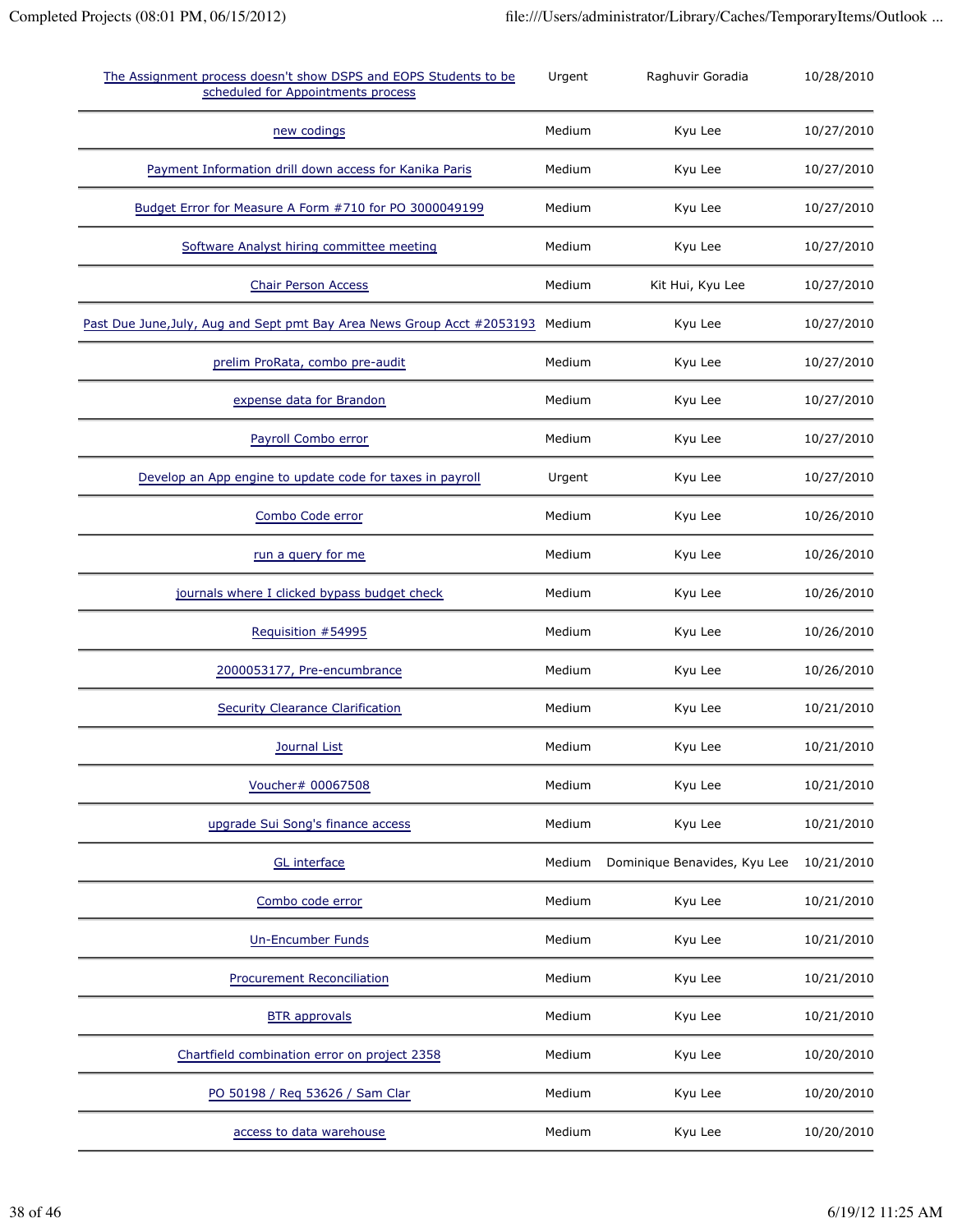| The Assignment process doesn't show DSPS and EOPS Students to be<br>scheduled for Appointments process | Urgent | Raghuvir Goradia             | 10/28/2010 |
|--------------------------------------------------------------------------------------------------------|--------|------------------------------|------------|
| new codings                                                                                            | Medium | Kyu Lee                      | 10/27/2010 |
| Payment Information drill down access for Kanika Paris                                                 | Medium | Kyu Lee                      | 10/27/2010 |
| Budget Error for Measure A Form #710 for PO 3000049199                                                 | Medium | Kyu Lee                      | 10/27/2010 |
| Software Analyst hiring committee meeting                                                              | Medium | Kyu Lee                      | 10/27/2010 |
| <b>Chair Person Access</b>                                                                             | Medium | Kit Hui, Kyu Lee             | 10/27/2010 |
| Past Due June, July, Aug and Sept pmt Bay Area News Group Acct #2053193                                | Medium | Kyu Lee                      | 10/27/2010 |
| prelim ProRata, combo pre-audit                                                                        | Medium | Kyu Lee                      | 10/27/2010 |
| expense data for Brandon                                                                               | Medium | Kyu Lee                      | 10/27/2010 |
| Payroll Combo error                                                                                    | Medium | Kyu Lee                      | 10/27/2010 |
| Develop an App engine to update code for taxes in payroll                                              | Urgent | Kyu Lee                      | 10/27/2010 |
| Combo Code error                                                                                       | Medium | Kyu Lee                      | 10/26/2010 |
| run a query for me                                                                                     | Medium | Kyu Lee                      | 10/26/2010 |
| journals where I clicked bypass budget check                                                           | Medium | Kyu Lee                      | 10/26/2010 |
| Requisition #54995                                                                                     | Medium | Kyu Lee                      | 10/26/2010 |
| 2000053177, Pre-encumbrance                                                                            | Medium | Kyu Lee                      | 10/26/2010 |
| <b>Security Clearance Clarification</b>                                                                | Medium | Kyu Lee                      | 10/21/2010 |
| <b>Journal List</b>                                                                                    | Medium | Kyu Lee                      | 10/21/2010 |
| Voucher# 00067508                                                                                      | Medium | Kyu Lee                      | 10/21/2010 |
| upgrade Sui Song's finance access                                                                      | Medium | Kyu Lee                      | 10/21/2010 |
| <b>GL</b> interface                                                                                    | Medium | Dominique Benavides, Kyu Lee | 10/21/2010 |
| Combo code error                                                                                       | Medium | Kyu Lee                      | 10/21/2010 |
| <b>Un-Encumber Funds</b>                                                                               | Medium | Kyu Lee                      | 10/21/2010 |
| <b>Procurement Reconciliation</b>                                                                      | Medium | Kyu Lee                      | 10/21/2010 |
| <b>BTR</b> approvals                                                                                   | Medium | Kyu Lee                      | 10/21/2010 |
| Chartfield combination error on project 2358                                                           | Medium | Kyu Lee                      | 10/20/2010 |
| PO 50198 / Req 53626 / Sam Clar                                                                        | Medium | Kyu Lee                      | 10/20/2010 |
| access to data warehouse                                                                               | Medium | Kyu Lee                      | 10/20/2010 |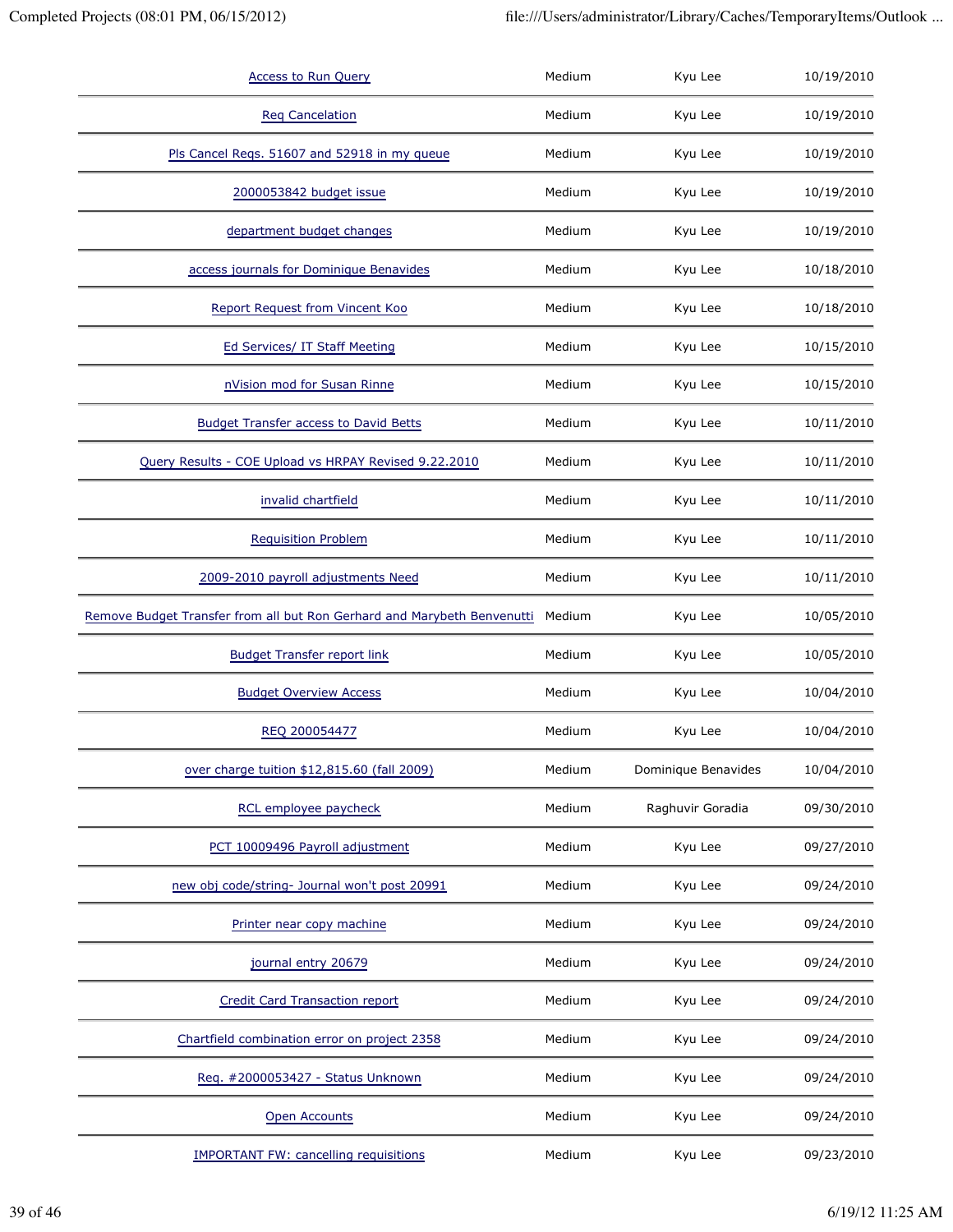| <b>Access to Run Query</b>                                              | Medium | Kyu Lee             | 10/19/2010 |
|-------------------------------------------------------------------------|--------|---------------------|------------|
| <b>Reg Cancelation</b>                                                  | Medium | Kyu Lee             | 10/19/2010 |
| Pls Cancel Reqs. 51607 and 52918 in my queue                            | Medium | Kyu Lee             | 10/19/2010 |
| 2000053842 budget issue                                                 | Medium | Kyu Lee             | 10/19/2010 |
| department budget changes                                               | Medium | Kyu Lee             | 10/19/2010 |
| access journals for Dominique Benavides                                 | Medium | Kyu Lee             | 10/18/2010 |
| Report Request from Vincent Koo                                         | Medium | Kyu Lee             | 10/18/2010 |
| Ed Services/ IT Staff Meeting                                           | Medium | Kyu Lee             | 10/15/2010 |
| nVision mod for Susan Rinne                                             | Medium | Kyu Lee             | 10/15/2010 |
| <b>Budget Transfer access to David Betts</b>                            | Medium | Kyu Lee             | 10/11/2010 |
| Query Results - COE Upload vs HRPAY Revised 9.22.2010                   | Medium | Kyu Lee             | 10/11/2010 |
| invalid chartfield                                                      | Medium | Kyu Lee             | 10/11/2010 |
| <b>Requisition Problem</b>                                              | Medium | Kyu Lee             | 10/11/2010 |
| 2009-2010 payroll adjustments Need                                      | Medium | Kyu Lee             | 10/11/2010 |
| Remove Budget Transfer from all but Ron Gerhard and Marybeth Benvenutti | Medium | Kyu Lee             | 10/05/2010 |
| <b>Budget Transfer report link</b>                                      | Medium | Kyu Lee             | 10/05/2010 |
| <b>Budget Overview Access</b>                                           | Medium | Kyu Lee             | 10/04/2010 |
| REQ 200054477                                                           | Medium | Kyu Lee             | 10/04/2010 |
| over charge tuition \$12,815.60 (fall 2009)                             | Medium | Dominique Benavides | 10/04/2010 |
| RCL employee paycheck                                                   | Medium | Raghuvir Goradia    | 09/30/2010 |
| PCT 10009496 Payroll adjustment                                         | Medium | Kyu Lee             | 09/27/2010 |
| new obj code/string- Journal won't post 20991                           | Medium | Kyu Lee             | 09/24/2010 |
| Printer near copy machine                                               | Medium | Kyu Lee             | 09/24/2010 |
| journal entry 20679                                                     | Medium | Kyu Lee             | 09/24/2010 |
| <b>Credit Card Transaction report</b>                                   | Medium | Kyu Lee             | 09/24/2010 |
| Chartfield combination error on project 2358                            | Medium | Kyu Lee             | 09/24/2010 |
| Req. #2000053427 - Status Unknown                                       | Medium | Kyu Lee             | 09/24/2010 |
| <b>Open Accounts</b>                                                    | Medium | Kyu Lee             | 09/24/2010 |
| <b>IMPORTANT FW: cancelling requisitions</b>                            | Medium | Kyu Lee             | 09/23/2010 |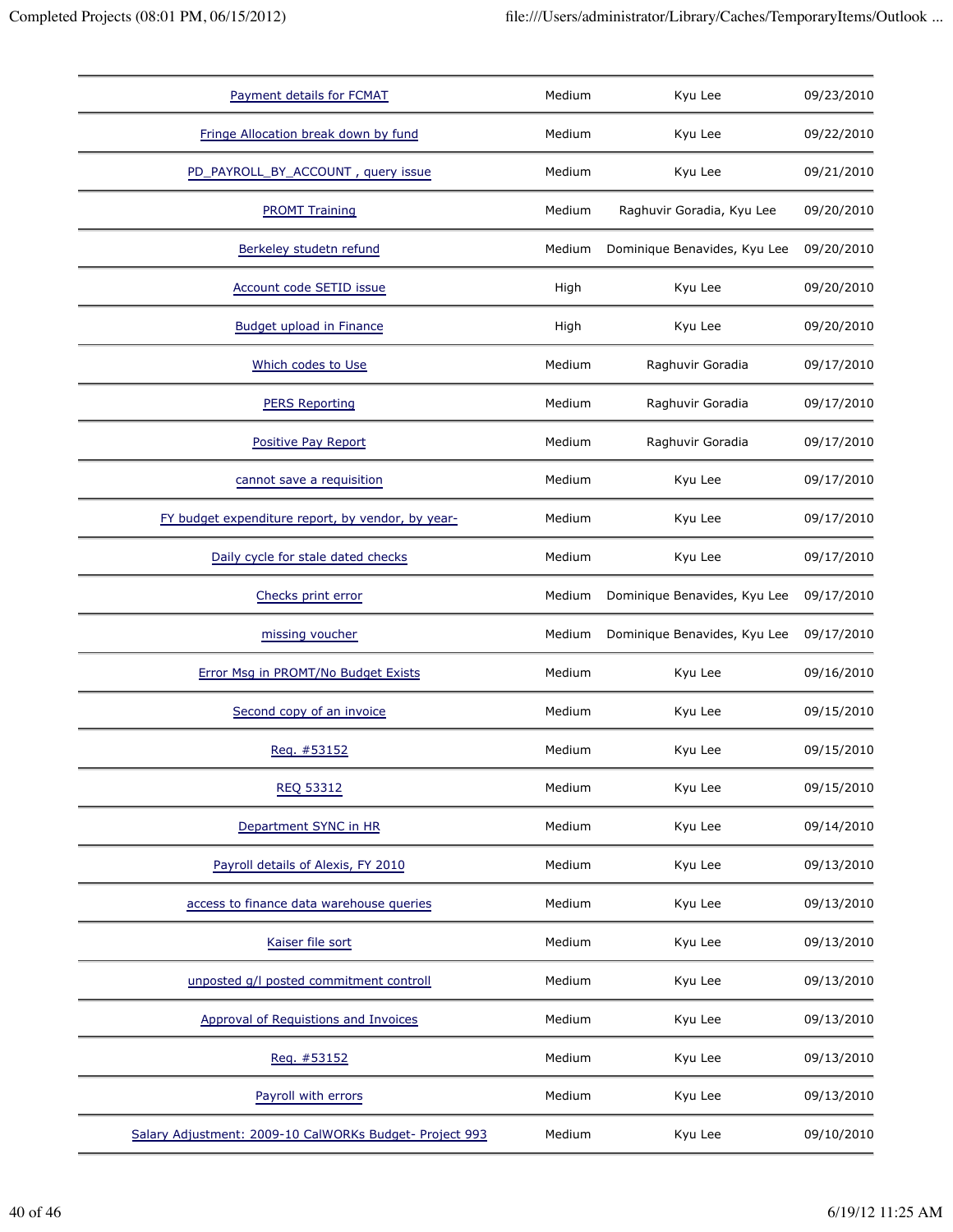| Payment details for FCMAT                               | Medium | Kyu Lee                      | 09/23/2010 |
|---------------------------------------------------------|--------|------------------------------|------------|
| Fringe Allocation break down by fund                    | Medium | Kyu Lee                      | 09/22/2010 |
| PD_PAYROLL_BY_ACCOUNT, query issue                      | Medium | Kyu Lee                      | 09/21/2010 |
| <b>PROMT Training</b>                                   | Medium | Raghuvir Goradia, Kyu Lee    | 09/20/2010 |
| Berkeley studetn refund                                 | Medium | Dominique Benavides, Kyu Lee | 09/20/2010 |
| Account code SETID issue                                | High   | Kyu Lee                      | 09/20/2010 |
| <b>Budget upload in Finance</b>                         | High   | Kyu Lee                      | 09/20/2010 |
| Which codes to Use                                      | Medium | Raghuvir Goradia             | 09/17/2010 |
| <b>PERS Reporting</b>                                   | Medium | Raghuvir Goradia             | 09/17/2010 |
| Positive Pay Report                                     | Medium | Raghuvir Goradia             | 09/17/2010 |
| cannot save a requisition                               | Medium | Kyu Lee                      | 09/17/2010 |
| FY budget expenditure report, by vendor, by year-       | Medium | Kyu Lee                      | 09/17/2010 |
| Daily cycle for stale dated checks                      | Medium | Kyu Lee                      | 09/17/2010 |
| Checks print error                                      | Medium | Dominique Benavides, Kyu Lee | 09/17/2010 |
| missing voucher                                         | Medium | Dominique Benavides, Kyu Lee | 09/17/2010 |
| Error Msg in PROMT/No Budget Exists                     | Medium | Kyu Lee                      | 09/16/2010 |
| Second copy of an invoice                               | Medium | Kyu Lee                      | 09/15/2010 |
| Reg. #53152                                             | Medium | Kyu Lee                      | 09/15/2010 |
| <b>REQ 53312</b>                                        | Medium | Kyu Lee                      | 09/15/2010 |
| Department SYNC in HR                                   | Medium | Kyu Lee                      | 09/14/2010 |
| Payroll details of Alexis, FY 2010                      | Medium | Kyu Lee                      | 09/13/2010 |
| access to finance data warehouse queries                | Medium | Kyu Lee                      | 09/13/2010 |
| Kaiser file sort                                        | Medium | Kyu Lee                      | 09/13/2010 |
| unposted q/l posted commitment controll                 | Medium | Kyu Lee                      | 09/13/2010 |
| <b>Approval of Requistions and Invoices</b>             | Medium | Kyu Lee                      | 09/13/2010 |
| Req. #53152                                             | Medium | Kyu Lee                      | 09/13/2010 |
| Payroll with errors                                     | Medium | Kyu Lee                      | 09/13/2010 |
| Salary Adjustment: 2009-10 CalWORKs Budget- Project 993 | Medium | Kyu Lee                      | 09/10/2010 |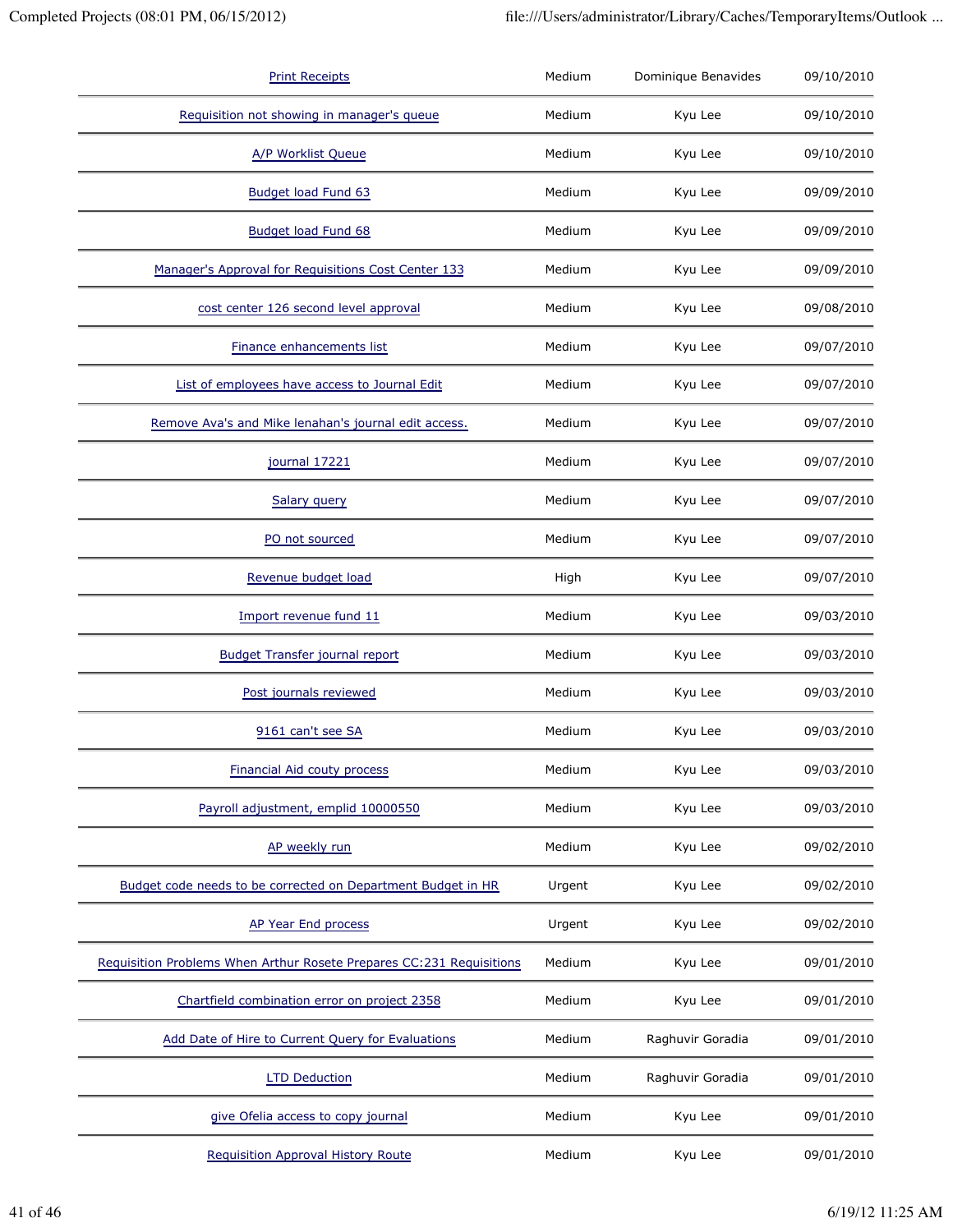| <b>Print Receipts</b>                                                | Medium | Dominique Benavides | 09/10/2010 |
|----------------------------------------------------------------------|--------|---------------------|------------|
| Requisition not showing in manager's queue                           | Medium | Kyu Lee             | 09/10/2010 |
| A/P Worklist Queue                                                   | Medium | Kyu Lee             | 09/10/2010 |
| Budget load Fund 63                                                  | Medium | Kyu Lee             | 09/09/2010 |
| Budget load Fund 68                                                  | Medium | Kyu Lee             | 09/09/2010 |
| Manager's Approval for Requisitions Cost Center 133                  | Medium | Kyu Lee             | 09/09/2010 |
| cost center 126 second level approval                                | Medium | Kyu Lee             | 09/08/2010 |
| Finance enhancements list                                            | Medium | Kyu Lee             | 09/07/2010 |
| List of employees have access to Journal Edit                        | Medium | Kyu Lee             | 09/07/2010 |
| Remove Ava's and Mike lenahan's journal edit access.                 | Medium | Kyu Lee             | 09/07/2010 |
| journal 17221                                                        | Medium | Kyu Lee             | 09/07/2010 |
| Salary query                                                         | Medium | Kyu Lee             | 09/07/2010 |
| PO not sourced                                                       | Medium | Kyu Lee             | 09/07/2010 |
| Revenue budget load                                                  | High   | Kyu Lee             | 09/07/2010 |
| Import revenue fund 11                                               | Medium | Kyu Lee             | 09/03/2010 |
| <b>Budget Transfer journal report</b>                                | Medium | Kyu Lee             | 09/03/2010 |
| Post journals reviewed                                               | Medium | Kyu Lee             | 09/03/2010 |
| 9161 can't see SA                                                    | Medium | Kyu Lee             | 09/03/2010 |
| <b>Financial Aid couty process</b>                                   | Medium | Kyu Lee             | 09/03/2010 |
| Payroll adjustment, emplid 10000550                                  | Medium | Kyu Lee             | 09/03/2010 |
| AP weekly run                                                        | Medium | Kyu Lee             | 09/02/2010 |
| Budget code needs to be corrected on Department Budget in HR         | Urgent | Kyu Lee             | 09/02/2010 |
| AP Year End process                                                  | Urgent | Kyu Lee             | 09/02/2010 |
| Requisition Problems When Arthur Rosete Prepares CC:231 Requisitions | Medium | Kyu Lee             | 09/01/2010 |
| Chartfield combination error on project 2358                         | Medium | Kyu Lee             | 09/01/2010 |
| Add Date of Hire to Current Query for Evaluations                    | Medium | Raghuvir Goradia    | 09/01/2010 |
| <b>LTD Deduction</b>                                                 | Medium | Raghuvir Goradia    | 09/01/2010 |
| give Ofelia access to copy journal                                   | Medium | Kyu Lee             | 09/01/2010 |
| <b>Requisition Approval History Route</b>                            | Medium | Kyu Lee             | 09/01/2010 |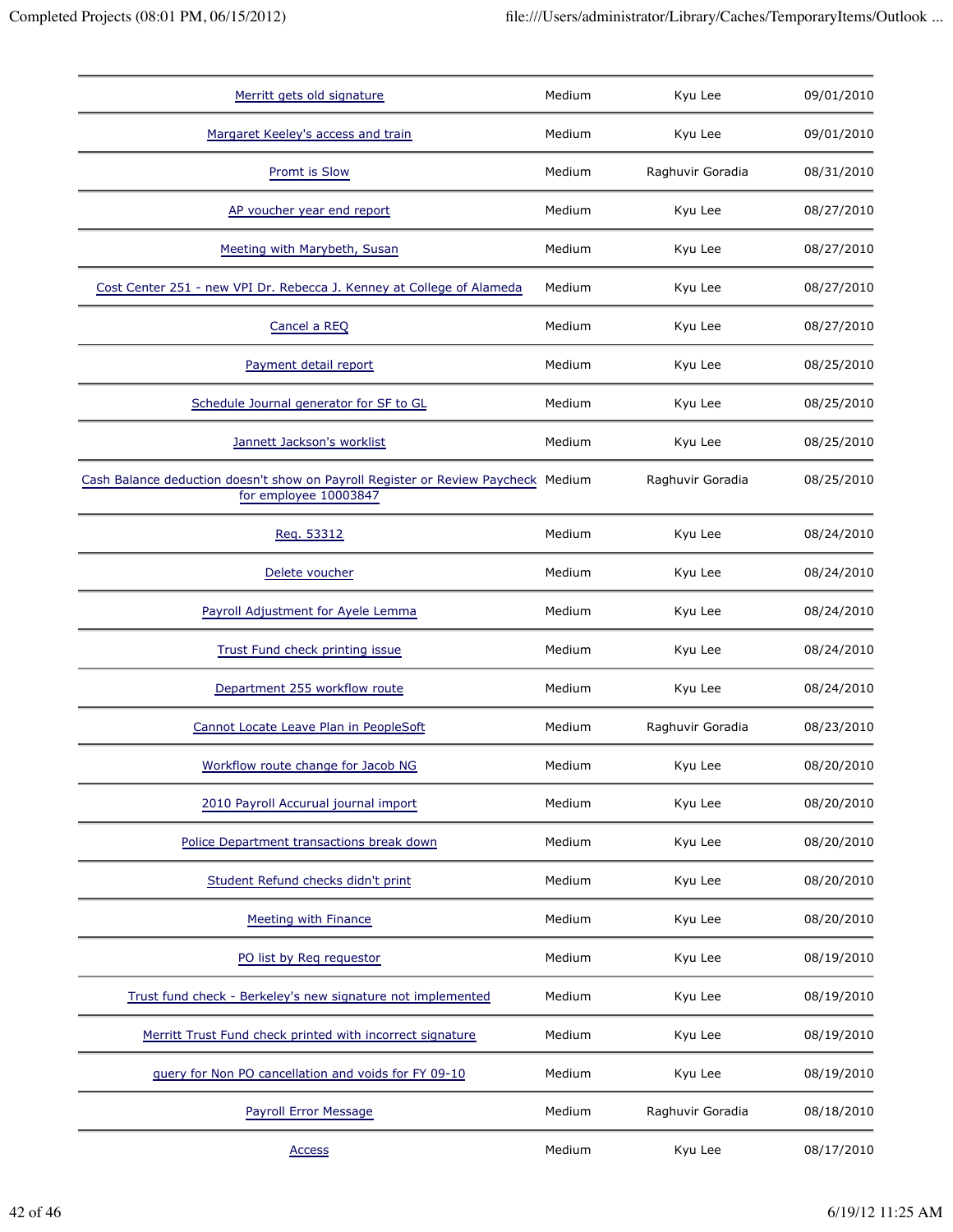| Merritt gets old signature                                                                                 | Medium | Kyu Lee          | 09/01/2010 |
|------------------------------------------------------------------------------------------------------------|--------|------------------|------------|
| Margaret Keeley's access and train                                                                         | Medium | Kyu Lee          | 09/01/2010 |
| Promt is Slow                                                                                              | Medium | Raghuvir Goradia | 08/31/2010 |
| AP voucher year end report                                                                                 | Medium | Kyu Lee          | 08/27/2010 |
| Meeting with Marybeth, Susan                                                                               | Medium | Kyu Lee          | 08/27/2010 |
| Cost Center 251 - new VPI Dr. Rebecca J. Kenney at College of Alameda                                      | Medium | Kyu Lee          | 08/27/2010 |
| Cancel a REQ                                                                                               | Medium | Kyu Lee          | 08/27/2010 |
| Payment detail report                                                                                      | Medium | Kyu Lee          | 08/25/2010 |
| Schedule Journal generator for SF to GL                                                                    | Medium | Kyu Lee          | 08/25/2010 |
| Jannett Jackson's worklist                                                                                 | Medium | Kyu Lee          | 08/25/2010 |
| Cash Balance deduction doesn't show on Payroll Register or Review Paycheck Medium<br>for employee 10003847 |        | Raghuvir Goradia | 08/25/2010 |
| Reg. 53312                                                                                                 | Medium | Kyu Lee          | 08/24/2010 |
| Delete voucher                                                                                             | Medium | Kyu Lee          | 08/24/2010 |
| Payroll Adjustment for Ayele Lemma                                                                         | Medium | Kyu Lee          | 08/24/2010 |
| Trust Fund check printing issue                                                                            | Medium | Kyu Lee          | 08/24/2010 |
| Department 255 workflow route                                                                              | Medium | Kyu Lee          | 08/24/2010 |
| Cannot Locate Leave Plan in PeopleSoft                                                                     | Medium | Raghuvir Goradia | 08/23/2010 |
| Workflow route change for Jacob NG                                                                         | Medium | Kyu Lee          | 08/20/2010 |
| 2010 Payroll Accurual journal import                                                                       | Medium | Kyu Lee          | 08/20/2010 |
| Police Department transactions break down                                                                  | Medium | Kyu Lee          | 08/20/2010 |
| Student Refund checks didn't print                                                                         | Medium | Kyu Lee          | 08/20/2010 |
| Meeting with Finance                                                                                       | Medium | Kyu Lee          | 08/20/2010 |
| PO list by Req requestor                                                                                   | Medium | Kyu Lee          | 08/19/2010 |
| Trust fund check - Berkeley's new signature not implemented                                                | Medium | Kyu Lee          | 08/19/2010 |
| Merritt Trust Fund check printed with incorrect signature                                                  | Medium | Kyu Lee          | 08/19/2010 |
| query for Non PO cancellation and voids for FY 09-10                                                       | Medium | Kyu Lee          | 08/19/2010 |
| Payroll Error Message                                                                                      | Medium | Raghuvir Goradia | 08/18/2010 |
| <b>Access</b>                                                                                              | Medium | Kyu Lee          | 08/17/2010 |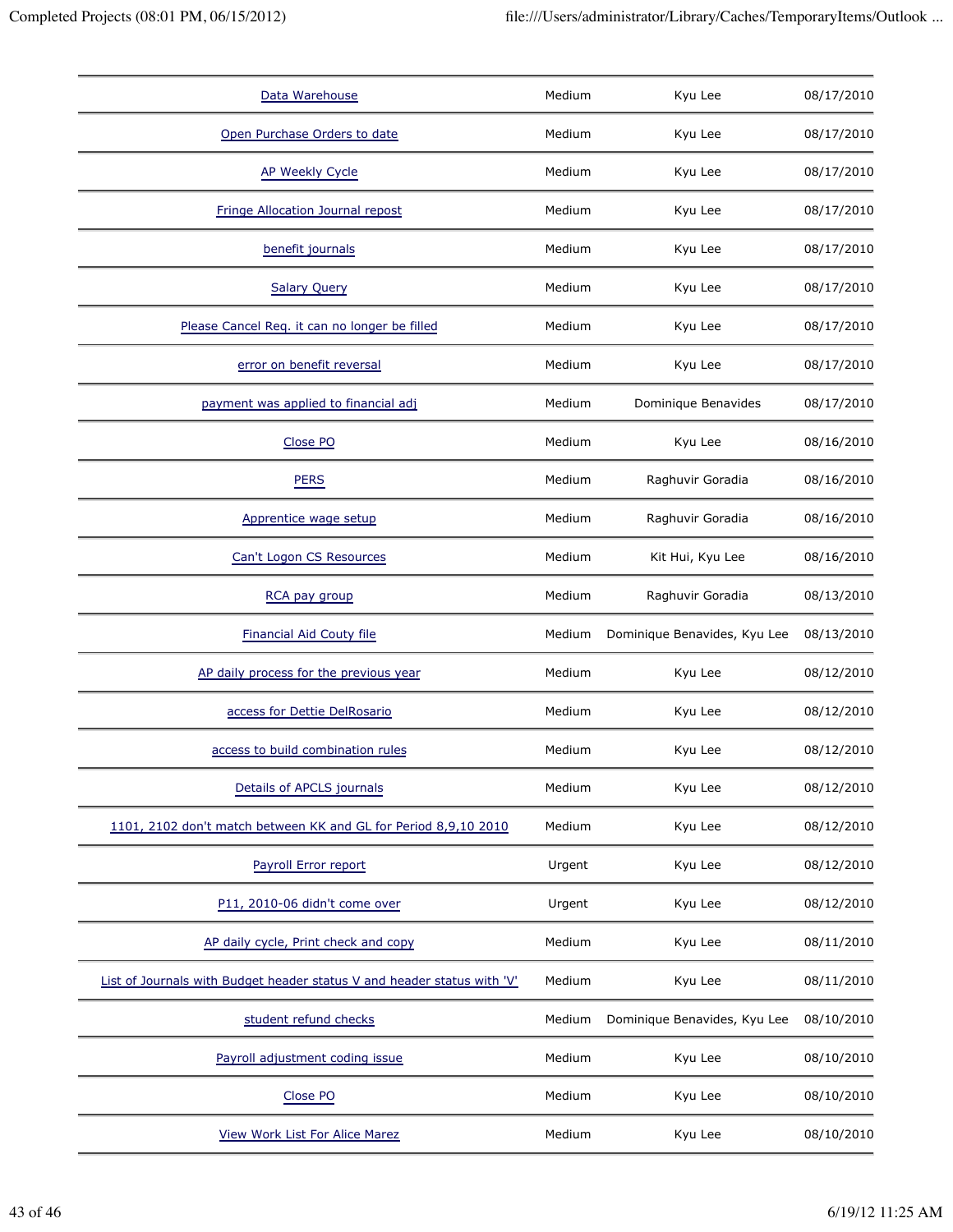| Data Warehouse                                                          | Medium | Kyu Lee                      | 08/17/2010 |
|-------------------------------------------------------------------------|--------|------------------------------|------------|
| Open Purchase Orders to date                                            | Medium | Kyu Lee                      | 08/17/2010 |
| <b>AP Weekly Cycle</b>                                                  | Medium | Kyu Lee                      | 08/17/2010 |
| Fringe Allocation Journal repost                                        | Medium | Kyu Lee                      | 08/17/2010 |
| benefit journals                                                        | Medium | Kyu Lee                      | 08/17/2010 |
| <b>Salary Query</b>                                                     | Medium | Kyu Lee                      | 08/17/2010 |
| Please Cancel Req. it can no longer be filled                           | Medium | Kyu Lee                      | 08/17/2010 |
| error on benefit reversal                                               | Medium | Kyu Lee                      | 08/17/2010 |
| payment was applied to financial adj                                    | Medium | Dominique Benavides          | 08/17/2010 |
| Close PO                                                                | Medium | Kyu Lee                      | 08/16/2010 |
| <b>PERS</b>                                                             | Medium | Raghuvir Goradia             | 08/16/2010 |
| Apprentice wage setup                                                   | Medium | Raghuvir Goradia             | 08/16/2010 |
| Can't Logon CS Resources                                                | Medium | Kit Hui, Kyu Lee             | 08/16/2010 |
| RCA pay group                                                           | Medium | Raghuvir Goradia             | 08/13/2010 |
|                                                                         |        |                              |            |
| <b>Financial Aid Couty file</b>                                         | Medium | Dominique Benavides, Kyu Lee | 08/13/2010 |
| AP daily process for the previous year                                  | Medium | Kyu Lee                      | 08/12/2010 |
| access for Dettie DelRosario                                            | Medium | Kyu Lee                      | 08/12/2010 |
| access to build combination rules                                       | Medium | Kyu Lee                      | 08/12/2010 |
| Details of APCLS journals                                               | Medium | Kyu Lee                      | 08/12/2010 |
| 1101, 2102 don't match between KK and GL for Period 8,9,10 2010         | Medium | Kyu Lee                      | 08/12/2010 |
| Payroll Error report                                                    | Urgent | Kyu Lee                      | 08/12/2010 |
| P11, 2010-06 didn't come over                                           | Urgent | Kyu Lee                      | 08/12/2010 |
| AP daily cycle, Print check and copy                                    | Medium | Kyu Lee                      | 08/11/2010 |
| List of Journals with Budget header status V and header status with 'V' | Medium | Kyu Lee                      | 08/11/2010 |
| student refund checks                                                   | Medium | Dominique Benavides, Kyu Lee | 08/10/2010 |
| Payroll adjustment coding issue                                         | Medium | Kyu Lee                      | 08/10/2010 |
| Close PO                                                                | Medium | Kyu Lee                      | 08/10/2010 |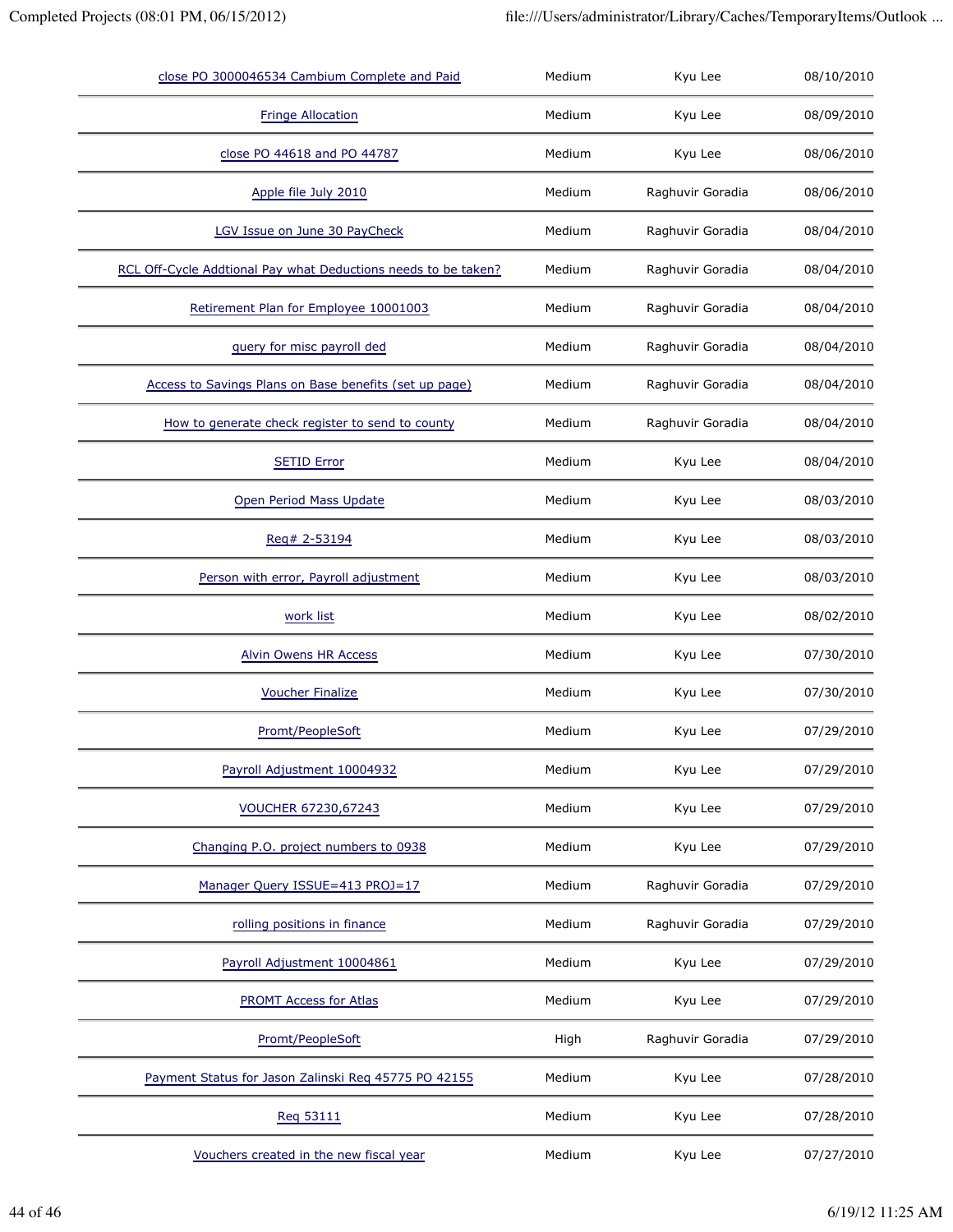| close PO 3000046534 Cambium Complete and Paid                  | Medium | Kyu Lee          | 08/10/2010 |
|----------------------------------------------------------------|--------|------------------|------------|
| <b>Fringe Allocation</b>                                       | Medium | Kyu Lee          | 08/09/2010 |
| close PO 44618 and PO 44787                                    | Medium | Kyu Lee          | 08/06/2010 |
| Apple file July 2010                                           | Medium | Raghuvir Goradia | 08/06/2010 |
| LGV Issue on June 30 PayCheck                                  | Medium | Raghuvir Goradia | 08/04/2010 |
| RCL Off-Cycle Addtional Pay what Deductions needs to be taken? | Medium | Raghuvir Goradia | 08/04/2010 |
| Retirement Plan for Employee 10001003                          | Medium | Raghuvir Goradia | 08/04/2010 |
| query for misc payroll ded                                     | Medium | Raghuvir Goradia | 08/04/2010 |
| Access to Savings Plans on Base benefits (set up page)         | Medium | Raghuvir Goradia | 08/04/2010 |
| How to generate check register to send to county               | Medium | Raghuvir Goradia | 08/04/2010 |
| <b>SETID Error</b>                                             | Medium | Kyu Lee          | 08/04/2010 |
| Open Period Mass Update                                        | Medium | Kyu Lee          | 08/03/2010 |
| Reg# 2-53194                                                   | Medium | Kyu Lee          | 08/03/2010 |
| Person with error, Payroll adjustment                          | Medium | Kyu Lee          | 08/03/2010 |
| work list                                                      | Medium | Kyu Lee          | 08/02/2010 |
| Alvin Owens HR Access                                          | Medium | Kyu Lee          | 07/30/2010 |
| <b>Voucher Finalize</b>                                        | Medium | Kyu Lee          | 07/30/2010 |
| Promt/PeopleSoft                                               | Medium | Kyu Lee          | 07/29/2010 |
| Payroll Adjustment 10004932                                    | Medium | Kyu Lee          | 07/29/2010 |
| VOUCHER 67230,67243                                            | Medium | Kyu Lee          | 07/29/2010 |
| Changing P.O. project numbers to 0938                          | Medium | Kyu Lee          | 07/29/2010 |
| Manager Query ISSUE=413 PROJ=17                                | Medium | Raghuvir Goradia | 07/29/2010 |
| rolling positions in finance                                   | Medium | Raghuvir Goradia | 07/29/2010 |
| Payroll Adjustment 10004861                                    | Medium | Kyu Lee          | 07/29/2010 |
| <b>PROMT Access for Atlas</b>                                  | Medium | Kyu Lee          | 07/29/2010 |
| Promt/PeopleSoft                                               | High   | Raghuvir Goradia | 07/29/2010 |
| Payment Status for Jason Zalinski Req 45775 PO 42155           | Medium | Kyu Lee          | 07/28/2010 |
| Req 53111                                                      | Medium | Kyu Lee          | 07/28/2010 |
| Vouchers created in the new fiscal year                        | Medium | Kyu Lee          | 07/27/2010 |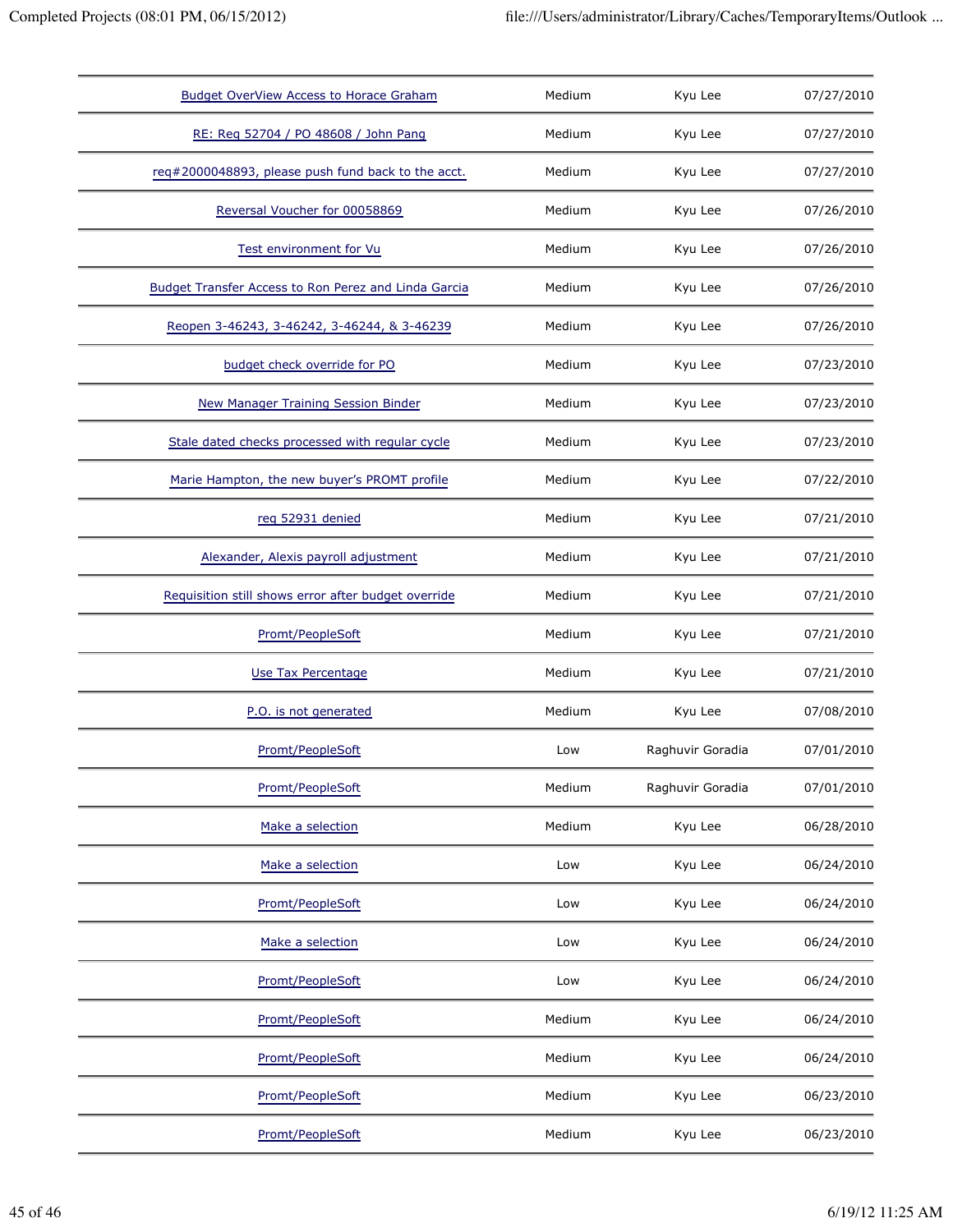| <b>Budget OverView Access to Horace Graham</b>       | Medium | Kyu Lee          | 07/27/2010 |
|------------------------------------------------------|--------|------------------|------------|
| RE: Req 52704 / PO 48608 / John Pang                 | Medium | Kyu Lee          | 07/27/2010 |
| req#2000048893, please push fund back to the acct.   | Medium | Kyu Lee          | 07/27/2010 |
| Reversal Voucher for 00058869                        | Medium | Kyu Lee          | 07/26/2010 |
| Test environment for Vu                              | Medium | Kyu Lee          | 07/26/2010 |
| Budget Transfer Access to Ron Perez and Linda Garcia | Medium | Kyu Lee          | 07/26/2010 |
| Reopen 3-46243, 3-46242, 3-46244, & 3-46239          | Medium | Kyu Lee          | 07/26/2010 |
| budget check override for PO                         | Medium | Kyu Lee          | 07/23/2010 |
| <b>New Manager Training Session Binder</b>           | Medium | Kyu Lee          | 07/23/2010 |
| Stale dated checks processed with regular cycle      | Medium | Kyu Lee          | 07/23/2010 |
| Marie Hampton, the new buyer's PROMT profile         | Medium | Kyu Lee          | 07/22/2010 |
| reg 52931 denied                                     | Medium | Kyu Lee          | 07/21/2010 |
| Alexander, Alexis payroll adjustment                 | Medium | Kyu Lee          | 07/21/2010 |
| Requisition still shows error after budget override  | Medium | Kyu Lee          | 07/21/2010 |
| Promt/PeopleSoft                                     | Medium | Kyu Lee          | 07/21/2010 |
| Use Tax Percentage                                   | Medium | Kyu Lee          | 07/21/2010 |
| P.O. is not generated                                | Medium | Kyu Lee          | 07/08/2010 |
| Promt/PeopleSoft                                     | Low    | Raghuvir Goradia | 07/01/2010 |
| Promt/PeopleSoft                                     | Medium | Raghuvir Goradia | 07/01/2010 |
| Make a selection                                     | Medium | Kyu Lee          | 06/28/2010 |
| Make a selection                                     | Low    | Kyu Lee          | 06/24/2010 |
| Promt/PeopleSoft                                     | Low    | Kyu Lee          | 06/24/2010 |
| Make a selection                                     | Low    | Kyu Lee          | 06/24/2010 |
| Promt/PeopleSoft                                     | Low    | Kyu Lee          | 06/24/2010 |
| Promt/PeopleSoft                                     | Medium | Kyu Lee          | 06/24/2010 |
| Promt/PeopleSoft                                     | Medium | Kyu Lee          | 06/24/2010 |
| Promt/PeopleSoft                                     | Medium | Kyu Lee          | 06/23/2010 |
| Promt/PeopleSoft                                     | Medium | Kyu Lee          | 06/23/2010 |